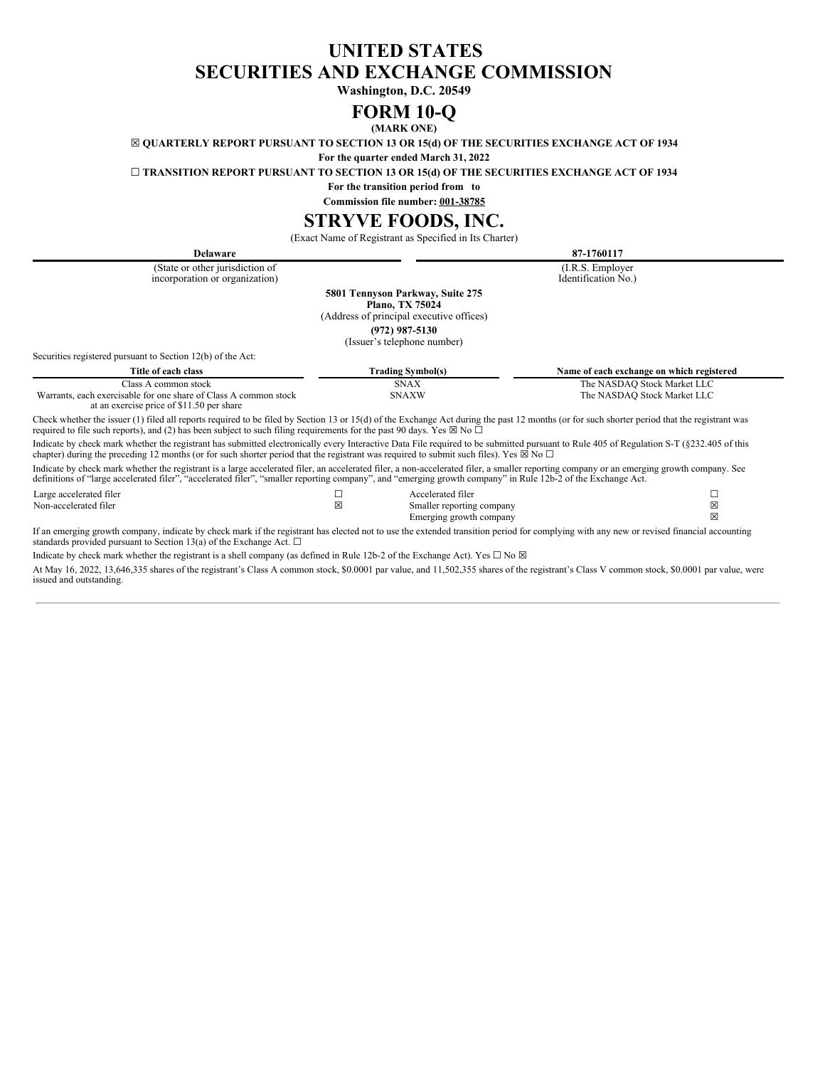# **UNITED STATES SECURITIES AND EXCHANGE COMMISSION**

**Washington, D.C. 20549**

# **FORM 10-Q**

**(MARK ONE)**

<span id="page-0-0"></span>☒ **QUARTERLY REPORT PURSUANT TO SECTION 13 OR 15(d) OF THE SECURITIES EXCHANGE ACT OF 1934**

**For the quarter ended March 31, 2022**

☐ **TRANSITION REPORT PURSUANT TO SECTION 13 OR 15(d) OF THE SECURITIES EXCHANGE ACT OF 1934**

**For the transition period from to**

**Commission file number: 001-38785**

# **STRYVE FOODS, INC.**

(Exact Name of Registrant as Specified in Its Charter)

| 87-1760117<br><b>Delaware</b>                                                                                                                                                                                                                                                                                                                             |                                                                                                        |                                           |
|-----------------------------------------------------------------------------------------------------------------------------------------------------------------------------------------------------------------------------------------------------------------------------------------------------------------------------------------------------------|--------------------------------------------------------------------------------------------------------|-------------------------------------------|
| (State or other jurisdiction of<br>incorporation or organization)                                                                                                                                                                                                                                                                                         |                                                                                                        | (I.R.S. Employer)<br>Identification No.)  |
|                                                                                                                                                                                                                                                                                                                                                           | 5801 Tennyson Parkway, Suite 275<br><b>Plano, TX 75024</b><br>(Address of principal executive offices) |                                           |
|                                                                                                                                                                                                                                                                                                                                                           | $(972)$ 987-5130<br>(Issuer's telephone number)                                                        |                                           |
| Securities registered pursuant to Section 12(b) of the Act:                                                                                                                                                                                                                                                                                               |                                                                                                        |                                           |
| Title of each class                                                                                                                                                                                                                                                                                                                                       | <b>Trading Symbol(s)</b>                                                                               | Name of each exchange on which registered |
| Class A common stock                                                                                                                                                                                                                                                                                                                                      | <b>SNAX</b>                                                                                            | The NASDAQ Stock Market LLC               |
| Warrants, each exercisable for one share of Class A common stock<br>at an exercise price of \$11.50 per share                                                                                                                                                                                                                                             | <b>SNAXW</b>                                                                                           | The NASDAQ Stock Market LLC               |
| Check whether the issuer (1) filed all reports required to be filed by Section 13 or 15(d) of the Exchange Act during the past 12 months (or for such shorter period that the registrant was<br>required to file such reports), and (2) has been subject to such filing requirements for the past 90 days. Yes $\boxtimes$ No $\Box$                      |                                                                                                        |                                           |
| Indicate by check mark whether the registrant has submitted electronically every Interactive Data File required to be submitted pursuant to Rule 405 of Regulation S-T (§232.405 of this<br>chapter) during the preceding 12 months (or for such shorter period that the registrant was required to submit such files). Yes $\boxtimes$ No $\Box$         |                                                                                                        |                                           |
| Indicate by check mark whether the registrant is a large accelerated filer, an accelerated filer, a non-accelerated filer, a smaller reporting company or an emerging growth company. See<br>definitions of "large accelerated filer", "accelerated filer", "smaller reporting company", and "emerging growth company" in Rule 12b-2 of the Exchange Act. |                                                                                                        |                                           |
| Large accelerated filer                                                                                                                                                                                                                                                                                                                                   | Accelerated filer                                                                                      | С                                         |
| Non-accelerated filer                                                                                                                                                                                                                                                                                                                                     | ×<br>Smaller reporting company                                                                         | X                                         |

Emerging growth company  $\boxtimes$ If an emerging growth company, indicate by check mark if the registrant has elected not to use the extended transition period for complying with any new or revised financial accounting standards provided pursuant to Section 13(a) of the Exchange Act.  $\Box$ 

Indicate by check mark whether the registrant is a shell company (as defined in Rule 12b-2 of the Exchange Act). Yes  $\Box$  No  $\boxtimes$ 

At May 16, 2022, 13,646,335 shares of the registrant's Class A common stock, \$0.0001 par value, and 11,502,355 shares of the registrant's Class V common stock, \$0.0001 par value, were issued and outstanding.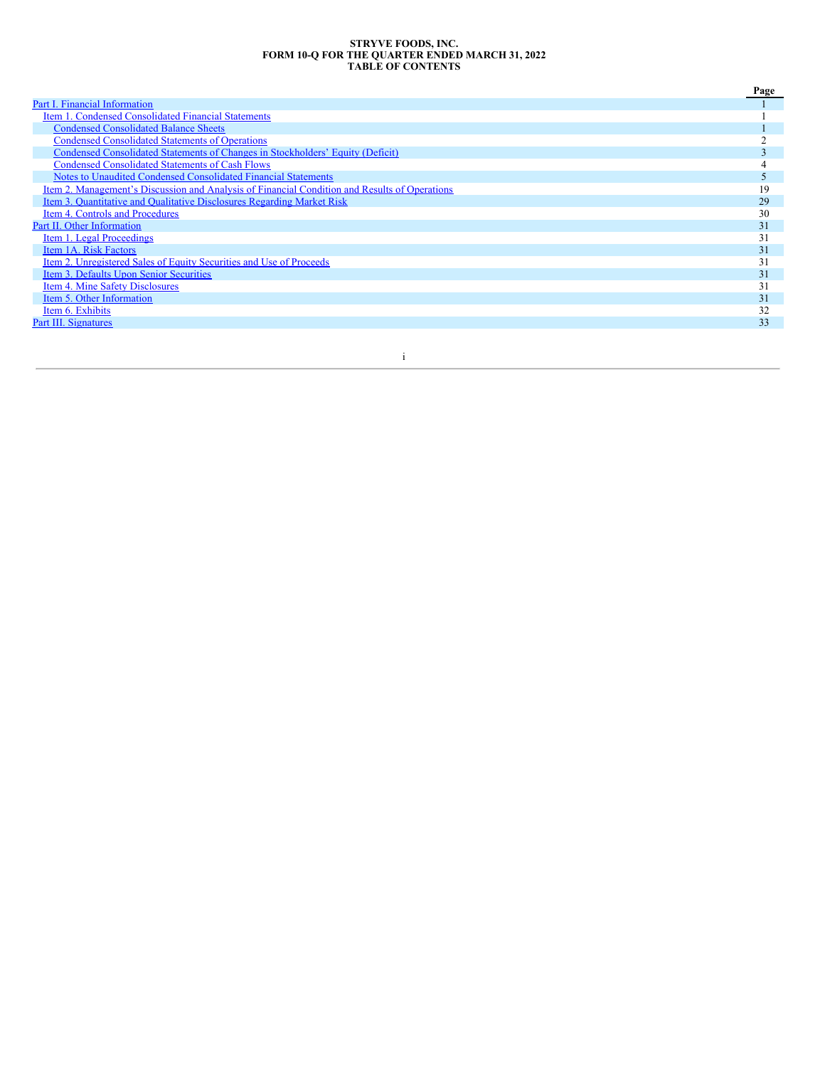#### **STRYVE FOODS, INC. FORM 10-Q FOR THE QUARTER ENDED MARCH 31, 2022 TABLE OF CONTENTS**

|                                                                                               | Page |
|-----------------------------------------------------------------------------------------------|------|
| Part I. Financial Information                                                                 |      |
| Item 1. Condensed Consolidated Financial Statements                                           |      |
| <b>Condensed Consolidated Balance Sheets</b>                                                  |      |
| <b>Condensed Consolidated Statements of Operations</b>                                        |      |
| Condensed Consolidated Statements of Changes in Stockholders' Equity (Deficit)                |      |
| <b>Condensed Consolidated Statements of Cash Flows</b>                                        |      |
| Notes to Unaudited Condensed Consolidated Financial Statements                                |      |
| Item 2. Management's Discussion and Analysis of Financial Condition and Results of Operations | 19   |
| Item 3. Quantitative and Qualitative Disclosures Regarding Market Risk                        | 29   |
| Item 4. Controls and Procedures                                                               | 30   |
| Part II. Other Information                                                                    | 31   |
| Item 1. Legal Proceedings                                                                     | 31   |
| Item 1A. Risk Factors                                                                         | 31   |
| Item 2. Unregistered Sales of Equity Securities and Use of Proceeds                           | 31   |
| Item 3. Defaults Upon Senior Securities                                                       | 31   |
| <b>Item 4. Mine Safety Disclosures</b>                                                        | 31   |
| Item 5. Other Information                                                                     | 31   |
| Item 6. Exhibits                                                                              | 32   |
| Part III. Signatures                                                                          | 33   |
|                                                                                               |      |

i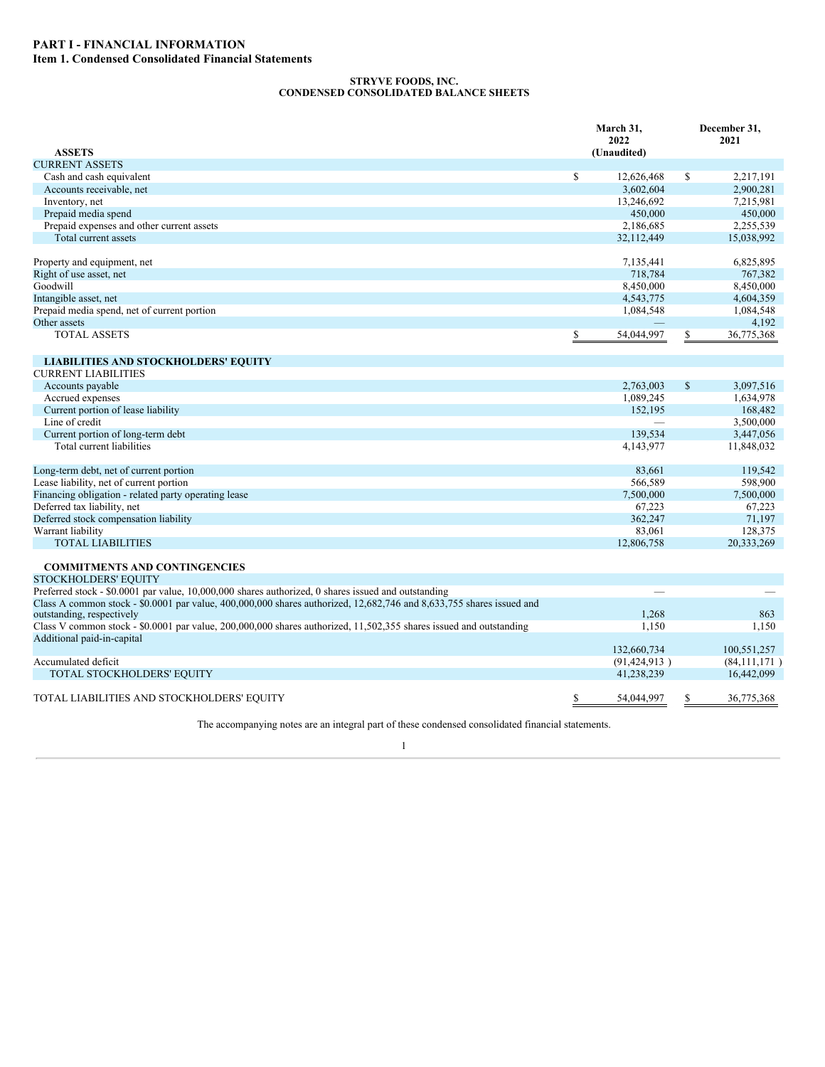## **STRYVE FOODS, INC. CONDENSED CONSOLIDATED BALANCE SHEETS**

<span id="page-2-2"></span><span id="page-2-1"></span><span id="page-2-0"></span>

|                                                                                                                                                                                                                             | March 31,<br>2022 |              | December 31,<br>2021   |
|-----------------------------------------------------------------------------------------------------------------------------------------------------------------------------------------------------------------------------|-------------------|--------------|------------------------|
| <b>ASSETS</b>                                                                                                                                                                                                               | (Unaudited)       |              |                        |
| <b>CURRENT ASSETS</b><br>Cash and cash equivalent                                                                                                                                                                           | \$<br>12,626,468  | S            |                        |
| Accounts receivable, net                                                                                                                                                                                                    | 3,602,604         |              | 2,217,191<br>2,900,281 |
| Inventory, net                                                                                                                                                                                                              | 13,246,692        |              | 7,215,981              |
| Prepaid media spend                                                                                                                                                                                                         | 450,000           |              | 450,000                |
| Prepaid expenses and other current assets                                                                                                                                                                                   | 2,186,685         |              | 2,255,539              |
| Total current assets                                                                                                                                                                                                        |                   |              |                        |
|                                                                                                                                                                                                                             | 32,112,449        |              | 15,038,992             |
| Property and equipment, net                                                                                                                                                                                                 | 7,135,441         |              | 6,825,895              |
| Right of use asset, net                                                                                                                                                                                                     | 718,784           |              | 767,382                |
| Goodwill                                                                                                                                                                                                                    | 8,450,000         |              | 8,450,000              |
| Intangible asset, net                                                                                                                                                                                                       | 4,543,775         |              | 4,604,359              |
| Prepaid media spend, net of current portion                                                                                                                                                                                 | 1,084,548         |              | 1,084,548              |
| Other assets                                                                                                                                                                                                                |                   |              | 4,192                  |
| <b>TOTAL ASSETS</b>                                                                                                                                                                                                         | \$<br>54,044,997  | S            | 36,775,368             |
|                                                                                                                                                                                                                             |                   |              |                        |
| <b>LIABILITIES AND STOCKHOLDERS' EQUITY</b>                                                                                                                                                                                 |                   |              |                        |
| <b>CURRENT LIABILITIES</b>                                                                                                                                                                                                  |                   |              |                        |
| Accounts payable                                                                                                                                                                                                            | 2,763,003         | $\mathbb{S}$ | 3,097,516              |
| Accrued expenses                                                                                                                                                                                                            | 1,089,245         |              | 1,634,978              |
| Current portion of lease liability                                                                                                                                                                                          | 152,195           |              | 168,482                |
| Line of credit                                                                                                                                                                                                              |                   |              | 3,500,000              |
| Current portion of long-term debt                                                                                                                                                                                           | 139,534           |              | 3,447,056              |
| Total current liabilities                                                                                                                                                                                                   | 4,143,977         |              | 11,848,032             |
| Long-term debt, net of current portion                                                                                                                                                                                      | 83,661            |              | 119,542                |
| Lease liability, net of current portion                                                                                                                                                                                     | 566,589           |              | 598,900                |
| Financing obligation - related party operating lease                                                                                                                                                                        | 7,500,000         |              | 7,500,000              |
| Deferred tax liability, net                                                                                                                                                                                                 | 67,223            |              | 67,223                 |
| Deferred stock compensation liability                                                                                                                                                                                       | 362,247           |              | 71,197                 |
| Warrant liability                                                                                                                                                                                                           | 83,061            |              | 128,375                |
| <b>TOTAL LIABILITIES</b>                                                                                                                                                                                                    | 12,806,758        |              | 20,333,269             |
| <b>COMMITMENTS AND CONTINGENCIES</b>                                                                                                                                                                                        |                   |              |                        |
| <b>STOCKHOLDERS' EQUITY</b>                                                                                                                                                                                                 |                   |              |                        |
| Preferred stock - \$0.0001 par value, 10,000,000 shares authorized, 0 shares issued and outstanding<br>Class A common stock - \$0.0001 par value, 400,000,000 shares authorized, 12,682,746 and 8,633,755 shares issued and |                   |              |                        |
| outstanding, respectively                                                                                                                                                                                                   | 1,268             |              | 863                    |
| Class V common stock - \$0.0001 par value, 200,000,000 shares authorized, 11,502,355 shares issued and outstanding<br>Additional paid-in-capital                                                                            | 1,150             |              | 1,150                  |
|                                                                                                                                                                                                                             | 132,660,734       |              | 100,551,257            |
| Accumulated deficit                                                                                                                                                                                                         | (91, 424, 913)    |              | (84,111,171)           |
| TOTAL STOCKHOLDERS' EQUITY                                                                                                                                                                                                  | 41,238,239        |              | 16,442,099             |
| TOTAL LIABILITIES AND STOCKHOLDERS' EQUITY                                                                                                                                                                                  | \$<br>54,044,997  | S            | 36,775,368             |
| $TTL =$                                                                                                                                                                                                                     |                   |              |                        |

The accompanying notes are an integral part of these condensed consolidated financial statements.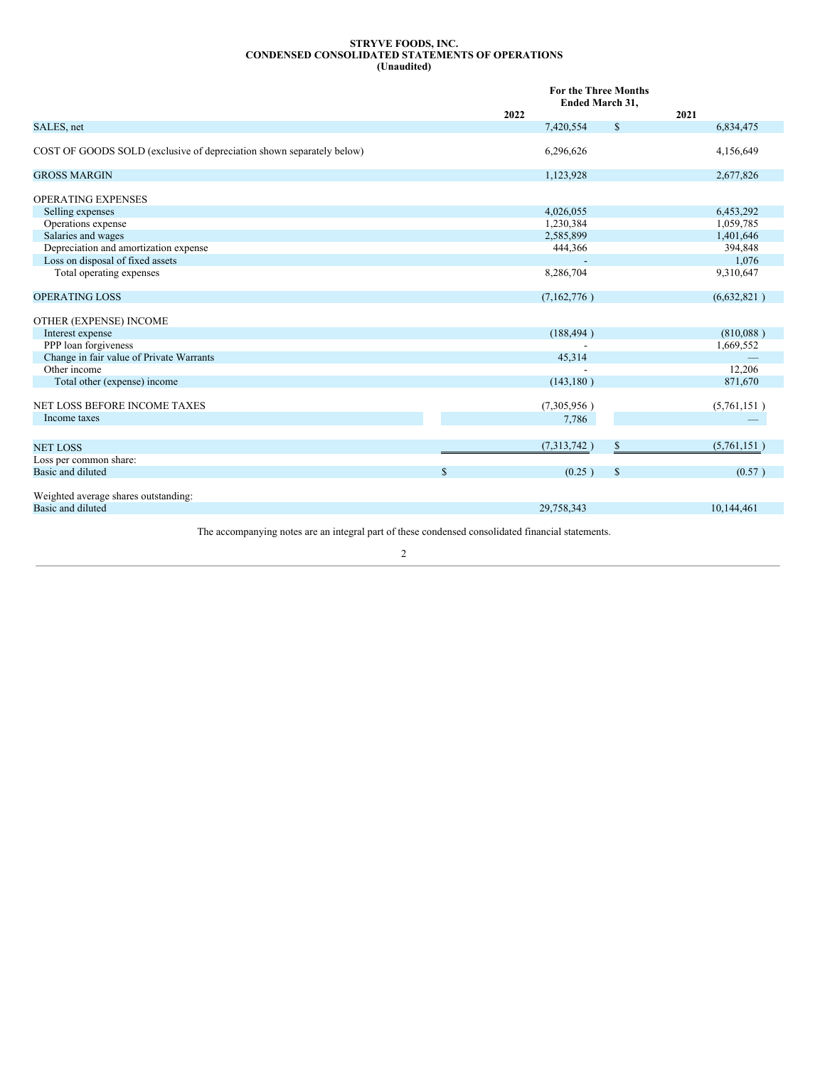#### **STRYVE FOODS, INC. CONDENSED CONSOLIDATED STATEMENTS OF OPERATIONS (Unaudited)**

<span id="page-3-0"></span>

|                                                                           | 2022         | <b>For the Three Months</b><br>Ended March 31, |              | 2021                   |
|---------------------------------------------------------------------------|--------------|------------------------------------------------|--------------|------------------------|
| SALES, net                                                                |              | 7,420,554                                      | $\mathbb{S}$ | 6,834,475              |
| COST OF GOODS SOLD (exclusive of depreciation shown separately below)     |              | 6,296,626                                      |              | 4,156,649              |
| <b>GROSS MARGIN</b>                                                       |              | 1,123,928                                      |              | 2,677,826              |
| <b>OPERATING EXPENSES</b><br>Selling expenses<br>Operations expense       |              | 4,026,055<br>1,230,384                         |              | 6,453,292<br>1,059,785 |
| Salaries and wages                                                        |              | 2,585,899                                      |              | 1,401,646              |
| Depreciation and amortization expense<br>Loss on disposal of fixed assets |              | 444,366                                        |              | 394,848<br>1,076       |
| Total operating expenses                                                  |              | 8,286,704                                      |              | 9,310,647              |
|                                                                           |              |                                                |              |                        |
| <b>OPERATING LOSS</b>                                                     |              | (7,162,776)                                    |              | (6,632,821)            |
| OTHER (EXPENSE) INCOME                                                    |              |                                                |              |                        |
| Interest expense                                                          |              | (188, 494)                                     |              | (810,088)              |
| PPP loan forgiveness                                                      |              |                                                |              | 1,669,552              |
| Change in fair value of Private Warrants                                  |              | 45,314                                         |              |                        |
| Other income                                                              |              |                                                |              | 12,206                 |
| Total other (expense) income                                              |              | (143, 180)                                     |              | 871,670                |
| NET LOSS BEFORE INCOME TAXES                                              |              | (7,305,956)                                    |              | (5,761,151)            |
| Income taxes                                                              |              | 7,786                                          |              |                        |
|                                                                           |              |                                                |              |                        |
| <b>NET LOSS</b>                                                           |              | (7,313,742)                                    | \$           | (5,761,151)            |
| Loss per common share:                                                    |              |                                                |              |                        |
| Basic and diluted                                                         | $\mathbb{S}$ | (0.25)                                         | $\mathbb{S}$ | (0.57)                 |
| Weighted average shares outstanding:                                      |              |                                                |              |                        |
| Basic and diluted                                                         |              | 29,758,343                                     |              | 10,144,461             |
|                                                                           |              |                                                |              |                        |

The accompanying notes are an integral part of these condensed consolidated financial statements.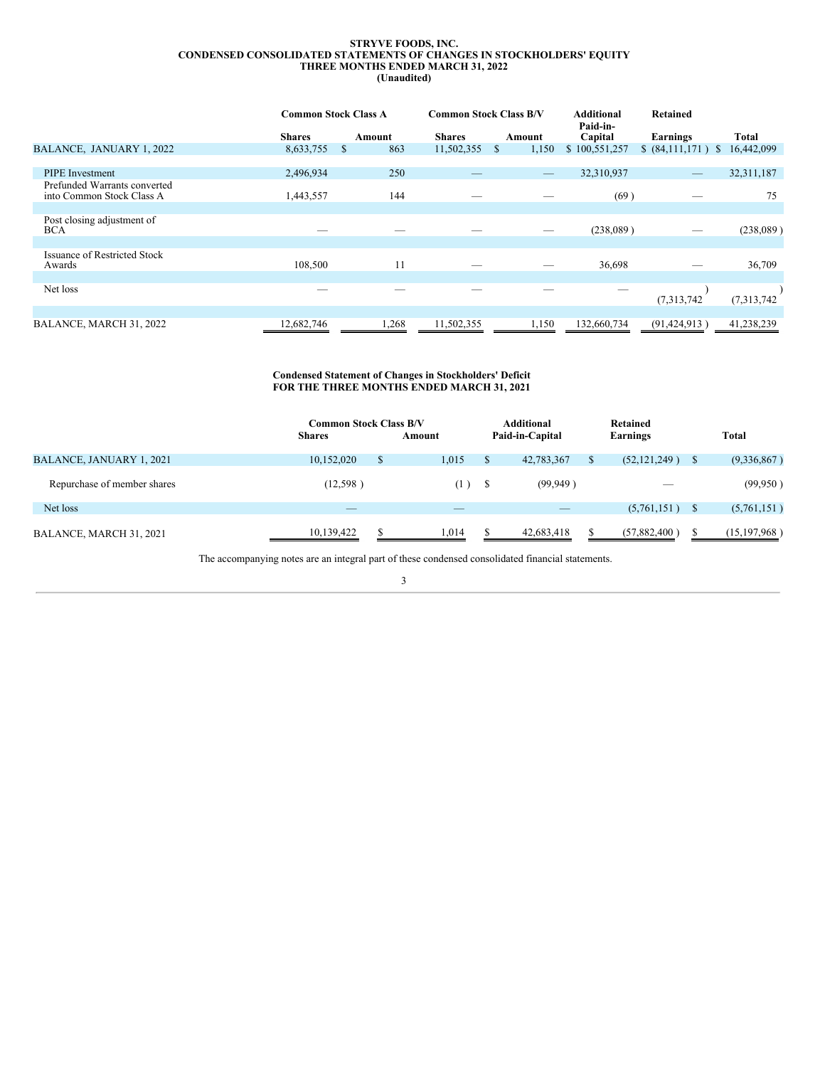#### **STRYVE FOODS, INC. CONDENSED CONSOLIDATED STATEMENTS OF CHANGES IN STOCKHOLDERS' EQUITY THREE MONTHS ENDED MARCH 31, 2022 (Unaudited)**

<span id="page-4-0"></span>

|                                                           |               |   |        |               |               | <b>Common Stock Class A</b> |               | <b>Common Stock Class B/V</b>    |              |  |  | <b>Additional</b><br>Paid-in- | <b>Retained</b> |  |
|-----------------------------------------------------------|---------------|---|--------|---------------|---------------|-----------------------------|---------------|----------------------------------|--------------|--|--|-------------------------------|-----------------|--|
|                                                           | <b>Shares</b> |   | Amount | <b>Shares</b> |               | Amount                      | Capital       | Earnings                         | Total        |  |  |                               |                 |  |
| BALANCE, JANUARY 1, 2022                                  | 8,633,755     | S | 863    | 11,502,355    | <sup>\$</sup> | 1,150                       | \$100,551,257 | \$ (84,111,171)<br><sup>\$</sup> | 16,442,099   |  |  |                               |                 |  |
|                                                           |               |   |        |               |               |                             |               |                                  |              |  |  |                               |                 |  |
| <b>PIPE</b> Investment                                    | 2,496,934     |   | 250    |               |               |                             | 32,310,937    | $\overline{\phantom{m}}$         | 32, 311, 187 |  |  |                               |                 |  |
| Prefunded Warrants converted<br>into Common Stock Class A | 1,443,557     |   | 144    |               |               |                             | (69)          |                                  | 75           |  |  |                               |                 |  |
|                                                           |               |   |        |               |               |                             |               |                                  |              |  |  |                               |                 |  |
| Post closing adjustment of<br><b>BCA</b>                  |               |   |        |               |               |                             | (238,089)     |                                  | (238,089)    |  |  |                               |                 |  |
|                                                           |               |   |        |               |               |                             |               |                                  |              |  |  |                               |                 |  |
| <b>Issuance of Restricted Stock</b><br>Awards             | 108,500       |   | 11     |               |               |                             | 36,698        |                                  | 36,709       |  |  |                               |                 |  |
|                                                           |               |   |        |               |               |                             |               |                                  |              |  |  |                               |                 |  |
| Net loss                                                  |               |   |        |               |               |                             |               | (7,313,742)                      | (7,313,742)  |  |  |                               |                 |  |
|                                                           |               |   |        |               |               |                             |               |                                  |              |  |  |                               |                 |  |
| BALANCE, MARCH 31, 2022                                   | 12,682,746    |   | 1,268  | 11,502,355    |               | 1,150                       | 132,660,734   | (91, 424, 913)                   | 41,238,239   |  |  |                               |                 |  |

### **Condensed Statement of Changes in Stockholders' Deficit FOR THE THREE MONTHS ENDED MARCH 31, 2021**

|                             | Common Stock Class B/V<br><b>Shares</b> |   | Amount                   |    | <b>Additional</b><br>Paid-in-Capital | Retained<br>Earnings | Total          |
|-----------------------------|-----------------------------------------|---|--------------------------|----|--------------------------------------|----------------------|----------------|
| BALANCE, JANUARY 1, 2021    | 10,152,020                              | S | 1,015                    | S  | 42,783,367                           | $(52, 121, 249)$ \$  | (9,336,867)    |
| Repurchase of member shares | (12,598)                                |   | (1)                      | -S | (99, 949)                            | $-$                  | (99,950)       |
| Net loss                    |                                         |   | $\overline{\phantom{a}}$ |    | $\overline{\phantom{a}}$             | $(5,761,151)$ \$     | (5,761,151)    |
| BALANCE, MARCH 31, 2021     | 10,139,422                              |   | 1,014                    |    | 42,683,418                           | (57,882,400)         | (15, 197, 968) |

The accompanying notes are an integral part of these condensed consolidated financial statements.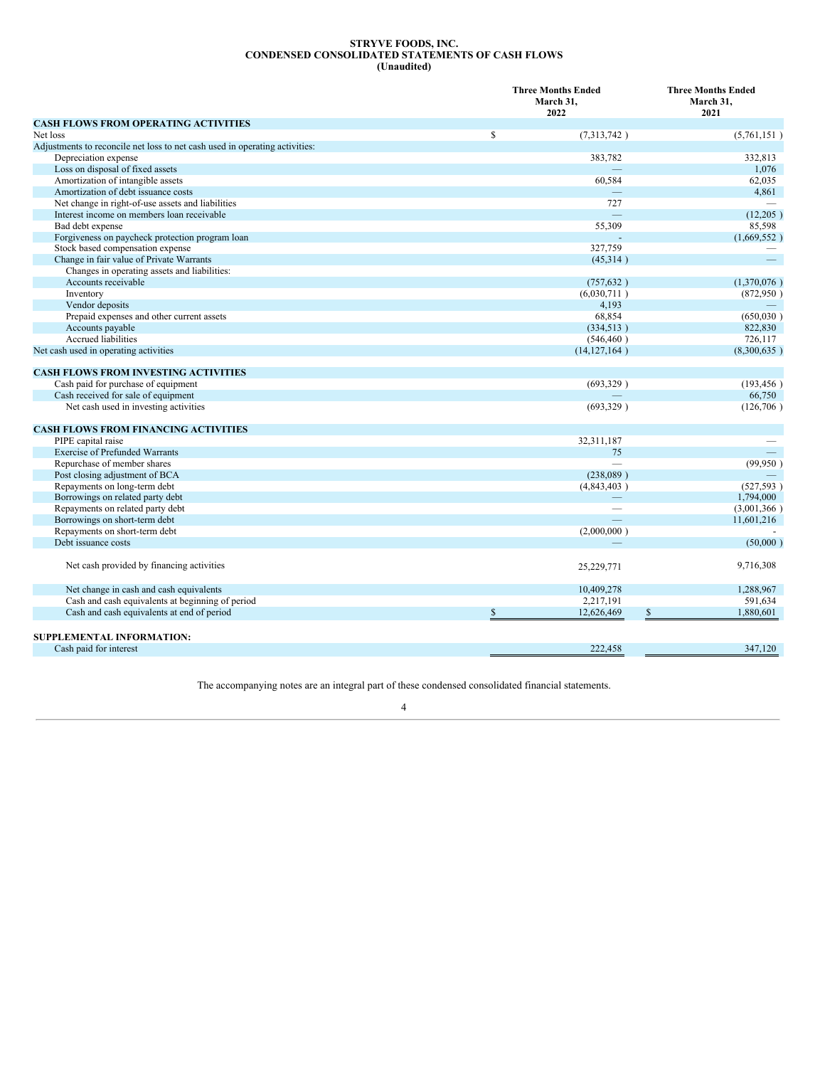#### **STRYVE FOODS, INC. CONDENSED CONSOLIDATED STATEMENTS OF CASH FLOWS (Unaudited)**

<span id="page-5-0"></span>

|                                                                             | <b>Three Months Ended</b><br>March 31,<br>2022 |                           |  |
|-----------------------------------------------------------------------------|------------------------------------------------|---------------------------|--|
| <b>CASH FLOWS FROM OPERATING ACTIVITIES</b>                                 |                                                | 2021                      |  |
| Net loss                                                                    | \$<br>(7,313,742)                              | (5,761,151)               |  |
| Adjustments to reconcile net loss to net cash used in operating activities: |                                                |                           |  |
| Depreciation expense                                                        | 383,782                                        | 332,813                   |  |
| Loss on disposal of fixed assets                                            |                                                | 1,076                     |  |
| Amortization of intangible assets                                           | 60,584                                         | 62,035                    |  |
| Amortization of debt issuance costs                                         |                                                | 4,861                     |  |
| Net change in right-of-use assets and liabilities                           | 727                                            |                           |  |
| Interest income on members loan receivable                                  | $\equiv$                                       | (12, 205)                 |  |
| Bad debt expense                                                            | 55,309                                         | 85,598                    |  |
| Forgiveness on paycheck protection program loan                             |                                                | (1,669,552)               |  |
| Stock based compensation expense                                            | 327,759                                        |                           |  |
| Change in fair value of Private Warrants                                    | (45,314)                                       |                           |  |
| Changes in operating assets and liabilities:                                |                                                |                           |  |
| Accounts receivable                                                         | (757, 632)                                     | (1,370,076)               |  |
| Inventory                                                                   | (6,030,711)                                    | (872,950)                 |  |
| Vendor deposits                                                             | 4,193                                          |                           |  |
| Prepaid expenses and other current assets                                   | 68,854                                         | (650,030)                 |  |
| Accounts payable                                                            | (334, 513)                                     | 822,830                   |  |
| Accrued liabilities                                                         | (546, 460)                                     | 726,117                   |  |
| Net cash used in operating activities                                       | (14, 127, 164)                                 | (8,300,635)               |  |
| <b>CASH FLOWS FROM INVESTING ACTIVITIES</b>                                 |                                                |                           |  |
| Cash paid for purchase of equipment                                         | (693,329)                                      | (193, 456)                |  |
| Cash received for sale of equipment                                         |                                                | 66,750                    |  |
| Net cash used in investing activities                                       | (693,329)                                      | (126,706)                 |  |
| <b>CASH FLOWS FROM FINANCING ACTIVITIES</b>                                 |                                                |                           |  |
| PIPE capital raise                                                          | 32,311,187                                     |                           |  |
| <b>Exercise of Prefunded Warrants</b>                                       | 75                                             |                           |  |
| Repurchase of member shares                                                 |                                                | (99,950)                  |  |
| Post closing adjustment of BCA                                              | (238,089)                                      |                           |  |
| Repayments on long-term debt                                                | (4,843,403)                                    | (527, 593)                |  |
| Borrowings on related party debt                                            |                                                | 1,794,000                 |  |
| Repayments on related party debt                                            |                                                | (3,001,366)               |  |
| Borrowings on short-term debt                                               |                                                | 11,601,216                |  |
| Repayments on short-term debt                                               | (2,000,000)                                    |                           |  |
| Debt issuance costs                                                         |                                                | (50,000)                  |  |
| Net cash provided by financing activities                                   | 25,229,771                                     | 9,716,308                 |  |
| Net change in cash and cash equivalents                                     | 10,409,278                                     | 1,288,967                 |  |
| Cash and cash equivalents at beginning of period                            | 2,217,191                                      | 591.634                   |  |
| Cash and cash equivalents at end of period                                  | \$<br>12,626,469                               | $\mathbb{S}$<br>1,880,601 |  |
| SUPPLEMENTAL INFORMATION:                                                   |                                                |                           |  |
| Cash paid for interest                                                      | 222.458                                        | 347,120                   |  |

The accompanying notes are an integral part of these condensed consolidated financial statements.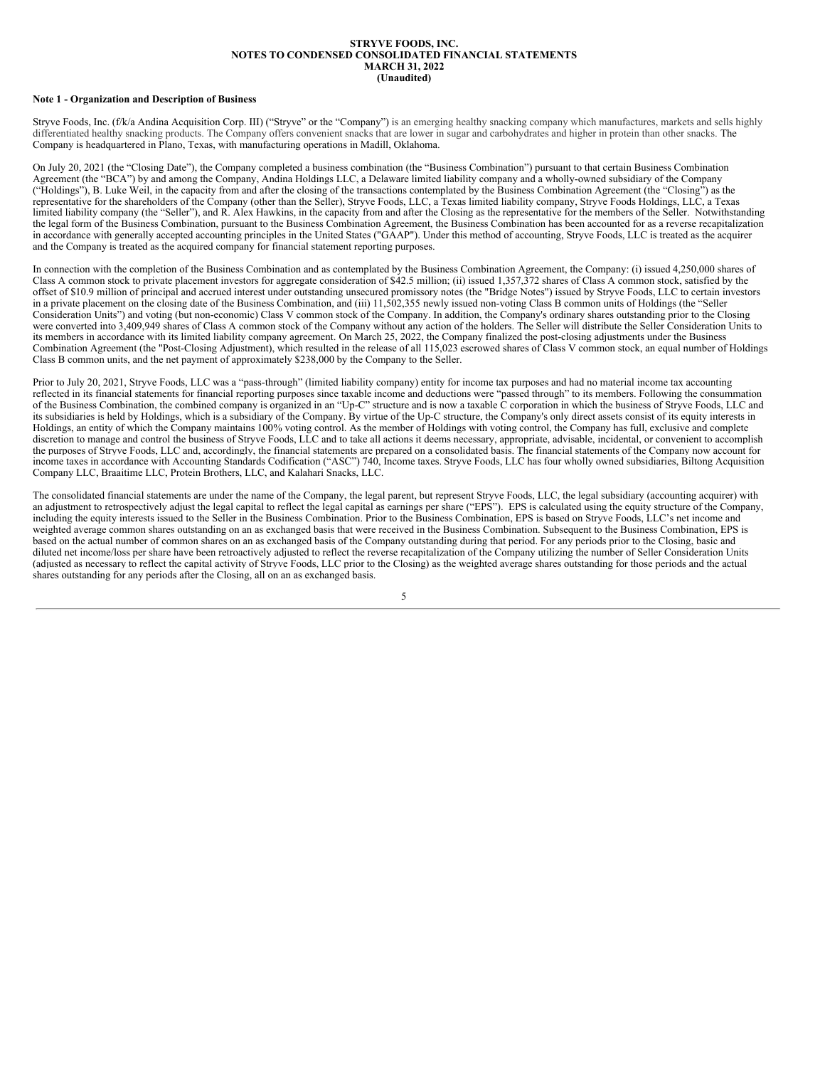#### **STRYVE FOODS, INC. NOTES TO CONDENSED CONSOLIDATED FINANCIAL STATEMENTS MARCH 31, 2022 (Unaudited)**

## <span id="page-6-0"></span>**Note 1 - Organization and Description of Business**

Stryve Foods, Inc. (f/k/a Andina Acquisition Corp. III) ("Stryve" or the "Company") is an emerging healthy snacking company which manufactures, markets and sells highly differentiated healthy snacking products. The Company offers convenient snacks that are lower in sugar and carbohydrates and higher in protein than other snacks. The Company is headquartered in Plano, Texas, with manufacturing operations in Madill, Oklahoma.

On July 20, 2021 (the "Closing Date"), the Company completed a business combination (the "Business Combination") pursuant to that certain Business Combination Agreement (the "BCA") by and among the Company, Andina Holdings LLC, a Delaware limited liability company and a wholly-owned subsidiary of the Company ("Holdings"), B. Luke Weil, in the capacity from and after the closing of the transactions contemplated by the Business Combination Agreement (the "Closing") as the representative for the shareholders of the Company (other than the Seller), Stryve Foods, LLC, a Texas limited liability company, Stryve Foods Holdings, LLC, a Texas limited liability company (the "Seller"), and R. Alex Hawkins, in the capacity from and after the Closing as the representative for the members of the Seller. Notwithstanding the legal form of the Business Combination, pursuant to the Business Combination Agreement, the Business Combination has been accounted for as a reverse recapitalization in accordance with generally accepted accounting principles in the United States ("GAAP"). Under this method of accounting, Stryve Foods, LLC is treated as the acquirer and the Company is treated as the acquired company for financial statement reporting purposes.

In connection with the completion of the Business Combination and as contemplated by the Business Combination Agreement, the Company: (i) issued 4,250,000 shares of Class A common stock to private placement investors for aggregate consideration of \$42.5 million; (ii) issued 1,357,372 shares of Class A common stock, satisfied by the offset of \$10.9 million of principal and accrued interest under outstanding unsecured promissory notes (the "Bridge Notes") issued by Stryve Foods, LLC to certain investors in a private placement on the closing date of the Business Combination, and (iii) 11,502,355 newly issued non-voting Class B common units of Holdings (the "Seller Consideration Units") and voting (but non-economic) Class V common stock of the Company. In addition, the Company's ordinary shares outstanding prior to the Closing were converted into 3,409,949 shares of Class A common stock of the Company without any action of the holders. The Seller will distribute the Seller Consideration Units to its members in accordance with its limited liability company agreement. On March 25, 2022, the Company finalized the post-closing adjustments under the Business Combination Agreement (the "Post-Closing Adjustment), which resulted in the release of all 115,023 escrowed shares of Class V common stock, an equal number of Holdings Class B common units, and the net payment of approximately \$238,000 by the Company to the Seller.

Prior to July 20, 2021, Stryve Foods, LLC was a "pass-through" (limited liability company) entity for income tax purposes and had no material income tax accounting reflected in its financial statements for financial reporting purposes since taxable income and deductions were "passed through" to its members. Following the consummation of the Business Combination, the combined company is organized in an "Up-C" structure and is now a taxable C corporation in which the business of Stryve Foods, LLC and its subsidiaries is held by Holdings, which is a subsidiary of the Company. By virtue of the Up-C structure, the Company's only direct assets consist of its equity interests in Holdings, an entity of which the Company maintains 100% voting control. As the member of Holdings with voting control, the Company has full, exclusive and complete discretion to manage and control the business of Stryve Foods, LLC and to take all actions it deems necessary, appropriate, advisable, incidental, or convenient to accomplish the purposes of Stryve Foods, LLC and, accordingly, the financial statements are prepared on a consolidated basis. The financial statements of the Company now account for income taxes in accordance with Accounting Standards Codification ("ASC") 740, Income taxes. Stryve Foods, LLC has four wholly owned subsidiaries, Biltong Acquisition Company LLC, Braaitime LLC, Protein Brothers, LLC, and Kalahari Snacks, LLC.

The consolidated financial statements are under the name of the Company, the legal parent, but represent Stryve Foods, LLC, the legal subsidiary (accounting acquirer) with an adjustment to retrospectively adjust the legal capital to reflect the legal capital as earnings per share ("EPS"). EPS is calculated using the equity structure of the Company, including the equity interests issued to the Seller in the Business Combination. Prior to the Business Combination, EPS is based on Stryve Foods, LLC's net income and weighted average common shares outstanding on an as exchanged basis that were received in the Business Combination. Subsequent to the Business Combination, EPS is based on the actual number of common shares on an as exchanged basis of the Company outstanding during that period. For any periods prior to the Closing, basic and diluted net income/loss per share have been retroactively adjusted to reflect the reverse recapitalization of the Company utilizing the number of Seller Consideration Units (adjusted as necessary to reflect the capital activity of Stryve Foods, LLC prior to the Closing) as the weighted average shares outstanding for those periods and the actual shares outstanding for any periods after the Closing, all on an as exchanged basis.

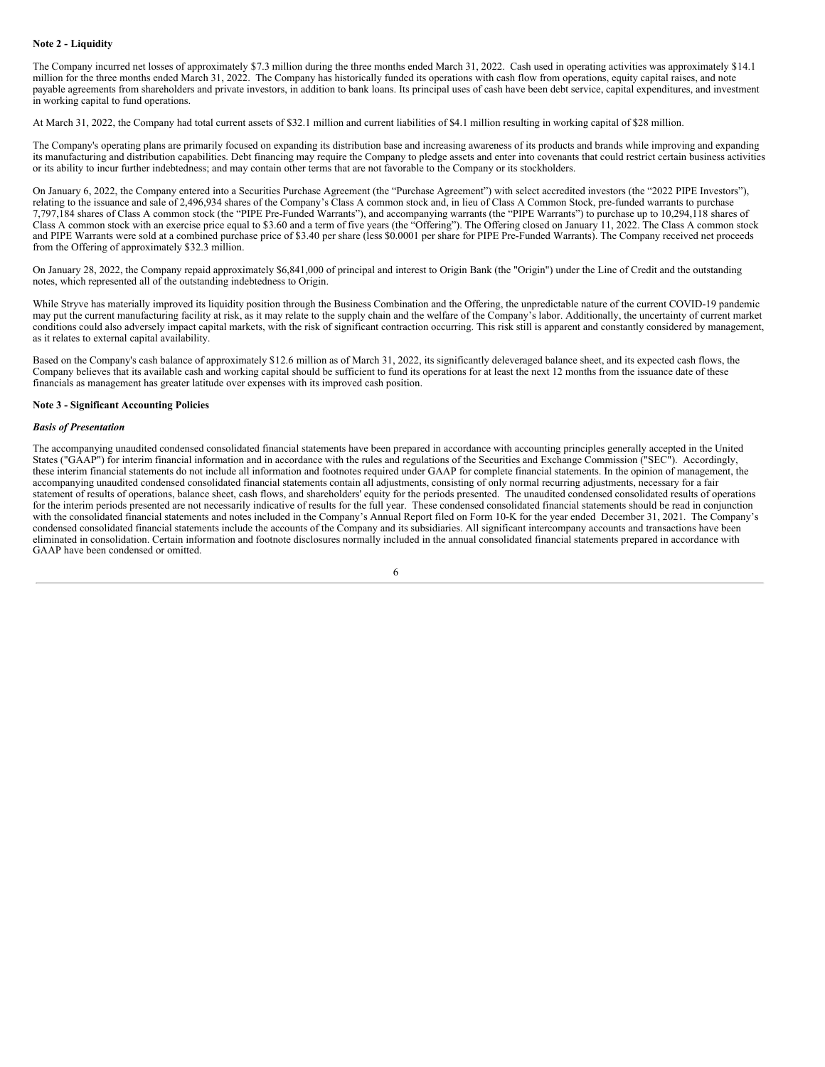## **Note 2 - Liquidity**

The Company incurred net losses of approximately \$7.3 million during the three months ended March 31, 2022. Cash used in operating activities was approximately \$14.1 million for the three months ended March 31, 2022. The Company has historically funded its operations with cash flow from operations, equity capital raises, and note payable agreements from shareholders and private investors, in addition to bank loans. Its principal uses of cash have been debt service, capital expenditures, and investment in working capital to fund operations.

At March 31, 2022, the Company had total current assets of \$32.1 million and current liabilities of \$4.1 million resulting in working capital of \$28 million.

The Company's operating plans are primarily focused on expanding its distribution base and increasing awareness of its products and brands while improving and expanding its manufacturing and distribution capabilities. Debt financing may require the Company to pledge assets and enter into covenants that could restrict certain business activities or its ability to incur further indebtedness; and may contain other terms that are not favorable to the Company or its stockholders.

On January 6, 2022, the Company entered into a Securities Purchase Agreement (the "Purchase Agreement") with select accredited investors (the "2022 PIPE Investors"), relating to the issuance and sale of 2,496,934 shares of the Company's Class A common stock and, in lieu of Class A Common Stock, pre-funded warrants to purchase 7,797,184 shares of Class A common stock (the "PIPE Pre-Funded Warrants"), and accompanying warrants (the "PIPE Warrants") to purchase up to 10,294,118 shares of Class A common stock with an exercise price equal to \$3.60 and a term of five years (the "Offering"). The Offering closed on January 11, 2022. The Class A common stock and PIPE Warrants were sold at a combined purchase price of \$3.40 per share (less \$0.0001 per share for PIPE Pre-Funded Warrants). The Company received net proceeds from the Offering of approximately \$32.3 million.

On January 28, 2022, the Company repaid approximately \$6,841,000 of principal and interest to Origin Bank (the "Origin") under the Line of Credit and the outstanding notes, which represented all of the outstanding indebtedness to Origin.

While Stryve has materially improved its liquidity position through the Business Combination and the Offering, the unpredictable nature of the current COVID-19 pandemic may put the current manufacturing facility at risk, as it may relate to the supply chain and the welfare of the Company's labor. Additionally, the uncertainty of current market conditions could also adversely impact capital markets, with the risk of significant contraction occurring. This risk still is apparent and constantly considered by management, as it relates to external capital availability.

Based on the Company's cash balance of approximately \$12.6 million as of March 31, 2022, its significantly deleveraged balance sheet, and its expected cash flows, the Company believes that its available cash and working capital should be sufficient to fund its operations for at least the next 12 months from the issuance date of these financials as management has greater latitude over expenses with its improved cash position.

#### **Note 3 - Significant Accounting Policies**

#### *Basis of Presentation*

The accompanying unaudited condensed consolidated financial statements have been prepared in accordance with accounting principles generally accepted in the United States ("GAAP") for interim financial information and in accordance with the rules and regulations of the Securities and Exchange Commission ("SEC"). Accordingly, these interim financial statements do not include all information and footnotes required under GAAP for complete financial statements. In the opinion of management, the accompanying unaudited condensed consolidated financial statements contain all adjustments, consisting of only normal recurring adjustments, necessary for a fair statement of results of operations, balance sheet, cash flows, and shareholders' equity for the periods presented. The unaudited condensed consolidated results of operations for the interim periods presented are not necessarily indicative of results for the full year. These condensed consolidated financial statements should be read in conjunction with the consolidated financial statements and notes included in the Company's Annual Report filed on Form 10-K for the year ended December 31, 2021. The Company's condensed consolidated financial statements include the accounts of the Company and its subsidiaries. All significant intercompany accounts and transactions have been eliminated in consolidation. Certain information and footnote disclosures normally included in the annual consolidated financial statements prepared in accordance with GAAP have been condensed or omitted.

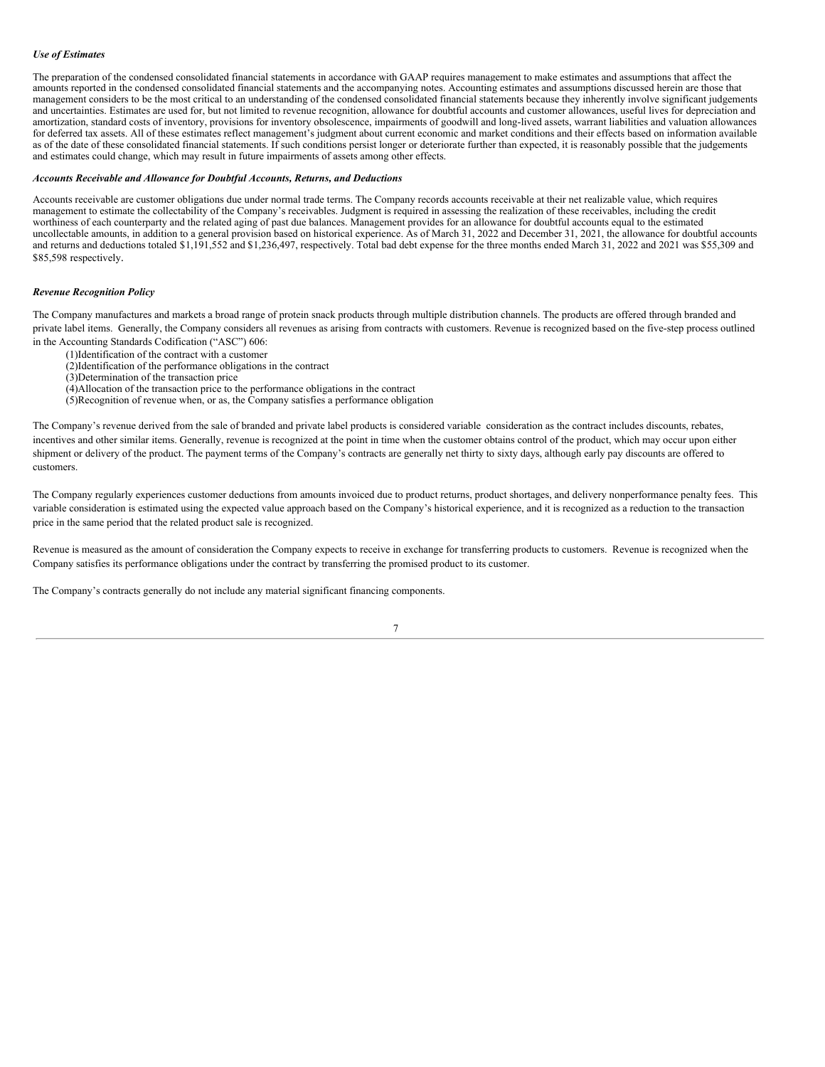## *Use of Estimates*

The preparation of the condensed consolidated financial statements in accordance with GAAP requires management to make estimates and assumptions that affect the amounts reported in the condensed consolidated financial statements and the accompanying notes. Accounting estimates and assumptions discussed herein are those that management considers to be the most critical to an understanding of the condensed consolidated financial statements because they inherently involve significant judgements and uncertainties. Estimates are used for, but not limited to revenue recognition, allowance for doubtful accounts and customer allowances, useful lives for depreciation and amortization, standard costs of inventory, provisions for inventory obsolescence, impairments of goodwill and long-lived assets, warrant liabilities and valuation allowances for deferred tax assets. All of these estimates reflect management's judgment about current economic and market conditions and their effects based on information available as of the date of these consolidated financial statements. If such conditions persist longer or deteriorate further than expected, it is reasonably possible that the judgements and estimates could change, which may result in future impairments of assets among other effects.

## *Accounts Receivable and Allowance for Doubtful Accounts, Returns, and Deductions*

Accounts receivable are customer obligations due under normal trade terms. The Company records accounts receivable at their net realizable value, which requires management to estimate the collectability of the Company's receivables. Judgment is required in assessing the realization of these receivables, including the credit worthiness of each counterparty and the related aging of past due balances. Management provides for an allowance for doubtful accounts equal to the estimated uncollectable amounts, in addition to a general provision based on historical experience. As of March 31, 2022 and December 31, 2021, the allowance for doubtful accounts and returns and deductions totaled \$1,191,552 and \$1,236,497, respectively. Total bad debt expense for the three months ended March 31, 2022 and 2021 was \$55,309 and \$85,598 respectively.

#### *Revenue Recognition Policy*

The Company manufactures and markets a broad range of protein snack products through multiple distribution channels. The products are offered through branded and private label items. Generally, the Company considers all revenues as arising from contracts with customers. Revenue is recognized based on the five-step process outlined in the Accounting Standards Codification ("ASC") 606:

- (1)Identification of the contract with a customer
- (2)Identification of the performance obligations in the contract
- (3)Determination of the transaction price
- $\hat{A}$ )Allocation of the transaction price to the performance obligations in the contract
- (5)Recognition of revenue when, or as, the Company satisfies a performance obligation

The Company's revenue derived from the sale of branded and private label products is considered variable consideration as the contract includes discounts, rebates, incentives and other similar items. Generally, revenue is recognized at the point in time when the customer obtains control of the product, which may occur upon either shipment or delivery of the product. The payment terms of the Company's contracts are generally net thirty to sixty days, although early pay discounts are offered to customers.

The Company regularly experiences customer deductions from amounts invoiced due to product returns, product shortages, and delivery nonperformance penalty fees. This variable consideration is estimated using the expected value approach based on the Company's historical experience, and it is recognized as a reduction to the transaction price in the same period that the related product sale is recognized.

Revenue is measured as the amount of consideration the Company expects to receive in exchange for transferring products to customers. Revenue is recognized when the Company satisfies its performance obligations under the contract by transferring the promised product to its customer.

The Company's contracts generally do not include any material significant financing components.

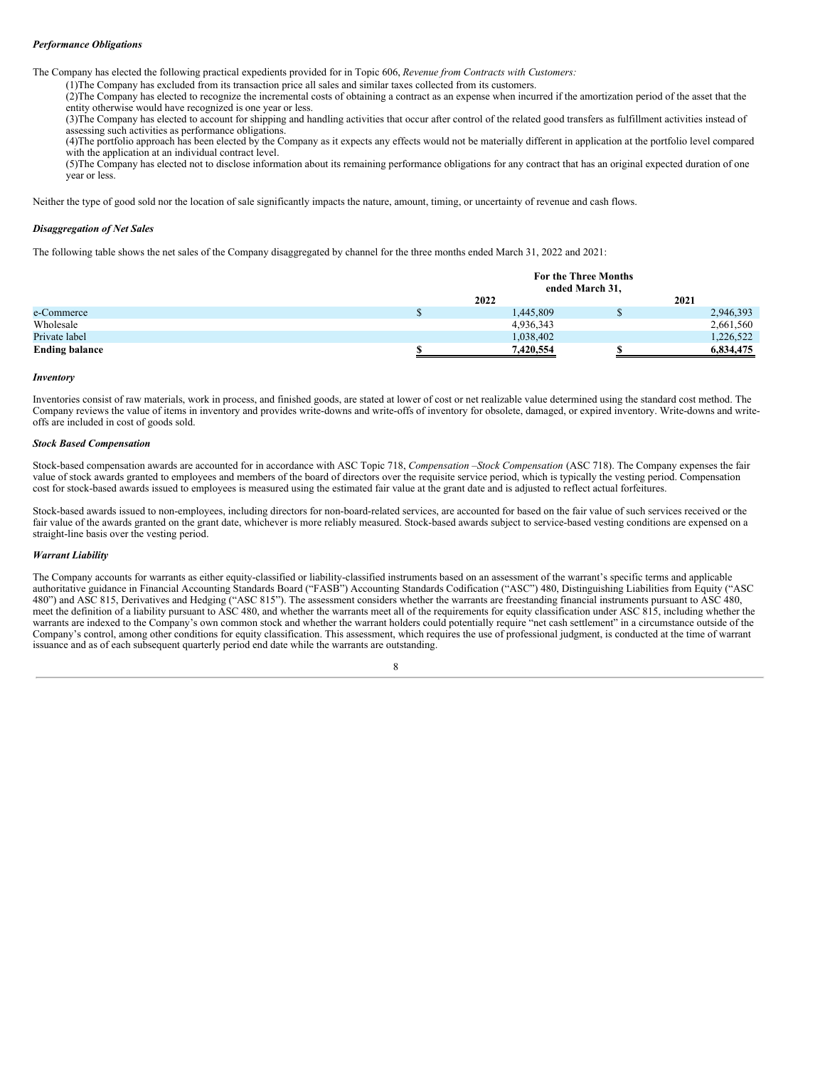## *Performance Obligations*

The Company has elected the following practical expedients provided for in Topic 606, *Revenue from Contracts with Customers:*

(1)The Company has excluded from its transaction price all sales and similar taxes collected from its customers.

(2)The Company has elected to recognize the incremental costs of obtaining a contract as an expense when incurred if the amortization period of the asset that the entity otherwise would have recognized is one year or less.

(3)The Company has elected to account for shipping and handling activities that occur after control of the related good transfers as fulfillment activities instead of assessing such activities as performance obligations.

(4)The portfolio approach has been elected by the Company as it expects any effects would not be materially different in application at the portfolio level compared with the application at an individual contract level.

(5)The Company has elected not to disclose information about its remaining performance obligations for any contract that has an original expected duration of one year or less.

Neither the type of good sold nor the location of sale significantly impacts the nature, amount, timing, or uncertainty of revenue and cash flows.

## *Disaggregation of Net Sales*

The following table shows the net sales of the Company disaggregated by channel for the three months ended March 31, 2022 and 2021:

|                       | For the Three Months<br>ended March 31, |  |           |  |  |
|-----------------------|-----------------------------------------|--|-----------|--|--|
|                       | 2022                                    |  | 2021      |  |  |
| e-Commerce            | 1,445,809                               |  | 2,946,393 |  |  |
| Wholesale             | 4,936,343                               |  | 2,661,560 |  |  |
| Private label         | 1,038,402                               |  | 1,226,522 |  |  |
| <b>Ending balance</b> | 7,420,554                               |  | 6,834,475 |  |  |

## *Inventory*

Inventories consist of raw materials, work in process, and finished goods, are stated at lower of cost or net realizable value determined using the standard cost method. The Company reviews the value of items in inventory and provides write-downs and write-offs of inventory for obsolete, damaged, or expired inventory. Write-downs and writeoffs are included in cost of goods sold.

## *Stock Based Compensation*

Stock-based compensation awards are accounted for in accordance with ASC Topic 718, *Compensation –Stock Compensation* (ASC 718). The Company expenses the fair value of stock awards granted to employees and members of the board of directors over the requisite service period, which is typically the vesting period. Compensation cost for stock-based awards issued to employees is measured using the estimated fair value at the grant date and is adjusted to reflect actual forfeitures.

Stock-based awards issued to non-employees, including directors for non-board-related services, are accounted for based on the fair value of such services received or the fair value of the awards granted on the grant date, whichever is more reliably measured. Stock-based awards subject to service-based vesting conditions are expensed on a straight-line basis over the vesting period.

## *Warrant Liability*

The Company accounts for warrants as either equity-classified or liability-classified instruments based on an assessment of the warrant's specific terms and applicable authoritative guidance in Financial Accounting Standards Board ("FASB") Accounting Standards Codification ("ASC") 480, Distinguishing Liabilities from Equity ("ASC 480") and ASC 815, Derivatives and Hedging ("ASC 815"). The assessment considers whether the warrants are freestanding financial instruments pursuant to ASC 480, meet the definition of a liability pursuant to ASC 480, and whether the warrants meet all of the requirements for equity classification under ASC 815, including whether the warrants are indexed to the Company's own common stock and whether the warrant holders could potentially require "net cash settlement" in a circumstance outside of the Company's control, among other conditions for equity classification. This assessment, which requires the use of professional judgment, is conducted at the time of warrant issuance and as of each subsequent quarterly period end date while the warrants are outstanding.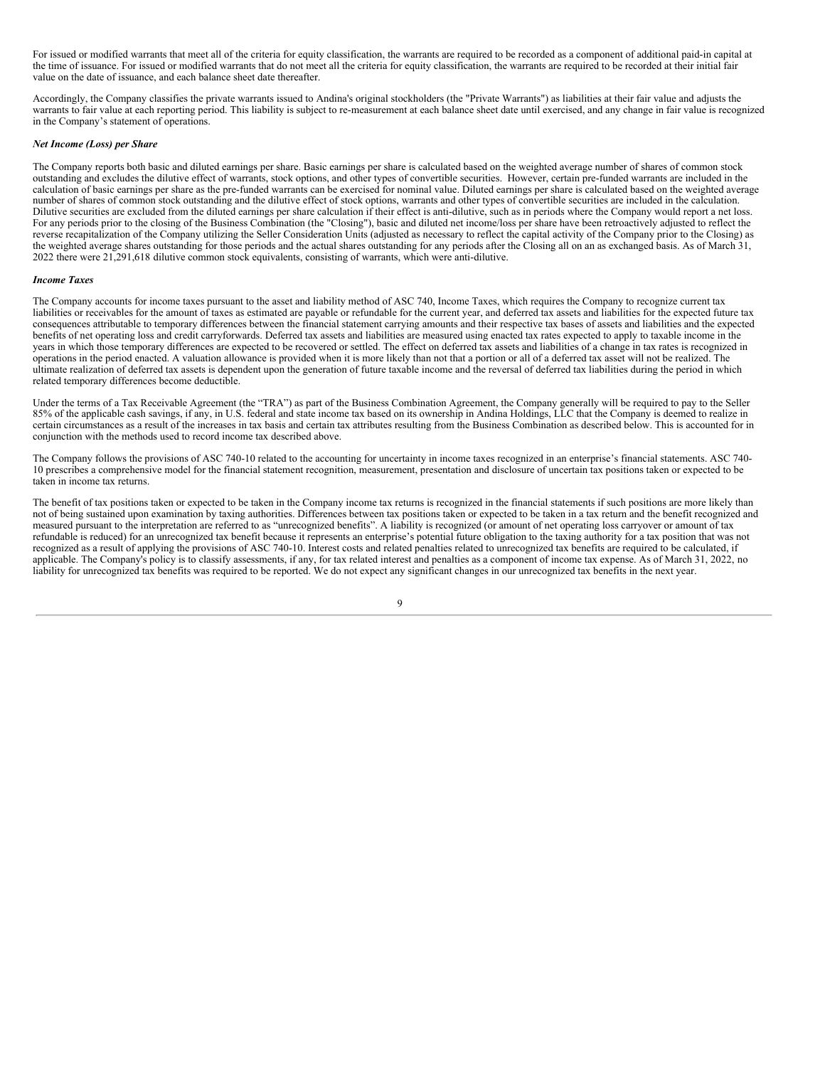For issued or modified warrants that meet all of the criteria for equity classification, the warrants are required to be recorded as a component of additional paid-in capital at the time of issuance. For issued or modified warrants that do not meet all the criteria for equity classification, the warrants are required to be recorded at their initial fair value on the date of issuance, and each balance sheet date thereafter.

Accordingly, the Company classifies the private warrants issued to Andina's original stockholders (the "Private Warrants") as liabilities at their fair value and adjusts the warrants to fair value at each reporting period. This liability is subject to re-measurement at each balance sheet date until exercised, and any change in fair value is recognized in the Company's statement of operations.

#### *Net Income (Loss) per Share*

The Company reports both basic and diluted earnings per share. Basic earnings per share is calculated based on the weighted average number of shares of common stock outstanding and excludes the dilutive effect of warrants, stock options, and other types of convertible securities. However, certain pre-funded warrants are included in the calculation of basic earnings per share as the pre-funded warrants can be exercised for nominal value. Diluted earnings per share is calculated based on the weighted average number of shares of common stock outstanding and the dilutive effect of stock options, warrants and other types of convertible securities are included in the calculation. Dilutive securities are excluded from the diluted earnings per share calculation if their effect is anti-dilutive, such as in periods where the Company would report a net loss. For any periods prior to the closing of the Business Combination (the "Closing"), basic and diluted net income/loss per share have been retroactively adjusted to reflect the reverse recapitalization of the Company utilizing the Seller Consideration Units (adjusted as necessary to reflect the capital activity of the Company prior to the Closing) as the weighted average shares outstanding for those periods and the actual shares outstanding for any periods after the Closing all on an as exchanged basis. As of March 31, 2022 there were 21,291,618 dilutive common stock equivalents, consisting of warrants, which were anti-dilutive.

#### *Income Taxes*

The Company accounts for income taxes pursuant to the asset and liability method of ASC 740, Income Taxes, which requires the Company to recognize current tax liabilities or receivables for the amount of taxes as estimated are payable or refundable for the current year, and deferred tax assets and liabilities for the expected future tax consequences attributable to temporary differences between the financial statement carrying amounts and their respective tax bases of assets and liabilities and the expected benefits of net operating loss and credit carryforwards. Deferred tax assets and liabilities are measured using enacted tax rates expected to apply to taxable income in the years in which those temporary differences are expected to be recovered or settled. The effect on deferred tax assets and liabilities of a change in tax rates is recognized in operations in the period enacted. A valuation allowance is provided when it is more likely than not that a portion or all of a deferred tax asset will not be realized. The ultimate realization of deferred tax assets is dependent upon the generation of future taxable income and the reversal of deferred tax liabilities during the period in which related temporary differences become deductible.

Under the terms of a Tax Receivable Agreement (the "TRA") as part of the Business Combination Agreement, the Company generally will be required to pay to the Seller 85% of the applicable cash savings, if any, in U.S. federal and state income tax based on its ownership in Andina Holdings, LLC that the Company is deemed to realize in certain circumstances as a result of the increases in tax basis and certain tax attributes resulting from the Business Combination as described below. This is accounted for in conjunction with the methods used to record income tax described above.

The Company follows the provisions of ASC 740-10 related to the accounting for uncertainty in income taxes recognized in an enterprise's financial statements. ASC 740- 10 prescribes a comprehensive model for the financial statement recognition, measurement, presentation and disclosure of uncertain tax positions taken or expected to be taken in income tax returns.

The benefit of tax positions taken or expected to be taken in the Company income tax returns is recognized in the financial statements if such positions are more likely than not of being sustained upon examination by taxing authorities. Differences between tax positions taken or expected to be taken in a tax return and the benefit recognized and measured pursuant to the interpretation are referred to as "unrecognized benefits". A liability is recognized (or amount of net operating loss carryover or amount of tax refundable is reduced) for an unrecognized tax benefit because it represents an enterprise's potential future obligation to the taxing authority for a tax position that was not recognized as a result of applying the provisions of ASC 740-10. Interest costs and related penalties related to unrecognized tax benefits are required to be calculated, if applicable. The Company's policy is to classify assessments, if any, for tax related interest and penalties as a component of income tax expense. As of March 31, 2022, no liability for unrecognized tax benefits was required to be reported. We do not expect any significant changes in our unrecognized tax benefits in the next year.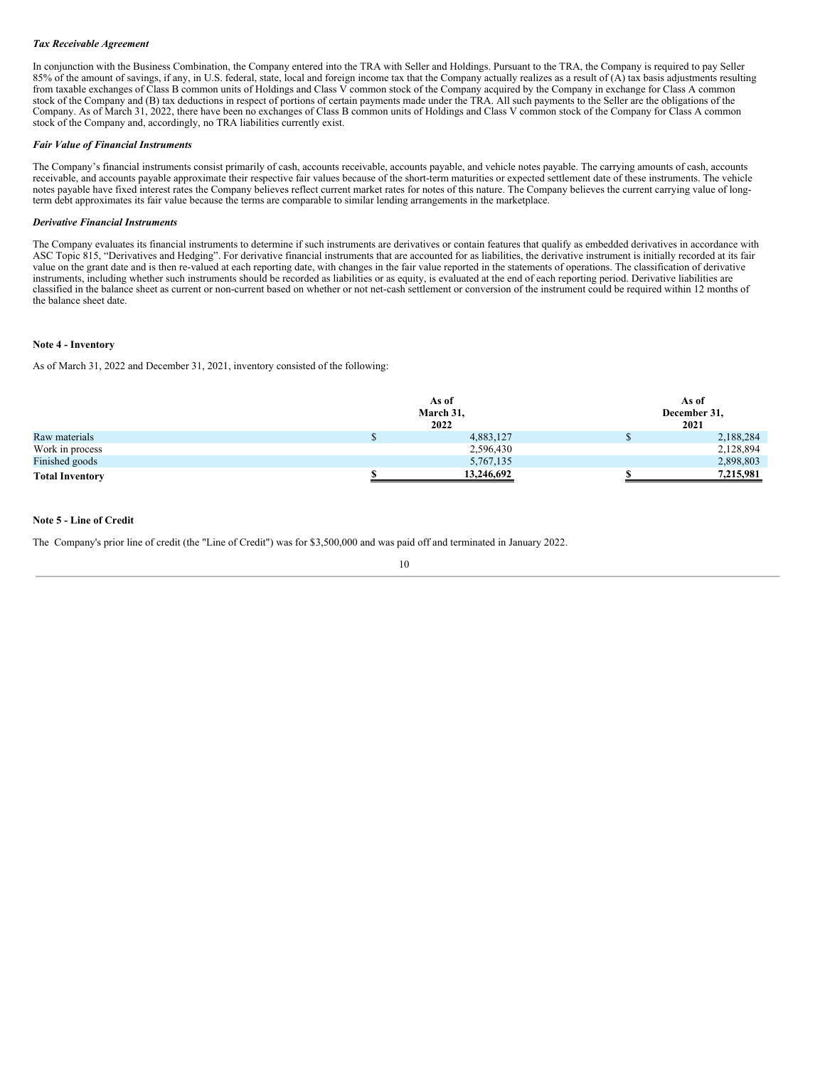## *Tax Receivable Agreement*

In conjunction with the Business Combination, the Company entered into the TRA with Seller and Holdings. Pursuant to the TRA, the Company is required to pay Seller 85% of the amount of savings, if any, in U.S. federal, state, local and foreign income tax that the Company actually realizes as a result of (A) tax basis adjustments resulting from taxable exchanges of Class B common units of Holdings and Class V common stock of the Company acquired by the Company in exchange for Class A common stock of the Company and (B) tax deductions in respect of portions of certain payments made under the TRA. All such payments to the Seller are the obligations of the Company. As of March 31, 2022, there have been no exchanges of Class B common units of Holdings and Class V common stock of the Company for Class A common stock of the Company and, accordingly, no TRA liabilities currently exist.

#### *Fair Value of Financial Instruments*

The Company's financial instruments consist primarily of cash, accounts receivable, accounts payable, and vehicle notes payable. The carrying amounts of cash, accounts receivable, and accounts payable approximate their respective fair values because of the short-term maturities or expected settlement date of these instruments. The vehicle notes payable have fixed interest rates the Company believes reflect current market rates for notes of this nature. The Company believes the current carrying value of longterm debt approximates its fair value because the terms are comparable to similar lending arrangements in the marketplace.

#### *Derivative Financial Instruments*

The Company evaluates its financial instruments to determine if such instruments are derivatives or contain features that qualify as embedded derivatives in accordance with ASC Topic 815, "Derivatives and Hedging". For derivative financial instruments that are accounted for as liabilities, the derivative instrument is initially recorded at its fair value on the grant date and is then re-valued at each reporting date, with changes in the fair value reported in the statements of operations. The classification of derivative instruments, including whether such instruments should be recorded as liabilities or as equity, is evaluated at the end of each reporting period. Derivative liabilities are classified in the balance sheet as current or non-current based on whether or not net-cash settlement or conversion of the instrument could be required within 12 months of the balance sheet date.

#### **Note 4 - Inventory**

As of March 31, 2022 and December 31, 2021, inventory consisted of the following:

|                        | As of<br>March 31,<br>2022 | As of<br>December 31,<br>2021 |           |  |
|------------------------|----------------------------|-------------------------------|-----------|--|
| Raw materials          | 4,883,127                  |                               | 2,188,284 |  |
| Work in process        | 2,596,430                  |                               | 2,128,894 |  |
| Finished goods         | 5,767,135                  |                               | 2,898,803 |  |
| <b>Total Inventory</b> | 13,246,692                 |                               | 7,215,981 |  |

## **Note 5 - Line of Credit**

The Company's prior line of credit (the "Line of Credit") was for \$3,500,000 and was paid off and terminated in January 2022.

$$
10\quad
$$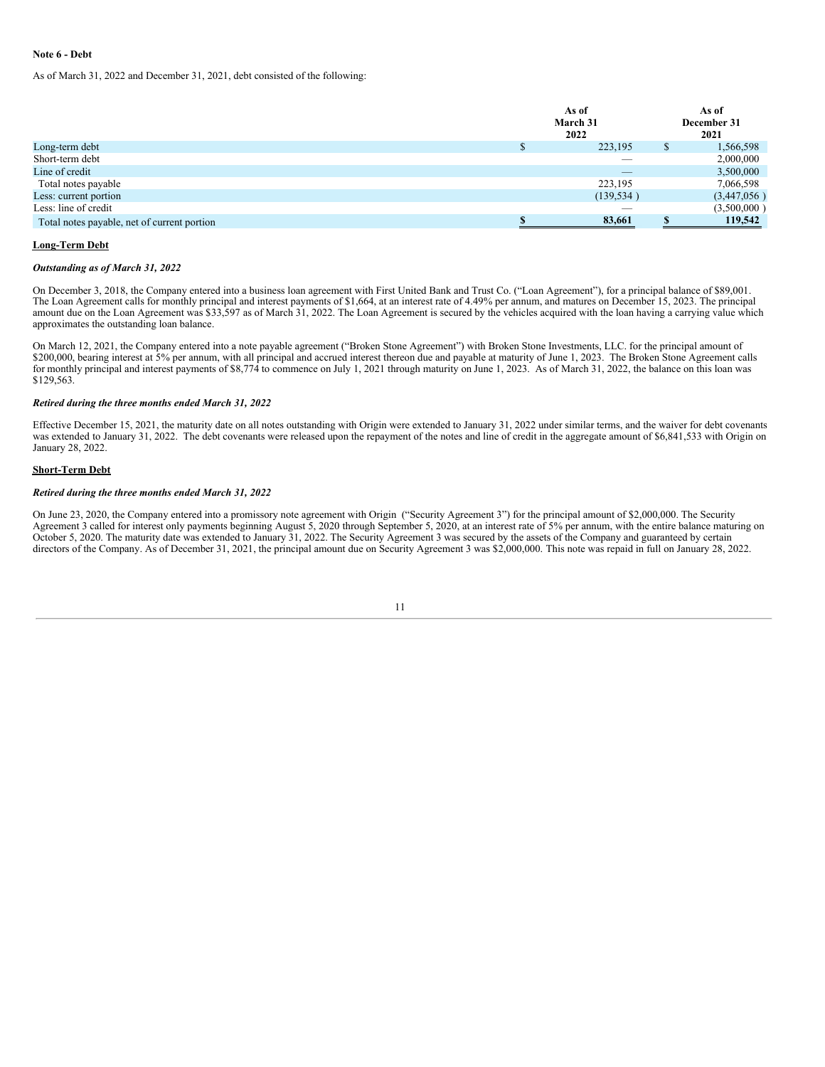## **Note 6 - Debt**

As of March 31, 2022 and December 31, 2021, debt consisted of the following:

|                                             | As of<br>March 31<br>2022 | As of<br>December 31<br>2021 |
|---------------------------------------------|---------------------------|------------------------------|
| Long-term debt                              | 223,195                   | \$<br>1,566,598              |
| Short-term debt                             | $\overline{\phantom{a}}$  | 2,000,000                    |
| Line of credit                              | $\overline{\phantom{a}}$  | 3,500,000                    |
| Total notes payable                         | 223,195                   | 7,066,598                    |
| Less: current portion                       | (139, 534)                | (3,447,056)                  |
| Less: line of credit                        |                           | (3,500,000)                  |
| Total notes payable, net of current portion | 83,661                    | 119,542                      |

#### **Long-Term Debt**

#### *Outstanding as of March 31, 2022*

On December 3, 2018, the Company entered into a business loan agreement with First United Bank and Trust Co. ("Loan Agreement"), for a principal balance of \$89,001. The Loan Agreement calls for monthly principal and interest payments of \$1,664, at an interest rate of 4.49% per annum, and matures on December 15, 2023. The principal amount due on the Loan Agreement was \$33,597 as of March 31, 2022. The Loan Agreement is secured by the vehicles acquired with the loan having a carrying value which approximates the outstanding loan balance.

On March 12, 2021, the Company entered into a note payable agreement ("Broken Stone Agreement") with Broken Stone Investments, LLC. for the principal amount of \$200,000, bearing interest at 5% per annum, with all principal and accrued interest thereon due and payable at maturity of June 1, 2023. The Broken Stone Agreement calls for monthly principal and interest payments of \$8,774 to commence on July 1, 2021 through maturity on June 1, 2023. As of March 31, 2022, the balance on this loan was \$129,563.

## *Retired during the three months ended March 31, 2022*

Effective December 15, 2021, the maturity date on all notes outstanding with Origin were extended to January 31, 2022 under similar terms, and the waiver for debt covenants was extended to January 31, 2022. The debt covenants were released upon the repayment of the notes and line of credit in the aggregate amount of \$6,841,533 with Origin on January 28, 2022.

#### **Short-Term Debt**

#### *Retired during the three months ended March 31, 2022*

On June 23, 2020, the Company entered into a promissory note agreement with Origin ("Security Agreement 3") for the principal amount of \$2,000,000. The Security Agreement 3 called for interest only payments beginning August 5, 2020 through September 5, 2020, at an interest rate of 5% per annum, with the entire balance maturing on October 5, 2020. The maturity date was extended to January 31, 2022. The Security Agreement 3 was secured by the assets of the Company and guaranteed by certain directors of the Company. As of December 31, 2021, the principal amount due on Security Agreement 3 was \$2,000,000. This note was repaid in full on January 28, 2022.

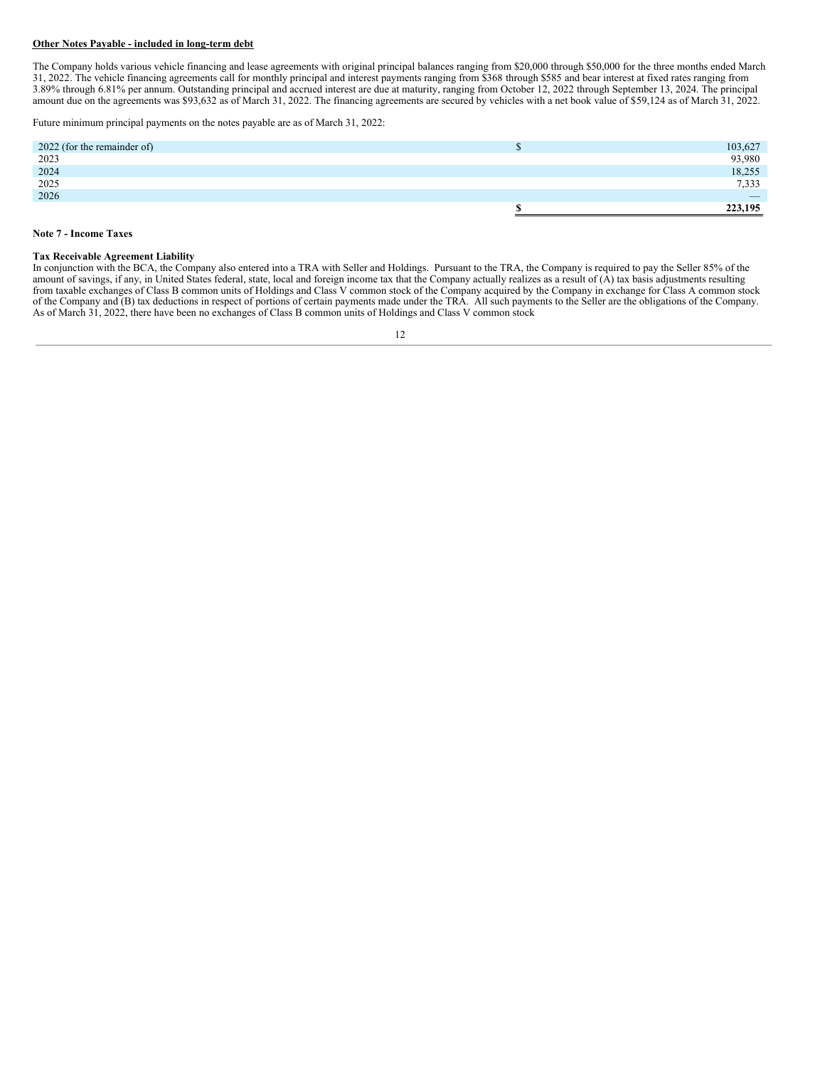## **Other Notes Payable - included in long-term debt**

The Company holds various vehicle financing and lease agreements with original principal balances ranging from \$20,000 through \$50,000 for the three months ended March 31, 2022. The vehicle financing agreements call for monthly principal and interest payments ranging from \$368 through \$585 and bear interest at fixed rates ranging from 3.89% through 6.81% per annum. Outstanding principal and accrued interest are due at maturity, ranging from October 12, 2022 through September 13, 2024. The principal amount due on the agreements was \$93,632 as of March 31, 2022. The financing agreements are secured by vehicles with a net book value of \$59,124 as of March 31, 2022.

Future minimum principal payments on the notes payable are as of March 31, 2022:

| 2022 (for the remainder of) | رں | 103,627                  |
|-----------------------------|----|--------------------------|
| 2023                        |    | 93,980                   |
| 2024                        |    | 18,255                   |
| 2025                        |    | 7,333                    |
| 2026                        |    | $\overline{\phantom{a}}$ |
|                             |    | 223,195                  |

#### **Note 7 - Income Taxes**

#### **Tax Receivable Agreement Liability**

In conjunction with the BCA, the Company also entered into a TRA with Seller and Holdings. Pursuant to the TRA, the Company is required to pay the Seller 85% of the amount of savings, if any, in United States federal, state, local and foreign income tax that the Company actually realizes as a result of (A) tax basis adjustments resulting from taxable exchanges of Class B common units of Holdings and Class V common stock of the Company acquired by the Company in exchange for Class A common stock of the Company and (B) tax deductions in respect of portions of certain payments made under the TRA. All such payments to the Seller are the obligations of the Company. As of March 31, 2022, there have been no exchanges of Class B common units of Holdings and Class V common stock

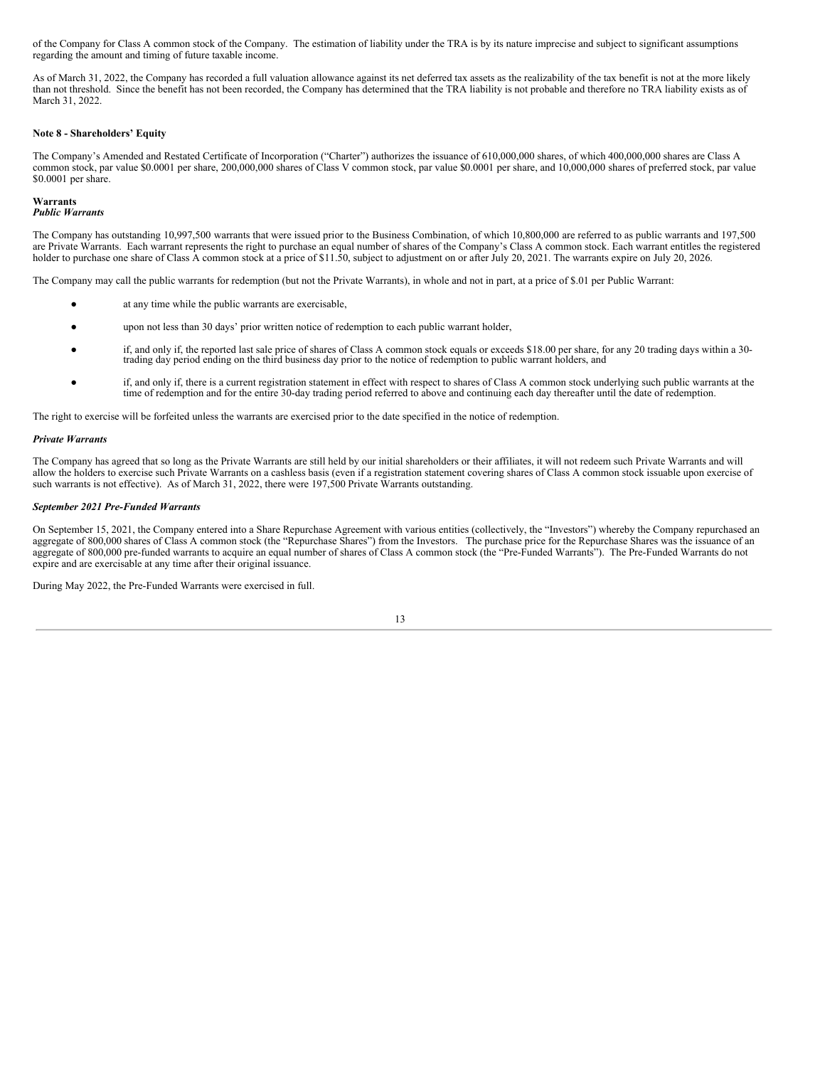of the Company for Class A common stock of the Company. The estimation of liability under the TRA is by its nature imprecise and subject to significant assumptions regarding the amount and timing of future taxable income.

As of March 31, 2022, the Company has recorded a full valuation allowance against its net deferred tax assets as the realizability of the tax benefit is not at the more likely than not threshold. Since the benefit has not been recorded, the Company has determined that the TRA liability is not probable and therefore no TRA liability exists as of March 31, 2022.

#### **Note 8 - Shareholders' Equity**

The Company's Amended and Restated Certificate of Incorporation ("Charter") authorizes the issuance of 610,000,000 shares, of which 400,000,000 shares are Class A common stock, par value \$0.0001 per share, 200,000,000 shares of Class V common stock, par value \$0.0001 per share, and 10,000,000 shares of preferred stock, par value \$0.0001 per share.

## **Warrants**

*Public Warrants*

The Company has outstanding 10,997,500 warrants that were issued prior to the Business Combination, of which 10,800,000 are referred to as public warrants and 197,500 are Private Warrants. Each warrant represents the right to purchase an equal number of shares of the Company's Class A common stock. Each warrant entitles the registered holder to purchase one share of Class A common stock at a price of \$11.50, subject to adjustment on or after July 20, 2021. The warrants expire on July 20, 2026.

The Company may call the public warrants for redemption (but not the Private Warrants), in whole and not in part, at a price of \$.01 per Public Warrant:

- at any time while the public warrants are exercisable,
- upon not less than 30 days' prior written notice of redemption to each public warrant holder,
- if, and only if, the reported last sale price of shares of Class A common stock equals or exceeds \$18.00 per share, for any 20 trading days within a 30 trading day period ending on the third business day prior to the notice of redemption to public warrant holders, and
- if, and only if, there is a current registration statement in effect with respect to shares of Class A common stock underlying such public warrants at the time of redemption and for the entire 30-day trading period referred to above and continuing each day thereafter until the date of redemption.

The right to exercise will be forfeited unless the warrants are exercised prior to the date specified in the notice of redemption.

#### *Private Warrants*

The Company has agreed that so long as the Private Warrants are still held by our initial shareholders or their affiliates, it will not redeem such Private Warrants and will allow the holders to exercise such Private Warrants on a cashless basis (even if a registration statement covering shares of Class A common stock issuable upon exercise of such warrants is not effective). As of March 31, 2022, there were 197,500 Private Warrants outstanding.

#### *September 2021 Pre-Funded Warrants*

On September 15, 2021, the Company entered into a Share Repurchase Agreement with various entities (collectively, the "Investors") whereby the Company repurchased an aggregate of 800,000 shares of Class A common stock (the "Repurchase Shares") from the Investors. The purchase price for the Repurchase Shares was the issuance of an aggregate of 800,000 pre-funded warrants to acquire an equal number of shares of Class A common stock (the "Pre-Funded Warrants"). The Pre-Funded Warrants do not expire and are exercisable at any time after their original issuance.

During May 2022, the Pre-Funded Warrants were exercised in full.

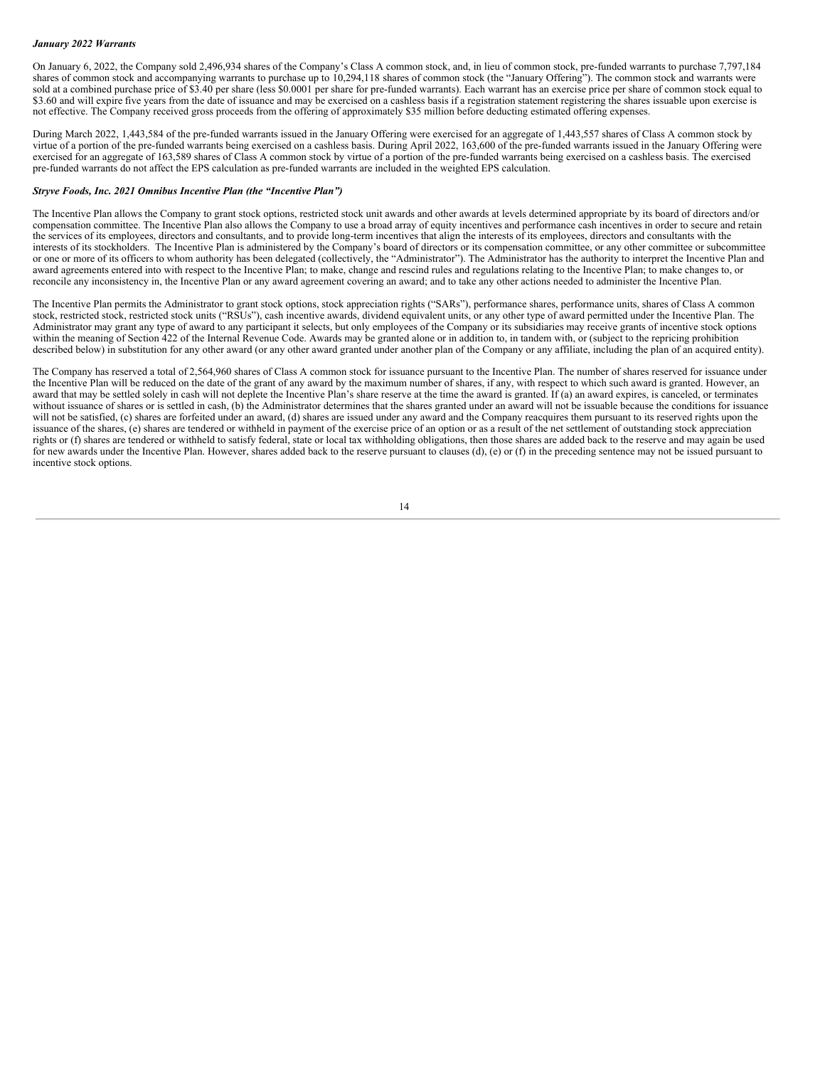### *January 2022 Warrants*

On January 6, 2022, the Company sold 2,496,934 shares of the Company's Class A common stock, and, in lieu of common stock, pre-funded warrants to purchase 7,797,184 shares of common stock and accompanying warrants to purchase up to 10,294,118 shares of common stock (the "January Offering"). The common stock and warrants were sold at a combined purchase price of \$3.40 per share (less \$0.0001 per share for pre-funded warrants). Each warrant has an exercise price per share of common stock equal to \$3.60 and will expire five years from the date of issuance and may be exercised on a cashless basis if a registration statement registering the shares issuable upon exercise is not effective. The Company received gross proceeds from the offering of approximately \$35 million before deducting estimated offering expenses.

During March 2022, 1,443,584 of the pre-funded warrants issued in the January Offering were exercised for an aggregate of 1,443,557 shares of Class A common stock by virtue of a portion of the pre-funded warrants being exercised on a cashless basis. During April 2022, 163,600 of the pre-funded warrants issued in the January Offering were exercised for an aggregate of 163,589 shares of Class A common stock by virtue of a portion of the pre-funded warrants being exercised on a cashless basis. The exercised pre-funded warrants do not affect the EPS calculation as pre-funded warrants are included in the weighted EPS calculation.

#### *Stryve Foods, Inc. 2021 Omnibus Incentive Plan (the "Incentive Plan")*

The Incentive Plan allows the Company to grant stock options, restricted stock unit awards and other awards at levels determined appropriate by its board of directors and/or compensation committee. The Incentive Plan also allows the Company to use a broad array of equity incentives and performance cash incentives in order to secure and retain the services of its employees, directors and consultants, and to provide long-term incentives that align the interests of its employees, directors and consultants with the interests of its stockholders. The Incentive Plan is administered by the Company's board of directors or its compensation committee, or any other committee or subcommittee or one or more of its officers to whom authority has been delegated (collectively, the "Administrator"). The Administrator has the authority to interpret the Incentive Plan and award agreements entered into with respect to the Incentive Plan; to make, change and rescind rules and regulations relating to the Incentive Plan; to make changes to, or reconcile any inconsistency in, the Incentive Plan or any award agreement covering an award; and to take any other actions needed to administer the Incentive Plan.

The Incentive Plan permits the Administrator to grant stock options, stock appreciation rights ("SARs"), performance shares, performance units, shares of Class A common stock, restricted stock, restricted stock units ("RSUs"), cash incentive awards, dividend equivalent units, or any other type of award permitted under the Incentive Plan. The Administrator may grant any type of award to any participant it selects, but only employees of the Company or its subsidiaries may receive grants of incentive stock options within the meaning of Section 422 of the Internal Revenue Code. Awards may be granted alone or in addition to, in tandem with, or (subject to the repricing prohibition described below) in substitution for any other award (or any other award granted under another plan of the Company or any affiliate, including the plan of an acquired entity).

The Company has reserved a total of 2,564,960 shares of Class A common stock for issuance pursuant to the Incentive Plan. The number of shares reserved for issuance under the Incentive Plan will be reduced on the date of the grant of any award by the maximum number of shares, if any, with respect to which such award is granted. However, an award that may be settled solely in cash will not deplete the Incentive Plan's share reserve at the time the award is granted. If (a) an award expires, is canceled, or terminates without issuance of shares or is settled in cash, (b) the Administrator determines that the shares granted under an award will not be issuable because the conditions for issuance will not be satisfied, (c) shares are forfeited under an award, (d) shares are issued under any award and the Company reacquires them pursuant to its reserved rights upon the issuance of the shares, (e) shares are tendered or withheld in payment of the exercise price of an option or as a result of the net settlement of outstanding stock appreciation rights or (f) shares are tendered or withheld to satisfy federal, state or local tax withholding obligations, then those shares are added back to the reserve and may again be used for new awards under the Incentive Plan. However, shares added back to the reserve pursuant to clauses (d), (e) or (f) in the preceding sentence may not be issued pursuant to incentive stock options.

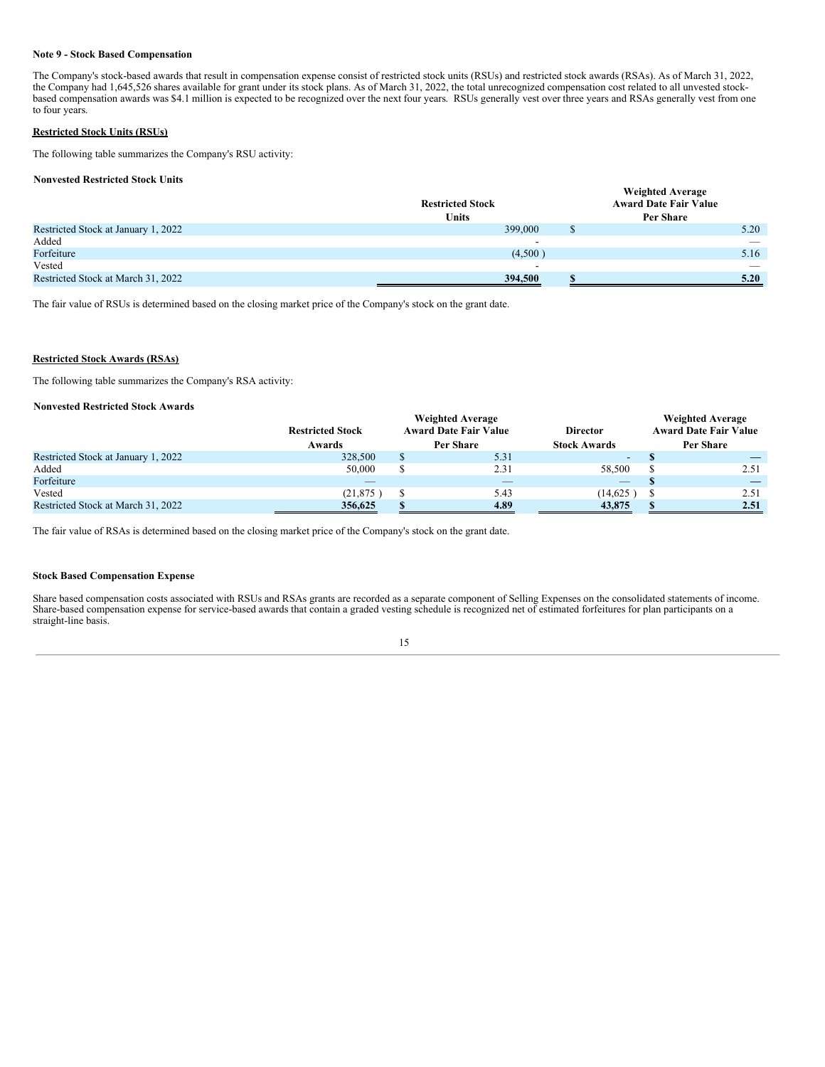## **Note 9 - Stock Based Compensation**

The Company's stock-based awards that result in compensation expense consist of restricted stock units (RSUs) and restricted stock awards (RSAs). As of March 31, 2022, the Company had 1,645,526 shares available for grant under its stock plans. As of March 31, 2022, the total unrecognized compensation cost related to all unvested stockbased compensation awards was \$4.1 million is expected to be recognized over the next four years. RSUs generally vest over three years and RSAs generally vest from one to four years.

# **Restricted Stock Units (RSUs)**

The following table summarizes the Company's RSU activity:

## **Nonvested Restricted Stock Units**

|                                     | <b>Restricted Stock</b>  | <b>Weighted Average</b><br><b>Award Date Fair Value</b> |                          |
|-------------------------------------|--------------------------|---------------------------------------------------------|--------------------------|
|                                     | <b>Units</b>             | Per Share                                               |                          |
| Restricted Stock at January 1, 2022 | 399,000                  |                                                         | 5.20                     |
| Added                               | -                        |                                                         | $\overline{\phantom{a}}$ |
| Forfeiture                          | (4,500)                  |                                                         | 5.16                     |
| Vested                              | $\overline{\phantom{0}}$ |                                                         |                          |
| Restricted Stock at March 31, 2022  | 394.500                  |                                                         | 5.20                     |

The fair value of RSUs is determined based on the closing market price of the Company's stock on the grant date.

## **Restricted Stock Awards (RSAs)**

The following table summarizes the Company's RSA activity:

## **Nonvested Restricted Stock Awards**

|                                     | <b>Weighted Average</b><br><b>Award Date Fair Value</b><br><b>Restricted Stock</b><br><b>Director</b> |           |      |                                           | <b>Weighted Average</b><br><b>Award Date Fair Value</b> |
|-------------------------------------|-------------------------------------------------------------------------------------------------------|-----------|------|-------------------------------------------|---------------------------------------------------------|
|                                     | Awards                                                                                                | Per Share |      | <b>Stock Awards</b>                       | Per Share                                               |
| Restricted Stock at January 1, 2022 | 328,500                                                                                               |           | 5.31 | $\overline{\phantom{a}}$                  |                                                         |
| Added                               | 50,000                                                                                                |           | 2.31 | 58,500                                    | 2.51                                                    |
| Forfeiture                          |                                                                                                       |           | _    | $\qquad \qquad \overline{\qquad \qquad }$ |                                                         |
| Vested                              | (21, 875)                                                                                             |           | 5.43 | (14,625)                                  | 2.51                                                    |
| Restricted Stock at March 31, 2022  | 356,625                                                                                               |           | 4.89 | 43,875                                    | 2.51                                                    |

The fair value of RSAs is determined based on the closing market price of the Company's stock on the grant date.

## **Stock Based Compensation Expense**

Share based compensation costs associated with RSUs and RSAs grants are recorded as a separate component of Selling Expenses on the consolidated statements of income. Share-based compensation expense for service-based awards that contain a graded vesting schedule is recognized net of estimated forfeitures for plan participants on a straight-line basis.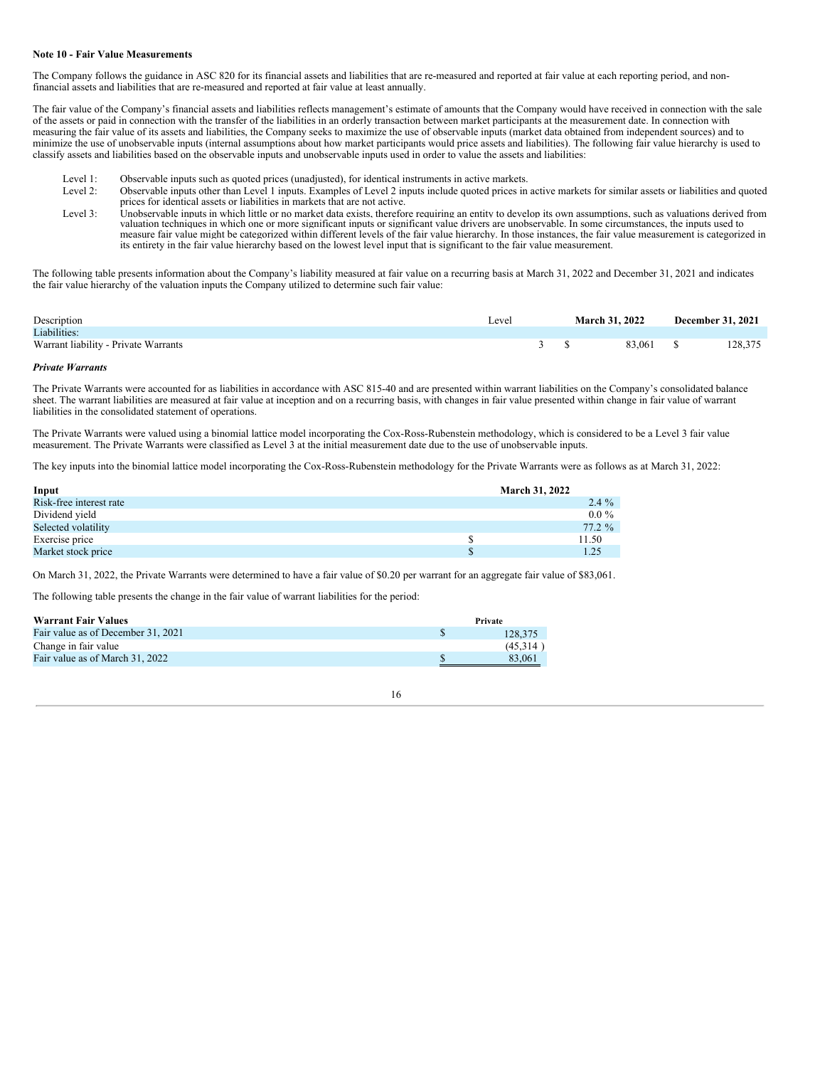## **Note 10 - Fair Value Measurements**

The Company follows the guidance in ASC 820 for its financial assets and liabilities that are re-measured and reported at fair value at each reporting period, and nonfinancial assets and liabilities that are re-measured and reported at fair value at least annually.

The fair value of the Company's financial assets and liabilities reflects management's estimate of amounts that the Company would have received in connection with the sale of the assets or paid in connection with the transfer of the liabilities in an orderly transaction between market participants at the measurement date. In connection with measuring the fair value of its assets and liabilities, the Company seeks to maximize the use of observable inputs (market data obtained from independent sources) and to minimize the use of unobservable inputs (internal assumptions about how market participants would price assets and liabilities). The following fair value hierarchy is used to classify assets and liabilities based on the observable inputs and unobservable inputs used in order to value the assets and liabilities:

- Level 1: Observable inputs such as quoted prices (unadjusted), for identical instruments in active markets.<br>Level 2: Observable inputs other than Level 1 inputs. Examples of Level 2 inputs include quoted prices in
- Level 2: Observable inputs other than Level 1 inputs. Examples of Level 2 inputs include quoted prices in active markets for similar assets or liabilities and quoted prices for identical assets or liabilities in markets that are not active.
- Level 3: Unobservable inputs in which little or no market data exists, therefore requiring an entity to develop its own assumptions, such as valuations derived from valuation techniques in which one or more significant inputs or significant value drivers are unobservable. In some circumstances, the inputs used to measure fair value might be categorized within different levels of the fair value hierarchy. In those instances, the fair value measurement is categorized in its entirety in the fair value hierarchy based on the lowest level input that is significant to the fair value measurement.

The following table presents information about the Company's liability measured at fair value on a recurring basis at March 31, 2022 and December 31, 2021 and indicates the fair value hierarchy of the valuation inputs the Company utilized to determine such fair value:

| Description                          | Level | <b>March 31, 2022</b> |           | <b>December 31, 2021</b> |         |
|--------------------------------------|-------|-----------------------|-----------|--------------------------|---------|
| Liabilities:                         |       |                       |           |                          |         |
| Warrant liability - Private Warrants |       |                       | 83.061 \$ |                          | 128.375 |

## *Private Warrants*

The Private Warrants were accounted for as liabilities in accordance with ASC 815-40 and are presented within warrant liabilities on the Company's consolidated balance sheet. The warrant liabilities are measured at fair value at inception and on a recurring basis, with changes in fair value presented within change in fair value of warrant liabilities in the consolidated statement of operations.

The Private Warrants were valued using a binomial lattice model incorporating the Cox-Ross-Rubenstein methodology, which is considered to be a Level 3 fair value measurement. The Private Warrants were classified as Level 3 at the initial measurement date due to the use of unobservable inputs.

The key inputs into the binomial lattice model incorporating the Cox-Ross-Rubenstein methodology for the Private Warrants were as follows as at March 31, 2022:

| Input                   | <b>March 31, 2022</b> |          |
|-------------------------|-----------------------|----------|
| Risk-free interest rate |                       | $2.4\%$  |
| Dividend yield          |                       | $0.0\%$  |
| Selected volatility     |                       | $77.2\%$ |
| Exercise price          |                       | 11.50    |
| Market stock price      |                       | 1.25     |

On March 31, 2022, the Private Warrants were determined to have a fair value of \$0.20 per warrant for an aggregate fair value of \$83,061.

The following table presents the change in the fair value of warrant liabilities for the period:

| <b>Warrant Fair Values</b>         | Private  |
|------------------------------------|----------|
| Fair value as of December 31, 2021 | 128,375  |
| Change in fair value               | (45.314) |
| Fair value as of March 31, 2022    | 83,061   |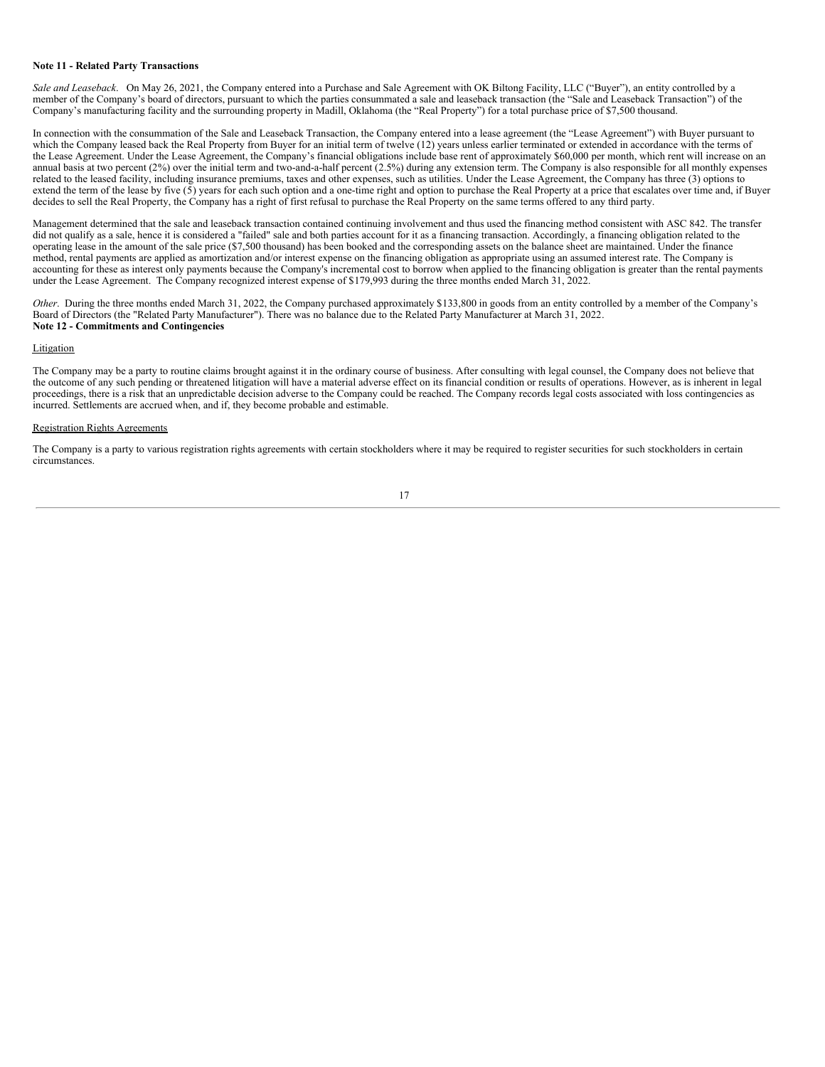## **Note 11 - Related Party Transactions**

*Sale and Leaseback*. On May 26, 2021, the Company entered into a Purchase and Sale Agreement with OK Biltong Facility, LLC ("Buyer"), an entity controlled by a member of the Company's board of directors, pursuant to which the parties consummated a sale and leaseback transaction (the "Sale and Leaseback Transaction") of the Company's manufacturing facility and the surrounding property in Madill, Oklahoma (the "Real Property") for a total purchase price of \$7,500 thousand.

In connection with the consummation of the Sale and Leaseback Transaction, the Company entered into a lease agreement (the "Lease Agreement") with Buyer pursuant to which the Company leased back the Real Property from Buyer for an initial term of twelve (12) years unless earlier terminated or extended in accordance with the terms of the Lease Agreement. Under the Lease Agreement, the Company's financial obligations include base rent of approximately \$60,000 per month, which rent will increase on an annual basis at two percent  $(2%)$  over the initial term and two-and-a-half percent  $(2.5%)$  during any extension term. The Company is also responsible for all monthly expenses related to the leased facility, including insurance premiums, taxes and other expenses, such as utilities. Under the Lease Agreement, the Company has three (3) options to extend the term of the lease by five (5) years for each such option and a one-time right and option to purchase the Real Property at a price that escalates over time and, if Buyer decides to sell the Real Property, the Company has a right of first refusal to purchase the Real Property on the same terms offered to any third party.

Management determined that the sale and leaseback transaction contained continuing involvement and thus used the financing method consistent with ASC 842. The transfer did not qualify as a sale, hence it is considered a "failed" sale and both parties account for it as a financing transaction. Accordingly, a financing obligation related to the operating lease in the amount of the sale price (\$7,500 thousand) has been booked and the corresponding assets on the balance sheet are maintained. Under the finance method, rental payments are applied as amortization and/or interest expense on the financing obligation as appropriate using an assumed interest rate. The Company is accounting for these as interest only payments because the Company's incremental cost to borrow when applied to the financing obligation is greater than the rental payments under the Lease Agreement. The Company recognized interest expense of \$179,993 during the three months ended March 31, 2022.

*Other*. During the three months ended March 31, 2022, the Company purchased approximately \$133,800 in goods from an entity controlled by a member of the Company's Board of Directors (the "Related Party Manufacturer"). There was no balance due to the Related Party Manufacturer at March 31, 2022. **Note 12 - Commitments and Contingencies**

## **Litigation**

The Company may be a party to routine claims brought against it in the ordinary course of business. After consulting with legal counsel, the Company does not believe that the outcome of any such pending or threatened litigation will have a material adverse effect on its financial condition or results of operations. However, as is inherent in legal proceedings, there is a risk that an unpredictable decision adverse to the Company could be reached. The Company records legal costs associated with loss contingencies as incurred. Settlements are accrued when, and if, they become probable and estimable.

#### Registration Rights Agreements

The Company is a party to various registration rights agreements with certain stockholders where it may be required to register securities for such stockholders in certain circumstances.

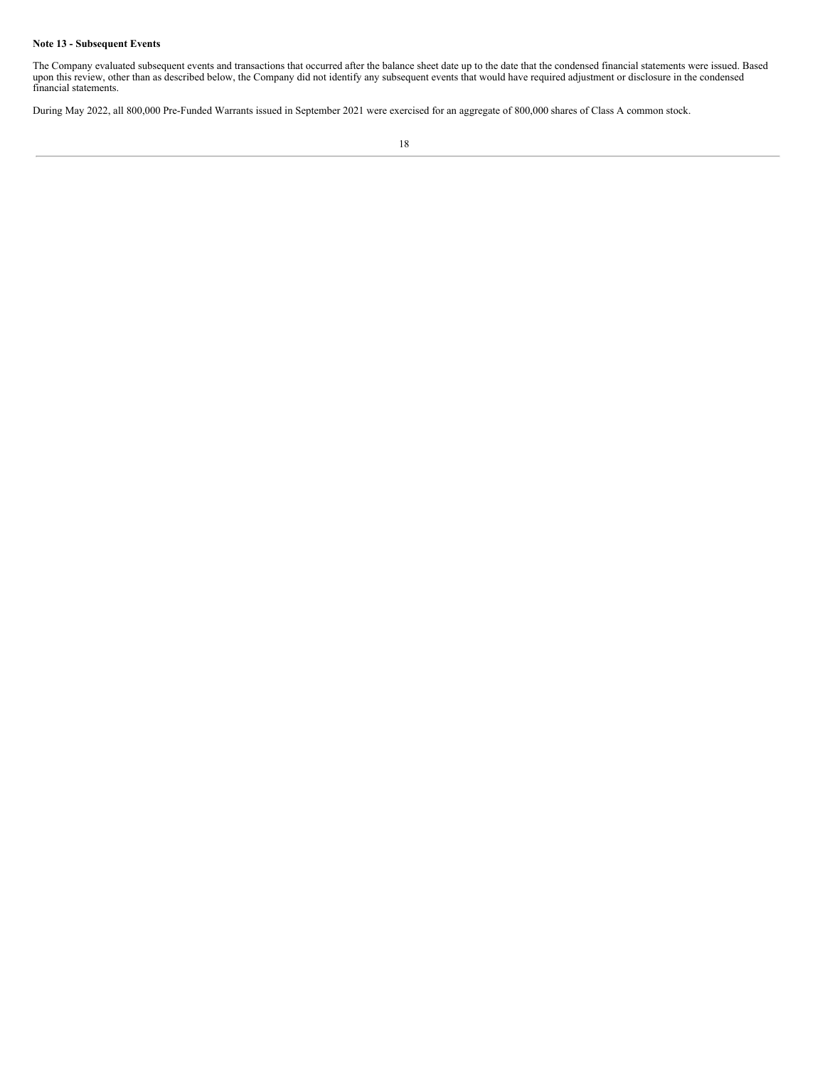# **Note 13 - Subsequent Events**

The Company evaluated subsequent events and transactions that occurred after the balance sheet date up to the date that the condensed financial statements were issued. Based upon this review, other than as described below, the Company did not identify any subsequent events that would have required adjustment or disclosure in the condensed financial statements.

During May 2022, all 800,000 Pre-Funded Warrants issued in September 2021 were exercised for an aggregate of 800,000 shares of Class A common stock.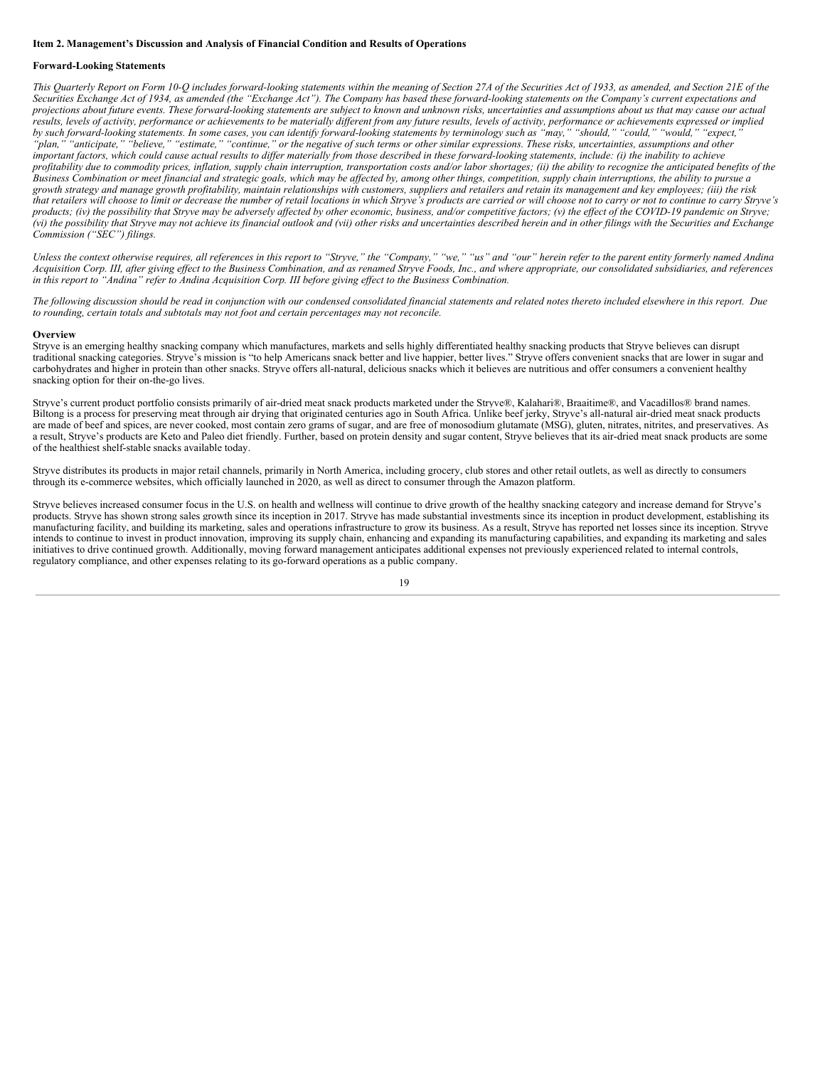#### <span id="page-20-0"></span>**Item 2. Management's Discussion and Analysis of Financial Condition and Results of Operations**

#### **Forward-Looking Statements**

This Quarterly Report on Form 10-Q includes forward-looking statements within the meaning of Section 27A of the Securities Act of 1933, as amended, and Section 21E of the Securities Exchange Act of 1934, as amended (the "Exchange Act"). The Company has based these forward-looking statements on the Company's current expectations and projections about future events. These forward-looking statements are subject to known and unknown risks, uncertainties and assumptions about us that may cause our actual results, levels of activity, performance or achievements to be materially different from any future results, levels of activity, performance or achievements expressed or implied by such forward-looking statements. In some cases, you can identify forward-looking statements by terminology such as "may," "should," "could," "would," "expect," "plan," "anticipate," "believe," "estimate," "continue," or the negative of such terms or other similar expressions. These risks, uncertainties, assumptions and other important factors, which could cause actual results to differ materially from those described in these forward-looking statements, include: (i) the inability to achieve profitability due to commodity prices, inflation, supply chain interruption, transportation costs and/or labor shortages; (ii) the ability to recognize the anticipated benefits of the .<br>Business Combination or meet financial and strategic goals, which may be affected by, among other things, competition, supply chain interruptions, the ability to pursue a growth strategy and manage growth profitability, maintain relationships with customers, suppliers and retailers and retain its management and key emplovees: (iii) the risk that retailers will choose to limit or decrease the number of retail locations in which Stryve's products are carried or will choose not to carry or not to continue to carry Stryve's products; (iv) the possibility that Stryve may be adversely affected by other economic, business, and/or competitive factors; (v) the effect of the COVID-19 pandemic on Stryve; (vi) the possibility that Stryve may not achieve its financial outlook and (vii) other risks and uncertainties described herein and in other filings with the Securities and Exchange *Commission ("SEC") filings.*

Unless the context otherwise requires, all references in this report to "Stryve," the "Company," "we," "us" and "our" herein refer to the parent entity formerly named Andina Acquisition Corp. III, after giving effect to the Business Combination, and as renamed Stryve Foods, Inc., and where appropriate, our consolidated subsidiaries, and references in this report to "Andina" refer to Andina Acquisition Corp. III before giving effect to the Business Combination.

The following discussion should be read in conjunction with our condensed consolidated financial statements and related notes thereto included elsewhere in this report. Due *to rounding, certain totals and subtotals may not foot and certain percentages may not reconcile.*

#### **Overview**

Stryve is an emerging healthy snacking company which manufactures, markets and sells highly differentiated healthy snacking products that Stryve believes can disrupt traditional snacking categories. Stryve's mission is "to help Americans snack better and live happier, better lives." Stryve offers convenient snacks that are lower in sugar and carbohydrates and higher in protein than other snacks. Stryve offers all-natural, delicious snacks which it believes are nutritious and offer consumers a convenient healthy snacking option for their on-the-go lives.

Stryve's current product portfolio consists primarily of air-dried meat snack products marketed under the Stryve®, Kalahari®, Braaitime®, and Vacadillos® brand names. Biltong is a process for preserving meat through air drying that originated centuries ago in South Africa. Unlike beef jerky, Stryve's all-natural air-dried meat snack products are made of beef and spices, are never cooked, most contain zero grams of sugar, and are free of monosodium glutamate (MSG), gluten, nitrates, nitrites, and preservatives. As a result, Stryve's products are Keto and Paleo diet friendly. Further, based on protein density and sugar content, Stryve believes that its air-dried meat snack products are some of the healthiest shelf-stable snacks available today.

Stryve distributes its products in major retail channels, primarily in North America, including grocery, club stores and other retail outlets, as well as directly to consumers through its e-commerce websites, which officially launched in 2020, as well as direct to consumer through the Amazon platform.

Stryve believes increased consumer focus in the U.S. on health and wellness will continue to drive growth of the healthy snacking category and increase demand for Stryve's products. Stryve has shown strong sales growth since its inception in 2017. Stryve has made substantial investments since its inception in product development, establishing its manufacturing facility, and building its marketing, sales and operations infrastructure to grow its business. As a result, Stryve has reported net losses since its inception. Stryve intends to continue to invest in product innovation, improving its supply chain, enhancing and expanding its manufacturing capabilities, and expanding its marketing and sales initiatives to drive continued growth. Additionally, moving forward management anticipates additional expenses not previously experienced related to internal controls, regulatory compliance, and other expenses relating to its go-forward operations as a public company.

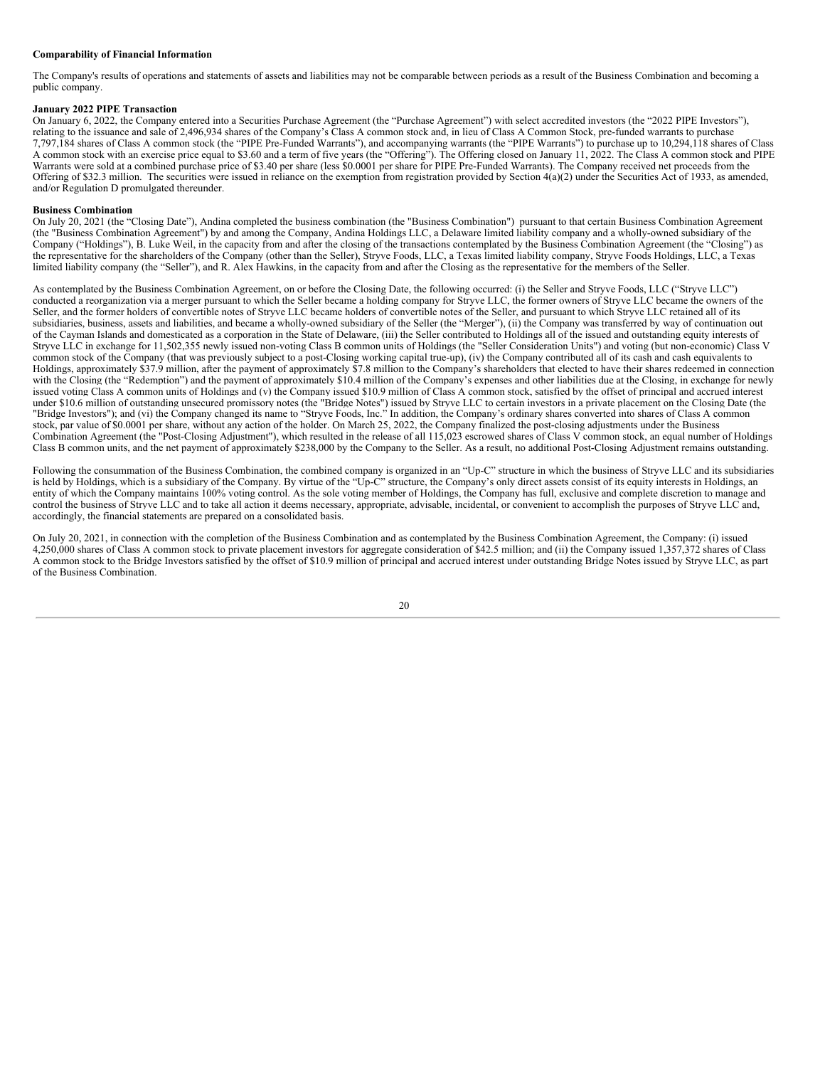## **Comparability of Financial Information**

The Company's results of operations and statements of assets and liabilities may not be comparable between periods as a result of the Business Combination and becoming a public company.

## **January 2022 PIPE Transaction**

On January 6, 2022, the Company entered into a Securities Purchase Agreement (the "Purchase Agreement") with select accredited investors (the "2022 PIPE Investors"), relating to the issuance and sale of 2,496,934 shares of the Company's Class A common stock and, in lieu of Class A Common Stock, pre-funded warrants to purchase 7,797,184 shares of Class A common stock (the "PIPE Pre-Funded Warrants"), and accompanying warrants (the "PIPE Warrants") to purchase up to 10,294,118 shares of Class A common stock with an exercise price equal to \$3.60 and a term of five years (the "Offering"). The Offering closed on January 11, 2022. The Class A common stock and PIPE Warrants were sold at a combined purchase price of \$3.40 per share (less \$0.0001 per share for PIPE Pre-Funded Warrants). The Company received net proceeds from the Offering of \$32.3 million. The securities were issued in reliance on the exemption from registration provided by Section 4(a)(2) under the Securities Act of 1933, as amended, and/or Regulation D promulgated thereunder.

#### **Business Combination**

On July 20, 2021 (the "Closing Date"), Andina completed the business combination (the "Business Combination") pursuant to that certain Business Combination Agreement (the "Business Combination Agreement") by and among the Company, Andina Holdings LLC, a Delaware limited liability company and a wholly-owned subsidiary of the Company ("Holdings"), B. Luke Weil, in the capacity from and after the closing of the transactions contemplated by the Business Combination Agreement (the "Closing") as the representative for the shareholders of the Company (other than the Seller), Stryve Foods, LLC, a Texas limited liability company, Stryve Foods Holdings, LLC, a Texas limited liability company (the "Seller"), and R. Alex Hawkins, in the capacity from and after the Closing as the representative for the members of the Seller.

As contemplated by the Business Combination Agreement, on or before the Closing Date, the following occurred: (i) the Seller and Stryve Foods, LLC ("Stryve LLC") conducted a reorganization via a merger pursuant to which the Seller became a holding company for Stryve LLC, the former owners of Stryve LLC became the owners of the Seller, and the former holders of convertible notes of Stryve LLC became holders of convertible notes of the Seller, and pursuant to which Stryve LLC retained all of its subsidiaries, business, assets and liabilities, and became a wholly-owned subsidiary of the Seller (the "Merger"), (ii) the Company was transferred by way of continuation out of the Cayman Islands and domesticated as a corporation in the State of Delaware, (iii) the Seller contributed to Holdings all of the issued and outstanding equity interests of Stryve LLC in exchange for 11,502,355 newly issued non-voting Class B common units of Holdings (the "Seller Consideration Units") and voting (but non-economic) Class V common stock of the Company (that was previously subject to a post-Closing working capital true-up), (iv) the Company contributed all of its cash and cash equivalents to Holdings, approximately \$37.9 million, after the payment of approximately \$7.8 million to the Company's shareholders that elected to have their shares redeemed in connection with the Closing (the "Redemption") and the payment of approximately \$10.4 million of the Company's expenses and other liabilities due at the Closing, in exchange for newly issued voting Class A common units of Holdings and (v) the Company issued \$10.9 million of Class A common stock, satisfied by the offset of principal and accrued interest under \$10.6 million of outstanding unsecured promissory notes (the "Bridge Notes") issued by Stryve LLC to certain investors in a private placement on the Closing Date (the "Bridge Investors"); and (vi) the Company changed its name to "Stryve Foods, Inc." In addition, the Company's ordinary shares converted into shares of Class A common stock, par value of \$0.0001 per share, without any action of the holder. On March 25, 2022, the Company finalized the post-closing adjustments under the Business Combination Agreement (the "Post-Closing Adjustment"), which resulted in the release of all 115,023 escrowed shares of Class V common stock, an equal number of Holdings Class B common units, and the net payment of approximately \$238,000 by the Company to the Seller. As a result, no additional Post-Closing Adjustment remains outstanding.

Following the consummation of the Business Combination, the combined company is organized in an "Up-C" structure in which the business of Stryve LLC and its subsidiaries is held by Holdings, which is a subsidiary of the Company. By virtue of the "Up-C" structure, the Company's only direct assets consist of its equity interests in Holdings, an entity of which the Company maintains 100% voting control. As the sole voting member of Holdings, the Company has full, exclusive and complete discretion to manage and control the business of Stryve LLC and to take all action it deems necessary, appropriate, advisable, incidental, or convenient to accomplish the purposes of Stryve LLC and, accordingly, the financial statements are prepared on a consolidated basis.

On July 20, 2021, in connection with the completion of the Business Combination and as contemplated by the Business Combination Agreement, the Company: (i) issued 4,250,000 shares of Class A common stock to private placement investors for aggregate consideration of \$42.5 million; and (ii) the Company issued 1,357,372 shares of Class A common stock to the Bridge Investors satisfied by the offset of \$10.9 million of principal and accrued interest under outstanding Bridge Notes issued by Stryve LLC, as part of the Business Combination.

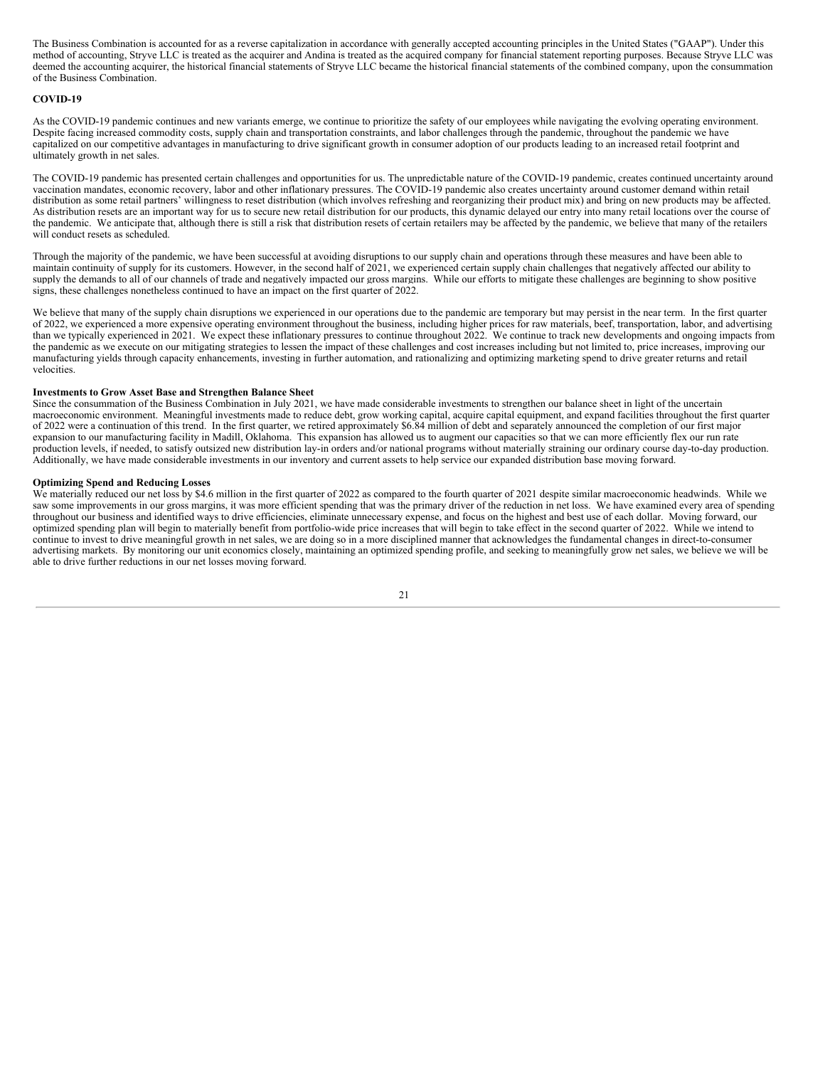The Business Combination is accounted for as a reverse capitalization in accordance with generally accepted accounting principles in the United States ("GAAP"). Under this method of accounting, Stryve LLC is treated as the acquirer and Andina is treated as the acquired company for financial statement reporting purposes. Because Stryve LLC was deemed the accounting acquirer, the historical financial statements of Stryve LLC became the historical financial statements of the combined company, upon the consummation of the Business Combination.

### **COVID-19**

As the COVID-19 pandemic continues and new variants emerge, we continue to prioritize the safety of our employees while navigating the evolving operating environment. Despite facing increased commodity costs, supply chain and transportation constraints, and labor challenges through the pandemic, throughout the pandemic we have capitalized on our competitive advantages in manufacturing to drive significant growth in consumer adoption of our products leading to an increased retail footprint and ultimately growth in net sales.

The COVID-19 pandemic has presented certain challenges and opportunities for us. The unpredictable nature of the COVID-19 pandemic, creates continued uncertainty around vaccination mandates, economic recovery, labor and other inflationary pressures. The COVID-19 pandemic also creates uncertainty around customer demand within retail distribution as some retail partners' willingness to reset distribution (which involves refreshing and reorganizing their product mix) and bring on new products may be affected. As distribution resets are an important way for us to secure new retail distribution for our products, this dynamic delayed our entry into many retail locations over the course of the pandemic. We anticipate that, although there is still a risk that distribution resets of certain retailers may be affected by the pandemic, we believe that many of the retailers will conduct resets as scheduled.

Through the majority of the pandemic, we have been successful at avoiding disruptions to our supply chain and operations through these measures and have been able to maintain continuity of supply for its customers. However, in the second half of 2021, we experienced certain supply chain challenges that negatively affected our ability to supply the demands to all of our channels of trade and negatively impacted our gross margins. While our efforts to mitigate these challenges are beginning to show positive signs, these challenges nonetheless continued to have an impact on the first quarter of 2022.

We believe that many of the supply chain disruptions we experienced in our operations due to the pandemic are temporary but may persist in the near term. In the first quarter of 2022, we experienced a more expensive operating environment throughout the business, including higher prices for raw materials, beef, transportation, labor, and advertising than we typically experienced in 2021. We expect these inflationary pressures to continue throughout 2022. We continue to track new developments and ongoing impacts from the pandemic as we execute on our mitigating strategies to lessen the impact of these challenges and cost increases including but not limited to, price increases, improving our manufacturing yields through capacity enhancements, investing in further automation, and rationalizing and optimizing marketing spend to drive greater returns and retail velocities.

## **Investments to Grow Asset Base and Strengthen Balance Sheet**

Since the consummation of the Business Combination in July 2021, we have made considerable investments to strengthen our balance sheet in light of the uncertain macroeconomic environment. Meaningful investments made to reduce debt, grow working capital, acquire capital equipment, and expand facilities throughout the first quarter of 2022 were a continuation of this trend. In the first quarter, we retired approximately \$6.84 million of debt and separately announced the completion of our first major expansion to our manufacturing facility in Madill, Oklahoma. This expansion has allowed us to augment our capacities so that we can more efficiently flex our run rate production levels, if needed, to satisfy outsized new distribution lay-in orders and/or national programs without materially straining our ordinary course day-to-day production. Additionally, we have made considerable investments in our inventory and current assets to help service our expanded distribution base moving forward.

#### **Optimizing Spend and Reducing Losses**

We materially reduced our net loss by \$4.6 million in the first quarter of 2022 as compared to the fourth quarter of 2021 despite similar macroeconomic headwinds. While we saw some improvements in our gross margins, it was more efficient spending that was the primary driver of the reduction in net loss. We have examined every area of spending throughout our business and identified ways to drive efficiencies, eliminate unnecessary expense, and focus on the highest and best use of each dollar. Moving forward, our optimized spending plan will begin to materially benefit from portfolio-wide price increases that will begin to take effect in the second quarter of 2022. While we intend to continue to invest to drive meaningful growth in net sales, we are doing so in a more disciplined manner that acknowledges the fundamental changes in direct-to-consumer advertising markets. By monitoring our unit economics closely, maintaining an optimized spending profile, and seeking to meaningfully grow net sales, we believe we will be able to drive further reductions in our net losses moving forward.

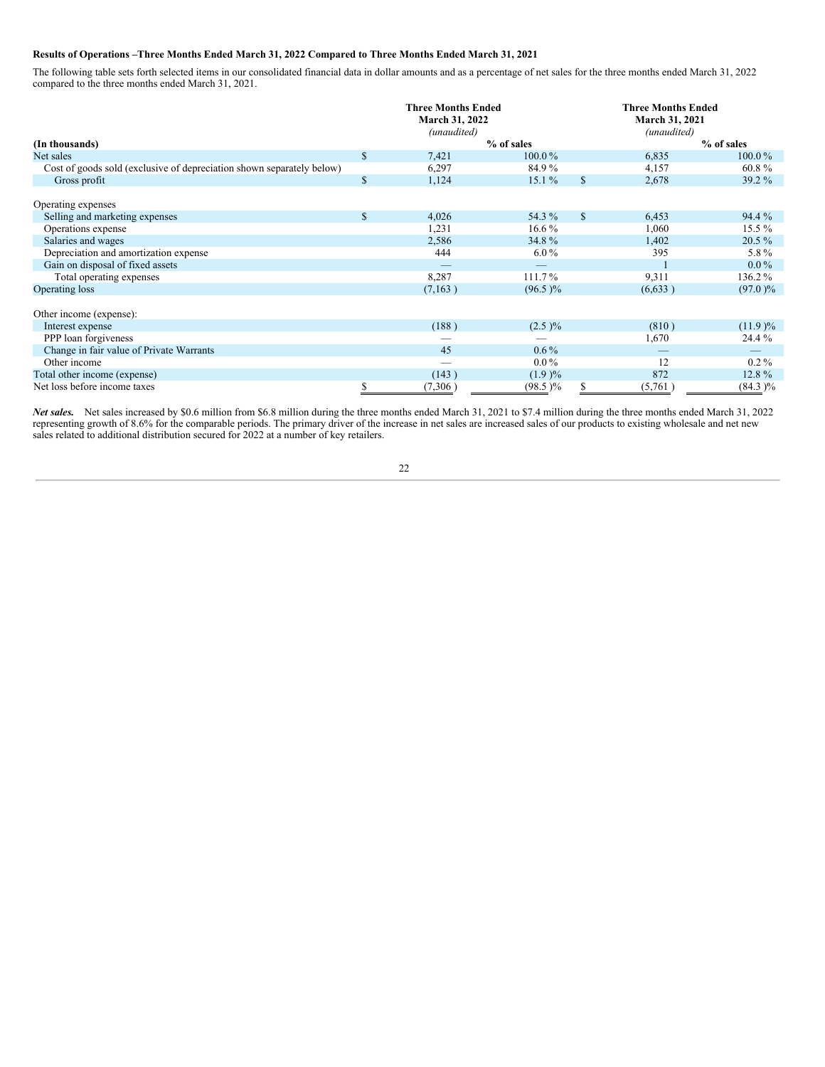## **Results of Operations –Three Months Ended March 31, 2022 Compared to Three Months Ended March 31, 2021**

The following table sets forth selected items in our consolidated financial data in dollar amounts and as a percentage of net sales for the three months ended March 31, 2022 compared to the three months ended March 31, 2021.

|                                                                       |              | <b>Three Months Ended</b><br>March 31, 2022<br>(unaudited) |            |              | <b>Three Months Ended</b><br>March 31, 2021<br>(unaudited) |            |  |  |
|-----------------------------------------------------------------------|--------------|------------------------------------------------------------|------------|--------------|------------------------------------------------------------|------------|--|--|
| (In thousands)                                                        |              |                                                            | % of sales |              |                                                            | % of sales |  |  |
| Net sales                                                             | \$           | 7,421                                                      | 100.0%     |              | 6,835                                                      | 100.0%     |  |  |
| Cost of goods sold (exclusive of depreciation shown separately below) |              | 6,297                                                      | 84.9%      |              | 4,157                                                      | 60.8%      |  |  |
| Gross profit                                                          | $\mathbb{S}$ | 1,124                                                      | $15.1\%$   | \$           | 2,678                                                      | 39.2 %     |  |  |
| Operating expenses                                                    |              |                                                            |            |              |                                                            |            |  |  |
| Selling and marketing expenses                                        | $\mathbb{S}$ | 4,026                                                      | 54.3 %     | $\mathbb{S}$ | 6,453                                                      | 94.4 %     |  |  |
| Operations expense                                                    |              | 1,231                                                      | $16.6\%$   |              | 1,060                                                      | $15.5\%$   |  |  |
| Salaries and wages                                                    |              | 2,586                                                      | 34.8%      |              | 1,402                                                      | $20.5\%$   |  |  |
| Depreciation and amortization expense                                 |              | 444                                                        | $6.0\%$    |              | 395                                                        | 5.8%       |  |  |
| Gain on disposal of fixed assets                                      |              |                                                            |            |              |                                                            | $0.0\%$    |  |  |
| Total operating expenses                                              |              | 8,287                                                      | 111.7%     |              | 9,311                                                      | 136.2%     |  |  |
| Operating loss                                                        |              | (7, 163)                                                   | $(96.5)\%$ |              | (6, 633)                                                   | $(97.0)\%$ |  |  |
| Other income (expense):                                               |              |                                                            |            |              |                                                            |            |  |  |
| Interest expense                                                      |              | (188)                                                      | $(2.5) \%$ |              | (810)                                                      | $(11.9)$ % |  |  |
| PPP loan forgiveness                                                  |              |                                                            |            |              | 1,670                                                      | 24.4 %     |  |  |
| Change in fair value of Private Warrants                              |              | 45                                                         | $0.6\%$    |              |                                                            |            |  |  |
| Other income                                                          |              | -                                                          | $0.0\%$    |              | 12                                                         | $0.2\%$    |  |  |
| Total other income (expense)                                          |              | (143)                                                      | (1.9)%     |              | 872                                                        | 12.8%      |  |  |
| Net loss before income taxes                                          |              | (7,306)                                                    | $(98.5)\%$ |              | (5,761)                                                    | $(84.3)\%$ |  |  |

*Net sales.* Net sales increased by \$0.6 million from \$6.8 million during the three months ended March 31, 2021 to \$7.4 million during the three months ended March 31, 2022 representing growth of 8.6% for the comparable periods. The primary driver of the increase in net sales are increased sales of our products to existing wholesale and net new sales related to additional distribution secured for 2022 at a number of key retailers.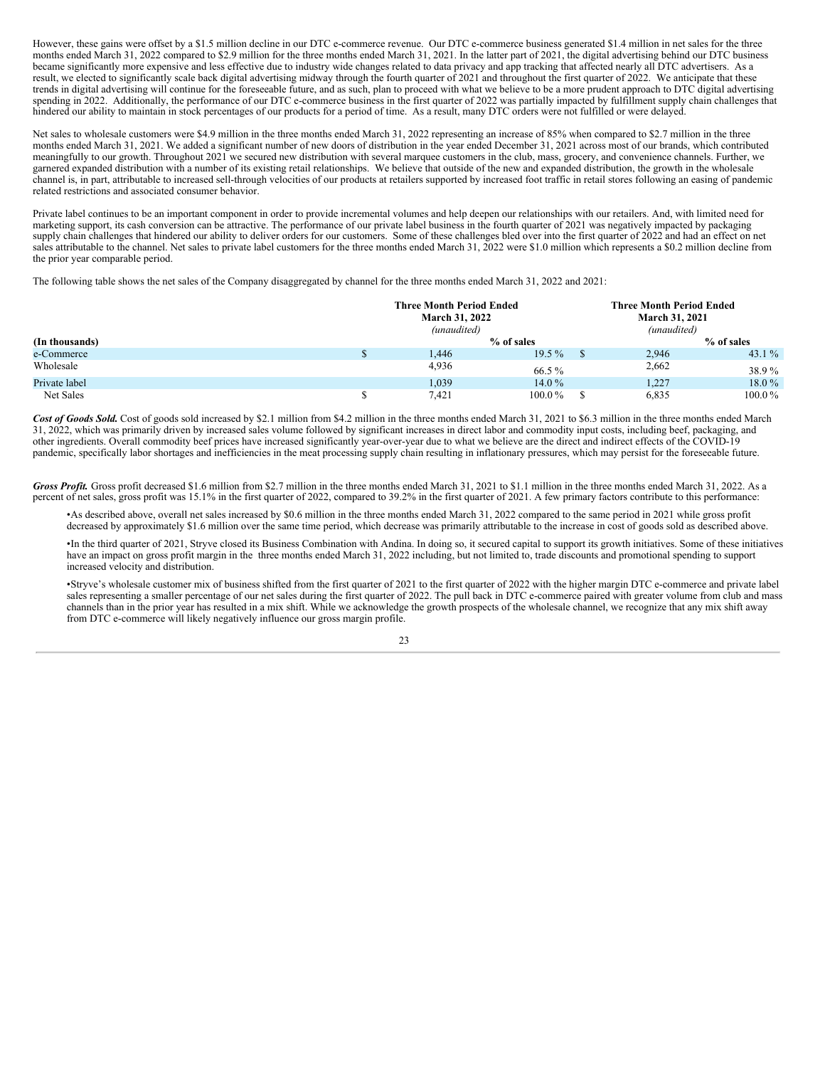However, these gains were offset by a \$1.5 million decline in our DTC e-commerce revenue. Our DTC e-commerce business generated \$1.4 million in net sales for the three months ended March 31, 2022 compared to \$2.9 million for the three months ended March 31, 2021. In the latter part of 2021, the digital advertising behind our DTC business became significantly more expensive and less effective due to industry wide changes related to data privacy and app tracking that affected nearly all DTC advertisers. As a result, we elected to significantly scale back digital advertising midway through the fourth quarter of 2021 and throughout the first quarter of 2022. We anticipate that these trends in digital advertising will continue for the foreseeable future, and as such, plan to proceed with what we believe to be a more prudent approach to DTC digital advertising spending in 2022. Additionally, the performance of our DTC e-commerce business in the first quarter of 2022 was partially impacted by fulfillment supply chain challenges that hindered our ability to maintain in stock percentages of our products for a period of time. As a result, many DTC orders were not fulfilled or were delayed.

Net sales to wholesale customers were \$4.9 million in the three months ended March 31, 2022 representing an increase of 85% when compared to \$2.7 million in the three months ended March 31, 2021. We added a significant number of new doors of distribution in the year ended December 31, 2021 across most of our brands, which contributed meaningfully to our growth. Throughout 2021 we secured new distribution with several marquee customers in the club, mass, grocery, and convenience channels. Further, we garnered expanded distribution with a number of its existing retail relationships. We believe that outside of the new and expanded distribution, the growth in the wholesale channel is, in part, attributable to increased sell-through velocities of our products at retailers supported by increased foot traffic in retail stores following an easing of pandemic related restrictions and associated consumer behavior.

Private label continues to be an important component in order to provide incremental volumes and help deepen our relationships with our retailers. And, with limited need for marketing support, its cash conversion can be attractive. The performance of our private label business in the fourth quarter of 2021 was negatively impacted by packaging supply chain challenges that hindered our ability to deliver orders for our customers. Some of these challenges bled over into the first quarter of 2022 and had an effect on net sales attributable to the channel. Net sales to private label customers for the three months ended March 31, 2022 were \$1.0 million which represents a \$0.2 million decline from the prior year comparable period.

The following table shows the net sales of the Company disaggregated by channel for the three months ended March 31, 2022 and 2021:

|                | <b>Three Month Period Ended</b><br><b>March 31, 2022</b><br>(unaudited) |       |             | <b>Three Month Period Ended</b><br>March 31, 2021<br>(unaudited) |       |            |
|----------------|-------------------------------------------------------------------------|-------|-------------|------------------------------------------------------------------|-------|------------|
| (In thousands) |                                                                         |       | % of sales  |                                                                  |       | % of sales |
| e-Commerce     |                                                                         | 1,446 | $19.5\%$    |                                                                  | 2,946 | 43.1 $\%$  |
| Wholesale      |                                                                         | 4,936 | 66.5 %      |                                                                  | 2,662 | 38.9%      |
| Private label  |                                                                         | 1,039 | 14.0%       |                                                                  | 1,227 | 18.0 %     |
| Net Sales      |                                                                         | 7.421 | $100.0\,\%$ |                                                                  | 6,835 | $100.0\%$  |

Cost of Goods Sold. Cost of goods sold increased by \$2.1 million from \$4.2 million in the three months ended March 31, 2021 to \$6.3 million in the three months ended March 31, 2022, which was primarily driven by increased sales volume followed by significant increases in direct labor and commodity input costs, including beef, packaging, and other ingredients. Overall commodity beef prices have increased significantly year-over-year due to what we believe are the direct and indirect effects of the COVID-19 pandemic, specifically labor shortages and inefficiencies in the meat processing supply chain resulting in inflationary pressures, which may persist for the foreseeable future.

*Gross Profit.* Gross profit decreased \$1.6 million from \$2.7 million in the three months ended March 31, 2021 to \$1.1 million in the three months ended March 31, 2022. As a percent of net sales, gross profit was 15.1% in the first quarter of 2022, compared to 39.2% in the first quarter of 2021. A few primary factors contribute to this performance:

•As described above, overall net sales increased by \$0.6 million in the three months ended March 31, 2022 compared to the same period in 2021 while gross profit decreased by approximately \$1.6 million over the same time period, which decrease was primarily attributable to the increase in cost of goods sold as described above.

•In the third quarter of 2021, Stryve closed its Business Combination with Andina. In doing so, it secured capital to support its growth initiatives. Some of these initiatives have an impact on gross profit margin in the three months ended March 31, 2022 including, but not limited to, trade discounts and promotional spending to support increased velocity and distribution.

•Stryve's wholesale customer mix of business shifted from the first quarter of 2021 to the first quarter of 2022 with the higher margin DTC e-commerce and private label sales representing a smaller percentage of our net sales during the first quarter of 2022. The pull back in DTC e-commerce paired with greater volume from club and mass channels than in the prior year has resulted in a mix shift. While we acknowledge the growth prospects of the wholesale channel, we recognize that any mix shift away from DTC e-commerce will likely negatively influence our gross margin profile.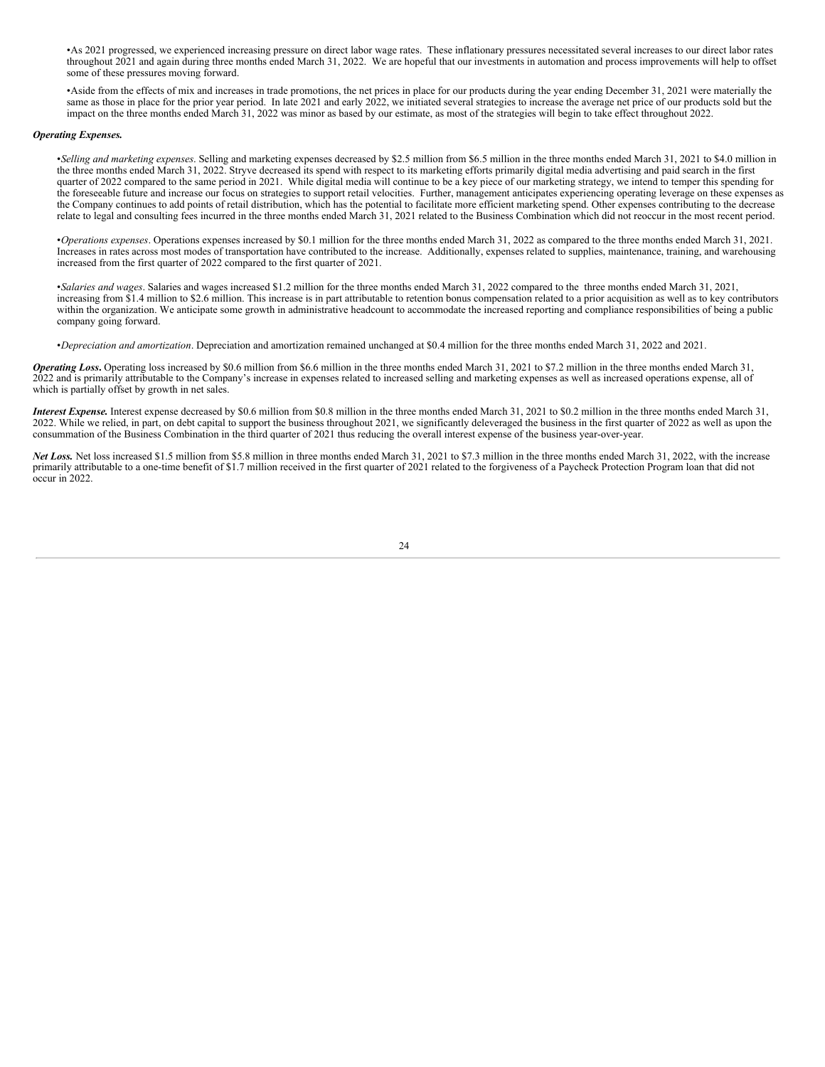•As 2021 progressed, we experienced increasing pressure on direct labor wage rates. These inflationary pressures necessitated several increases to our direct labor rates throughout 2021 and again during three months ended March 31, 2022. We are hopeful that our investments in automation and process improvements will help to offset some of these pressures moving forward.

•Aside from the effects of mix and increases in trade promotions, the net prices in place for our products during the year ending December 31, 2021 were materially the same as those in place for the prior year period. In late 2021 and early 2022, we initiated several strategies to increase the average net price of our products sold but the impact on the three months ended March 31, 2022 was minor as based by our estimate, as most of the strategies will begin to take effect throughout 2022.

#### *Operating Expenses.*

•*Selling and marketing expenses*. Selling and marketing expenses decreased by \$2.5 million from \$6.5 million in the three months ended March 31, 2021 to \$4.0 million in the three months ended March 31, 2022. Stryve decreased its spend with respect to its marketing efforts primarily digital media advertising and paid search in the first quarter of 2022 compared to the same period in 2021. While digital media will continue to be a key piece of our marketing strategy, we intend to temper this spending for the foreseeable future and increase our focus on strategies to support retail velocities. Further, management anticipates experiencing operating leverage on these expenses as the Company continues to add points of retail distribution, which has the potential to facilitate more efficient marketing spend. Other expenses contributing to the decrease relate to legal and consulting fees incurred in the three months ended March 31, 2021 related to the Business Combination which did not reoccur in the most recent period.

•*Operations expenses*. Operations expenses increased by \$0.1 million for the three months ended March 31, 2022 as compared to the three months ended March 31, 2021. Increases in rates across most modes of transportation have contributed to the increase. Additionally, expenses related to supplies, maintenance, training, and warehousing increased from the first quarter of 2022 compared to the first quarter of 2021.

•*Salaries and wages*. Salaries and wages increased \$1.2 million for the three months ended March 31, 2022 compared to the three months ended March 31, 2021, increasing from \$1.4 million to \$2.6 million. This increase is in part attributable to retention bonus compensation related to a prior acquisition as well as to key contributors within the organization. We anticipate some growth in administrative headcount to accommodate the increased reporting and compliance responsibilities of being a public company going forward.

•*Depreciation and amortization*. Depreciation and amortization remained unchanged at \$0.4 million for the three months ended March 31, 2022 and 2021.

*Operating Loss*, Operating loss increased by \$0.6 million from \$6.6 million in the three months ended March 31, 2021 to \$7.2 million in the three months ended March 31 2022 and is primarily attributable to the Company's increase in expenses related to increased selling and marketing expenses as well as increased operations expense, all of which is partially offset by growth in net sales.

*Interest Expense.* Interest expense decreased by \$0.6 million from \$0.8 million in the three months ended March 31, 2021 to \$0.2 million in the three months ended March 31, 2022. While we relied, in part, on debt capital to support the business throughout 2021, we significantly deleveraged the business in the first quarter of 2022 as well as upon the consummation of the Business Combination in the third quarter of 2021 thus reducing the overall interest expense of the business year-over-year.

*Net Loss.* Net loss increased \$1.5 million from \$5.8 million in three months ended March 31, 2021 to \$7.3 million in the three months ended March 31, 2022, with the increase primarily attributable to a one-time benefit of \$1.7 million received in the first quarter of 2021 related to the forgiveness of a Paycheck Protection Program loan that did not occur in 2022.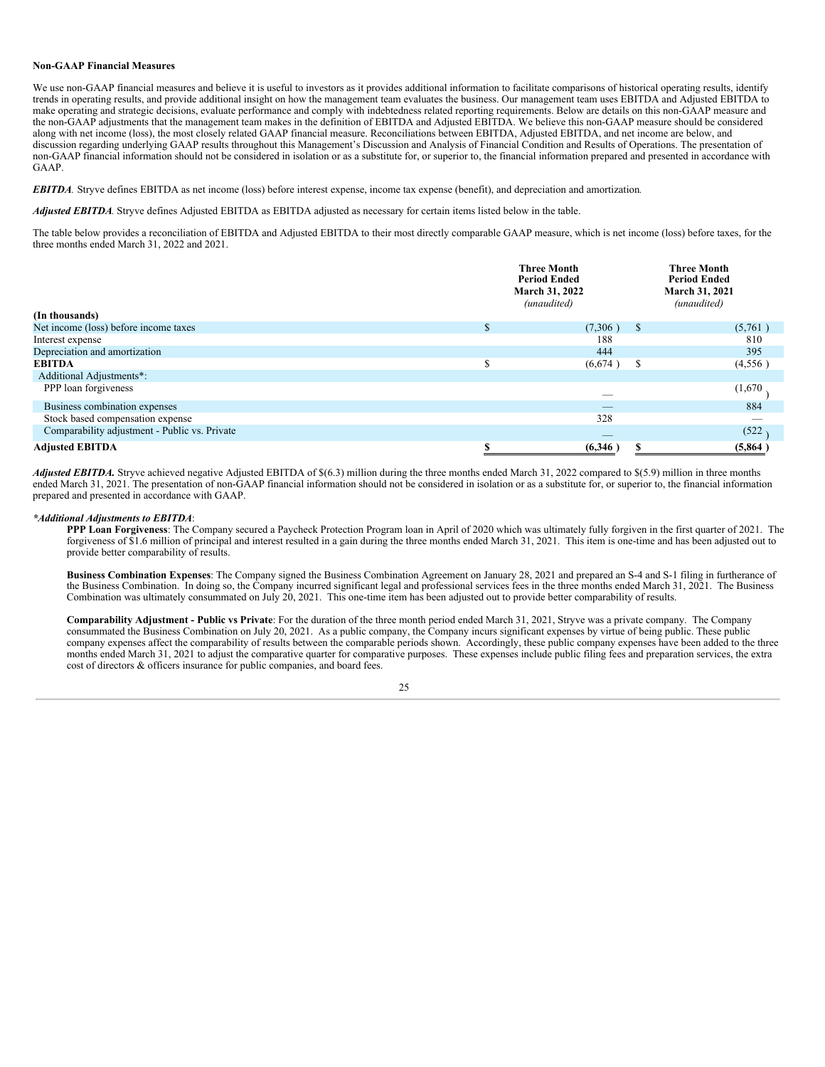## **Non-GAAP Financial Measures**

We use non-GAAP financial measures and believe it is useful to investors as it provides additional information to facilitate comparisons of historical operating results, identify trends in operating results, and provide additional insight on how the management team evaluates the business. Our management team uses EBITDA and Adjusted EBITDA to make operating and strategic decisions, evaluate performance and comply with indebtedness related reporting requirements. Below are details on this non-GAAP measure and the non-GAAP adjustments that the management team makes in the definition of EBITDA and Adjusted EBITDA. We believe this non-GAAP measure should be considered along with net income (loss), the most closely related GAAP financial measure. Reconciliations between EBITDA, Adjusted EBITDA, and net income are below, and discussion regarding underlying GAAP results throughout this Management's Discussion and Analysis of Financial Condition and Results of Operations. The presentation of non-GAAP financial information should not be considered in isolation or as a substitute for, or superior to, the financial information prepared and presented in accordance with GAAP.

*EBITDA.* Stryve defines EBITDA as net income (loss) before interest expense, income tax expense (benefit), and depreciation and amortization*.*

*Adjusted EBITDA.* Stryve defines Adjusted EBITDA as EBITDA adjusted as necessary for certain items listed below in the table.

The table below provides a reconciliation of EBITDA and Adjusted EBITDA to their most directly comparable GAAP measure, which is net income (loss) before taxes, for the three months ended March 31, 2022 and 2021.

| (In thousands)                                |    | <b>Three Month</b><br><b>Period Ended</b><br>March 31, 2022<br>(unaudited) | <b>Three Month</b><br><b>Period Ended</b><br>March 31, 2021<br>(unaudited) |
|-----------------------------------------------|----|----------------------------------------------------------------------------|----------------------------------------------------------------------------|
| Net income (loss) before income taxes         | S. | (7,306)<br><sup>\$</sup>                                                   | (5,761)                                                                    |
| Interest expense                              |    | 188                                                                        | 810                                                                        |
| Depreciation and amortization                 |    | 444                                                                        | 395                                                                        |
| <b>EBITDA</b>                                 |    | \$<br>(6,674)                                                              | (4,556)                                                                    |
| Additional Adjustments*:                      |    |                                                                            |                                                                            |
| PPP loan forgiveness                          |    | $\overline{\phantom{a}}$                                                   | (1,670)                                                                    |
| Business combination expenses                 |    | $-$                                                                        | 884                                                                        |
| Stock based compensation expense              |    | 328                                                                        |                                                                            |
| Comparability adjustment - Public vs. Private |    | $-$                                                                        | (522)                                                                      |
| <b>Adjusted EBITDA</b>                        |    | (6,346)                                                                    | (5,864)                                                                    |

*Adjusted EBITDA.* Stryve achieved negative Adjusted EBITDA of \$(6.3) million during the three months ended March 31, 2022 compared to \$(5.9) million in three months ended March 31, 2021. The presentation of non-GAAP financial information should not be considered in isolation or as a substitute for, or superior to, the financial information prepared and presented in accordance with GAAP.

#### *\*Additional Adjustments to EBITDA*:

**PPP Loan Forgiveness**: The Company secured a Paycheck Protection Program loan in April of 2020 which was ultimately fully forgiven in the first quarter of 2021. The forgiveness of \$1.6 million of principal and interest resulted in a gain during the three months ended March 31, 2021. This item is one-time and has been adjusted out to provide better comparability of results.

**Business Combination Expenses**: The Company signed the Business Combination Agreement on January 28, 2021 and prepared an S-4 and S-1 filing in furtherance of the Business Combination. In doing so, the Company incurred significant legal and professional services fees in the three months ended March 31, 2021. The Business Combination was ultimately consummated on July 20, 2021. This one-time item has been adjusted out to provide better comparability of results.

**Comparability Adjustment - Public vs Private**: For the duration of the three month period ended March 31, 2021, Stryve was a private company. The Company consummated the Business Combination on July 20, 2021. As a public company, the Company incurs significant expenses by virtue of being public. These public company expenses affect the comparability of results between the comparable periods shown. Accordingly, these public company expenses have been added to the three months ended March 31, 2021 to adjust the comparative quarter for comparative purposes. These expenses include public filing fees and preparation services, the extra cost of directors & officers insurance for public companies, and board fees.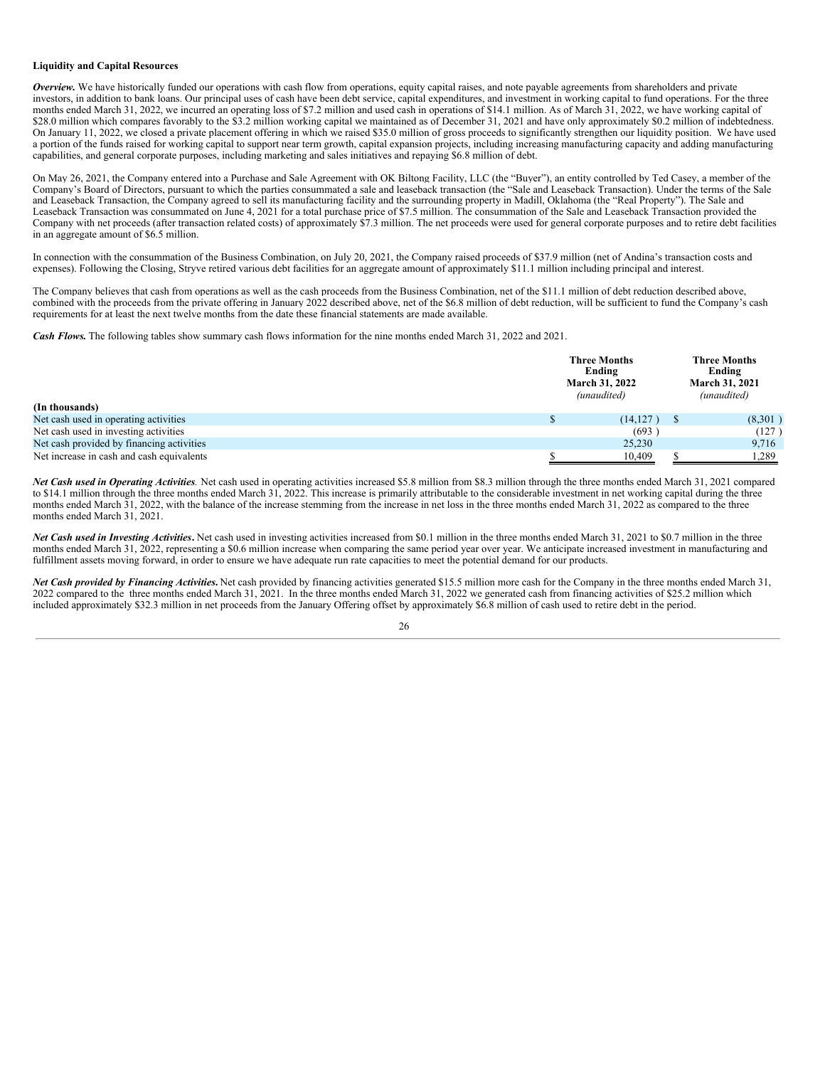## **Liquidity and Capital Resources**

*Overview.* We have historically funded our operations with cash flow from operations, equity capital raises, and note payable agreements from shareholders and private investors, in addition to bank loans. Our principal uses of cash have been debt service, capital expenditures, and investment in working capital to fund operations. For the three months ended March 31, 2022, we incurred an operating loss of \$7.2 million and used cash in operations of \$14.1 million. As of March 31, 2022, we have working capital of \$28.0 million which compares favorably to the \$3.2 million working capital we maintained as of December 31, 2021 and have only approximately \$0.2 million of indebtedness. On January 11, 2022, we closed a private placement offering in which we raised \$35.0 million of gross proceeds to significantly strengthen our liquidity position. We have used a portion of the funds raised for working capital to support near term growth, capital expansion projects, including increasing manufacturing capacity and adding manufacturing capabilities, and general corporate purposes, including marketing and sales initiatives and repaying \$6.8 million of debt.

On May 26, 2021, the Company entered into a Purchase and Sale Agreement with OK Biltong Facility, LLC (the "Buyer"), an entity controlled by Ted Casey, a member of the Company's Board of Directors, pursuant to which the parties consummated a sale and leaseback transaction (the "Sale and Leaseback Transaction). Under the terms of the Sale and Leaseback Transaction, the Company agreed to sell its manufacturing facility and the surrounding property in Madill, Oklahoma (the "Real Property"). The Sale and Leaseback Transaction was consummated on June 4, 2021 for a total purchase price of \$7.5 million. The consummation of the Sale and Leaseback Transaction provided the Company with net proceeds (after transaction related costs) of approximately \$7.3 million. The net proceeds were used for general corporate purposes and to retire debt facilities in an aggregate amount of \$6.5 million.

In connection with the consummation of the Business Combination, on July 20, 2021, the Company raised proceeds of \$37.9 million (net of Andina's transaction costs and expenses). Following the Closing, Stryve retired various debt facilities for an aggregate amount of approximately \$11.1 million including principal and interest.

The Company believes that cash from operations as well as the cash proceeds from the Business Combination, net of the \$11.1 million of debt reduction described above, combined with the proceeds from the private offering in January 2022 described above, net of the \$6.8 million of debt reduction, will be sufficient to fund the Company's cash requirements for at least the next twelve months from the date these financial statements are made available.

*Cash Flows.* The following tables show summary cash flows information for the nine months ended March 31, 2022 and 2021.

| (In thousands)                            | <b>Three Months</b><br>Ending<br>March 31, 2022<br>(unaudited) |  | <b>Three Months</b><br>Ending<br><b>March 31, 2021</b><br>(unaudited) |
|-------------------------------------------|----------------------------------------------------------------|--|-----------------------------------------------------------------------|
| Net cash used in operating activities     | (14,127)                                                       |  | (8,301)                                                               |
| Net cash used in investing activities     | (693)                                                          |  | (127)                                                                 |
| Net cash provided by financing activities | 25,230                                                         |  | 9.716                                                                 |
| Net increase in cash and cash equivalents | 10,409                                                         |  | 1,289                                                                 |

*Net Cash used in Operating Activities.* Net cash used in operating activities increased \$5.8 million from \$8.3 million through the three months ended March 31, 2021 compared to \$14.1 million through the three months ended March 31, 2022. This increase is primarily attributable to the considerable investment in net working capital during the three months ended March 31, 2022, with the balance of the increase stemming from the increase in net loss in the three months ended March 31, 2022 as compared to the three months ended March 31, 2021.

*Net Cash used in Investing Activities***.** Net cash used in investing activities increased from \$0.1 million in the three months ended March 31, 2021 to \$0.7 million in the three months ended March 31, 2022, representing a \$0.6 million increase when comparing the same period year over year. We anticipate increased investment in manufacturing and fulfillment assets moving forward, in order to ensure we have adequate run rate capacities to meet the potential demand for our products.

*Net Cash provided by Financing Activities***.** Net cash provided by financing activities generated \$15.5 million more cash for the Company in the three months ended March 31, 2022 compared to the three months ended March 31, 2021. In the three months ended March 31, 2022 we generated cash from financing activities of \$25.2 million which included approximately \$32.3 million in net proceeds from the January Offering offset by approximately \$6.8 million of cash used to retire debt in the period.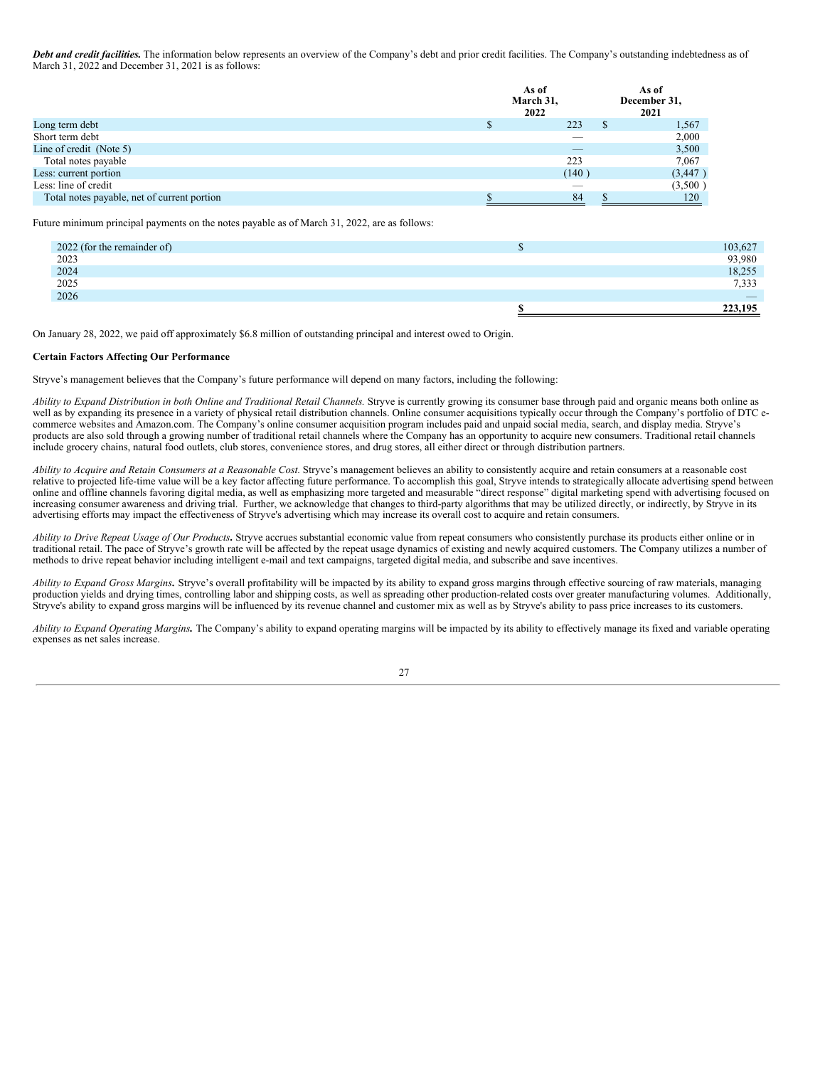*Debt and credit facilities.* The information below represents an overview of the Company's debt and prior credit facilities. The Company's outstanding indebtedness as of March 31, 2022 and December 31, 2021 is as follows:

|                                             | As of<br>March 31,<br>2022 | As of<br>December 31,<br>2021 |
|---------------------------------------------|----------------------------|-------------------------------|
| Long term debt                              | 223                        | 1,567                         |
| Short term debt                             |                            | 2,000                         |
| Line of credit (Note 5)                     | $\overline{\phantom{a}}$   | 3,500                         |
| Total notes payable                         | 223                        | 7,067                         |
| Less: current portion                       | (140)                      | (3,447)                       |
| Less: line of credit                        | _                          | (3,500)                       |
| Total notes payable, net of current portion | 84                         | 120                           |

Future minimum principal payments on the notes payable as of March 31, 2022, are as follows:

| 2022 (for the remainder of) | 103,627 |
|-----------------------------|---------|
| 2023                        | 93,980  |
| 2024                        | 18,255  |
| 2025                        | 7,333   |
| 2026                        |         |
|                             | 223,195 |

On January 28, 2022, we paid off approximately \$6.8 million of outstanding principal and interest owed to Origin.

## **Certain Factors Affecting Our Performance**

Stryve's management believes that the Company's future performance will depend on many factors, including the following:

Ability to Expand Distribution in both Online and Traditional Retail Channels. Stryve is currently growing its consumer base through paid and organic means both online as well as by expanding its presence in a variety of physical retail distribution channels. Online consumer acquisitions typically occur through the Company's portfolio of DTC ecommerce websites and Amazon.com. The Company's online consumer acquisition program includes paid and unpaid social media, search, and display media. Stryve's products are also sold through a growing number of traditional retail channels where the Company has an opportunity to acquire new consumers. Traditional retail channels include grocery chains, natural food outlets, club stores, convenience stores, and drug stores, all either direct or through distribution partners.

Ability to Acquire and Retain Consumers at a Reasonable Cost. Stryve's management believes an ability to consistently acquire and retain consumers at a reasonable cost relative to projected life-time value will be a key factor affecting future performance. To accomplish this goal, Stryve intends to strategically allocate advertising spend between online and offline channels favoring digital media, as well as emphasizing more targeted and measurable "direct response" digital marketing spend with advertising focused on increasing consumer awareness and driving trial. Further, we acknowledge that changes to third-party algorithms that may be utilized directly, or indirectly, by Stryve in its advertising efforts may impact the effectiveness of Stryve's advertising which may increase its overall cost to acquire and retain consumers.

Ability to Drive Repeat Usage of Our Products. Stryve accrues substantial economic value from repeat consumers who consistently purchase its products either online or in traditional retail. The pace of Stryve's growth rate will be affected by the repeat usage dynamics of existing and newly acquired customers. The Company utilizes a number of methods to drive repeat behavior including intelligent e-mail and text campaigns, targeted digital media, and subscribe and save incentives.

*Ability to Expand Gross Margins.* Stryve's overall profitability will be impacted by its ability to expand gross margins through effective sourcing of raw materials, managing production yields and drying times, controlling labor and shipping costs, as well as spreading other production-related costs over greater manufacturing volumes. Additionally, Stryve's ability to expand gross margins will be influenced by its revenue channel and customer mix as well as by Stryve's ability to pass price increases to its customers.

*Ability to Expand Operating Margins.* The Company's ability to expand operating margins will be impacted by its ability to effectively manage its fixed and variable operating expenses as net sales increase.

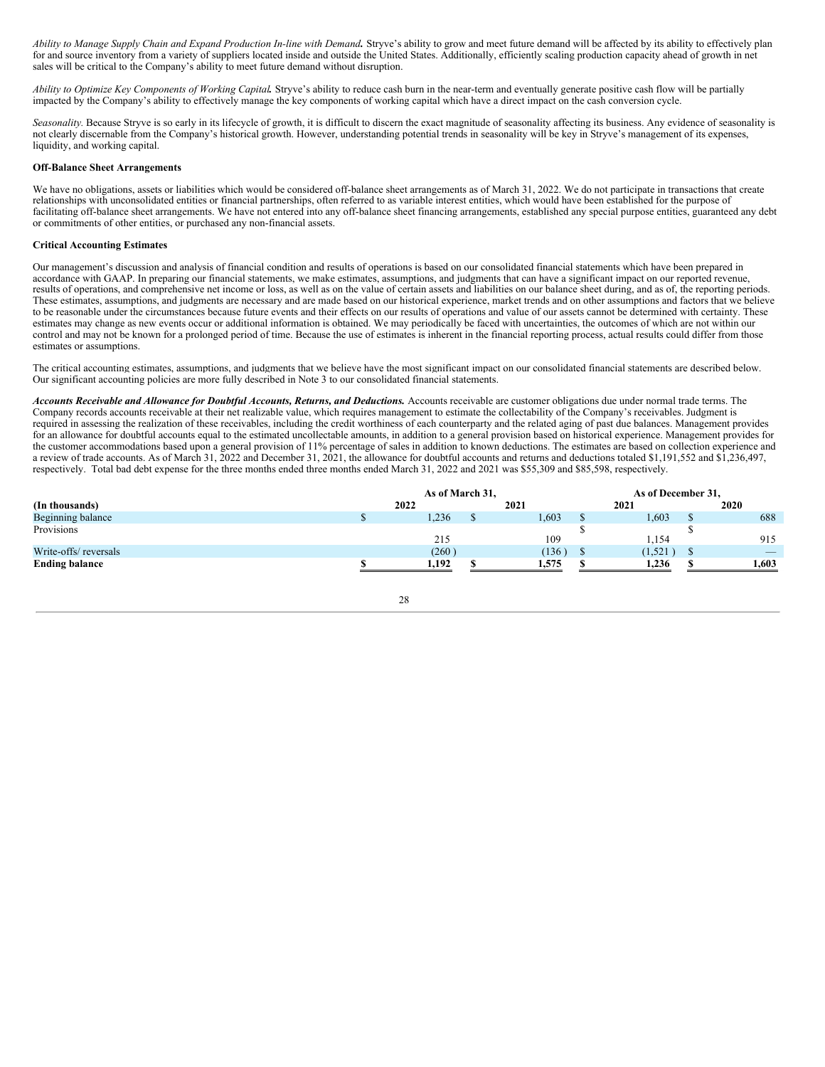Ability to Manage Supply Chain and Expand Production In-line with Demand. Stryve's ability to grow and meet future demand will be affected by its ability to effectively plan for and source inventory from a variety of suppliers located inside and outside the United States. Additionally, efficiently scaling production capacity ahead of growth in net sales will be critical to the Company's ability to meet future demand without disruption.

Ability to Optimize Key Components of Working Capital. Stryve's ability to reduce cash burn in the near-term and eventually generate positive cash flow will be partially impacted by the Company's ability to effectively manage the key components of working capital which have a direct impact on the cash conversion cycle.

Seasonality. Because Stryve is so early in its lifecycle of growth, it is difficult to discern the exact magnitude of seasonality affecting its business. Any evidence of seasonality is not clearly discernable from the Company's historical growth. However, understanding potential trends in seasonality will be key in Stryve's management of its expenses, liquidity, and working capital.

#### **Off-Balance Sheet Arrangements**

We have no obligations, assets or liabilities which would be considered off-balance sheet arrangements as of March 31, 2022. We do not participate in transactions that create relationships with unconsolidated entities or financial partnerships, often referred to as variable interest entities, which would have been established for the purpose of facilitating off-balance sheet arrangements. We have not entered into any off-balance sheet financing arrangements, established any special purpose entities, guaranteed any debt or commitments of other entities, or purchased any non-financial assets.

#### **Critical Accounting Estimates**

Our management's discussion and analysis of financial condition and results of operations is based on our consolidated financial statements which have been prepared in accordance with GAAP. In preparing our financial statements, we make estimates, assumptions, and judgments that can have a significant impact on our reported revenue, results of operations, and comprehensive net income or loss, as well as on the value of certain assets and liabilities on our balance sheet during, and as of, the reporting periods. These estimates, assumptions, and judgments are necessary and are made based on our historical experience, market trends and on other assumptions and factors that we believe to be reasonable under the circumstances because future events and their effects on our results of operations and value of our assets cannot be determined with certainty. These estimates may change as new events occur or additional information is obtained. We may periodically be faced with uncertainties, the outcomes of which are not within our control and may not be known for a prolonged period of time. Because the use of estimates is inherent in the financial reporting process, actual results could differ from those estimates or assumptions.

The critical accounting estimates, assumptions, and judgments that we believe have the most significant impact on our consolidated financial statements are described below. Our significant accounting policies are more fully described in Note 3 to our consolidated financial statements.

Accounts Receivable and Allowance for Doubtful Accounts, Returns, and Deductions. Accounts receivable are customer obligations due under normal trade terms. The Company records accounts receivable at their net realizable value, which requires management to estimate the collectability of the Company's receivables. Judgment is required in assessing the realization of these receivables, including the credit worthiness of each counterparty and the related aging of past due balances. Management provides for an allowance for doubtful accounts equal to the estimated uncollectable amounts, in addition to a general provision based on historical experience. Management provides for the customer accommodations based upon a general provision of 11% percentage of sales in addition to known deductions. The estimates are based on collection experience and a review of trade accounts. As of March 31, 2022 and December 31, 2021, the allowance for doubtful accounts and returns and deductions totaled \$1,191,552 and \$1,236,497, respectively. Total bad debt expense for the three months ended three months ended March 31, 2022 and 2021 was \$55,309 and \$85,598, respectively.

|                       | As of March 31, |       | As of December 31, |                          |
|-----------------------|-----------------|-------|--------------------|--------------------------|
| (In thousands)        | 2022            | 2021  | 2021               | 2020                     |
| Beginning balance     | 1,236           | 1,603 | 1,603              | 688                      |
| Provisions            |                 |       |                    |                          |
|                       | 215             | 109   | 1.154              | 915                      |
| Write-offs/reversals  | (260)           | (136) | (1, 521)           | $\overline{\phantom{a}}$ |
| <b>Ending balance</b> | 1.192           | 1.575 | 1,236              | 1,603                    |
|                       |                 |       |                    |                          |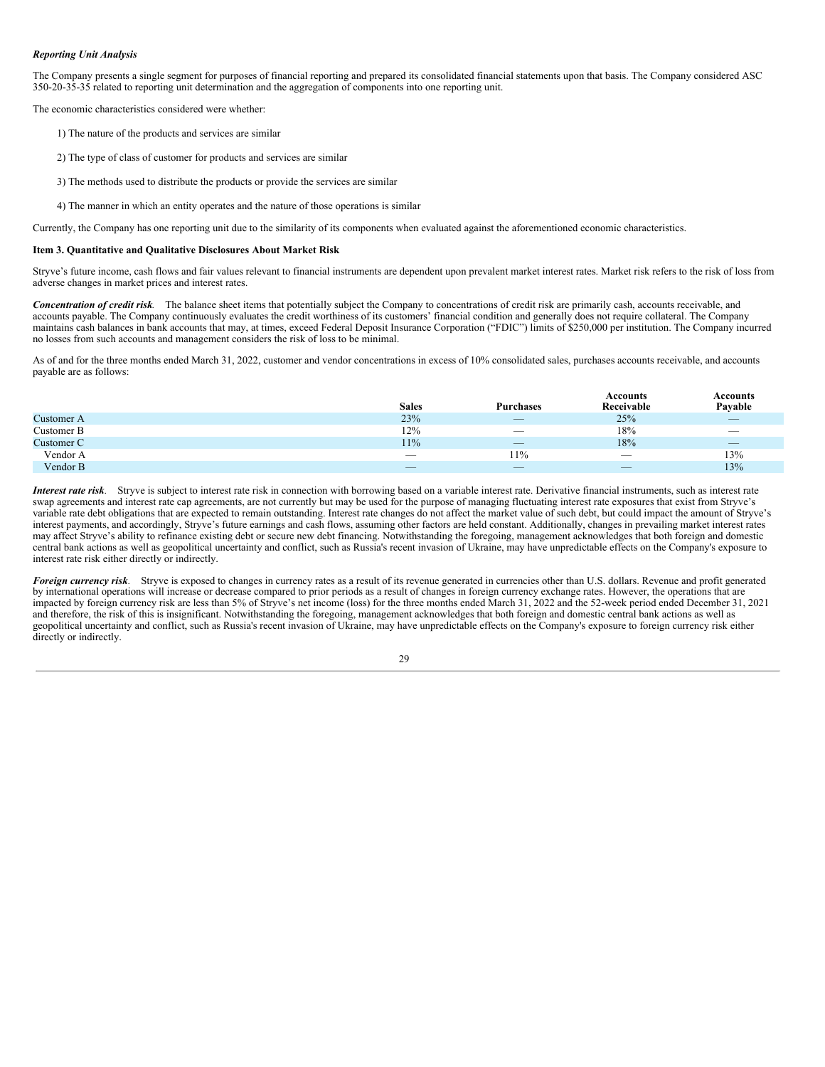## *Reporting Unit Analysis*

The Company presents a single segment for purposes of financial reporting and prepared its consolidated financial statements upon that basis. The Company considered ASC 350-20-35-35 related to reporting unit determination and the aggregation of components into one reporting unit.

The economic characteristics considered were whether:

- 1) The nature of the products and services are similar
- 2) The type of class of customer for products and services are similar
- 3) The methods used to distribute the products or provide the services are similar
- 4) The manner in which an entity operates and the nature of those operations is similar

Currently, the Company has one reporting unit due to the similarity of its components when evaluated against the aforementioned economic characteristics.

#### <span id="page-30-0"></span>**Item 3. Quantitative and Qualitative Disclosures About Market Risk**

Stryve's future income, cash flows and fair values relevant to financial instruments are dependent upon prevalent market interest rates. Market risk refers to the risk of loss from adverse changes in market prices and interest rates.

*Concentration of credit risk.* The balance sheet items that potentially subject the Company to concentrations of credit risk are primarily cash, accounts receivable, and accounts payable. The Company continuously evaluates the credit worthiness of its customers' financial condition and generally does not require collateral. The Company maintains cash balances in bank accounts that may, at times, exceed Federal Deposit Insurance Corporation ("FDIC") limits of \$250,000 per institution. The Company incurred no losses from such accounts and management considers the risk of loss to be minimal.

As of and for the three months ended March 31, 2022, customer and vendor concentrations in excess of 10% consolidated sales, purchases accounts receivable, and accounts payable are as follows:

|            |                                                                                                                                                                                                                                                                                                                                                                                                         |                                 | Accounts                 | <b>Accounts</b>                 |
|------------|---------------------------------------------------------------------------------------------------------------------------------------------------------------------------------------------------------------------------------------------------------------------------------------------------------------------------------------------------------------------------------------------------------|---------------------------------|--------------------------|---------------------------------|
|            | <b>Sales</b>                                                                                                                                                                                                                                                                                                                                                                                            | <b>Purchases</b>                | Receivable               | Payable                         |
| Customer A | 23%                                                                                                                                                                                                                                                                                                                                                                                                     | $\overline{\phantom{0}}$        | 25%                      | $\qquad \qquad$                 |
| Customer B | 12%                                                                                                                                                                                                                                                                                                                                                                                                     | $\hspace{0.1mm}-\hspace{0.1mm}$ | 18%                      | $\hspace{0.1mm}-\hspace{0.1mm}$ |
| Customer C | $11\%$                                                                                                                                                                                                                                                                                                                                                                                                  | $\overline{\phantom{m}}$        | 18%                      | $\overline{\phantom{a}}$        |
| Vendor A   | $\sim$                                                                                                                                                                                                                                                                                                                                                                                                  | 11%                             | $\overline{\phantom{a}}$ | 13%                             |
| Vendor B   | $\hspace{1.0cm} \overline{\hspace{1.0cm} \hspace{1.0cm} \hspace{1.0cm} } \hspace{1.0cm} \hspace{1.0cm} \overline{\hspace{1.0cm} \hspace{1.0cm} \hspace{1.0cm} } \hspace{1.0cm} \hspace{1.0cm} \overline{\hspace{1.0cm} \hspace{1.0cm} \hspace{1.0cm} } \hspace{1.0cm} \hspace{1.0cm} \overline{\hspace{1.0cm} \hspace{1.0cm} \hspace{1.0cm} } \hspace{1.0cm} \hspace{1.0cm} \hspace{1.0cm} } \hspace{1$ | $\qquad \qquad - \qquad$        | $\overline{\phantom{a}}$ | 13%                             |

*Interest rate risk.* Stryve is subject to interest rate risk in connection with borrowing based on a variable interest rate. Derivative financial instruments, such as interest rate swap agreements and interest rate cap agreements, are not currently but may be used for the purpose of managing fluctuating interest rate exposures that exist from Stryve's variable rate debt obligations that are expected to remain outstanding. Interest rate changes do not affect the market value of such debt, but could impact the amount of Stryve's interest payments, and accordingly, Stryve's future earnings and cash flows, assuming other factors are held constant. Additionally, changes in prevailing market interest rates may affect Stryve's ability to refinance existing debt or secure new debt financing. Notwithstanding the foregoing, management acknowledges that both foreign and domestic central bank actions as well as geopolitical uncertainty and conflict, such as Russia's recent invasion of Ukraine, may have unpredictable effects on the Company's exposure to interest rate risk either directly or indirectly.

*Foreign currency risk.* Stryve is exposed to changes in currency rates as a result of its revenue generated in currencies other than U.S. dollars. Revenue and profit generated by international operations will increase or decrease compared to prior periods as a result of changes in foreign currency exchange rates. However, the operations that are impacted by foreign currency risk are less than 5% of Stryve's net income (loss) for the three months ended March 31, 2022 and the 52-week period ended December 31, 2021 and therefore, the risk of this is insignificant. Notwithstanding the foregoing, management acknowledges that both foreign and domestic central bank actions as well as geopolitical uncertainty and conflict, such as Russia's recent invasion of Ukraine, may have unpredictable effects on the Company's exposure to foreign currency risk either directly or indirectly.

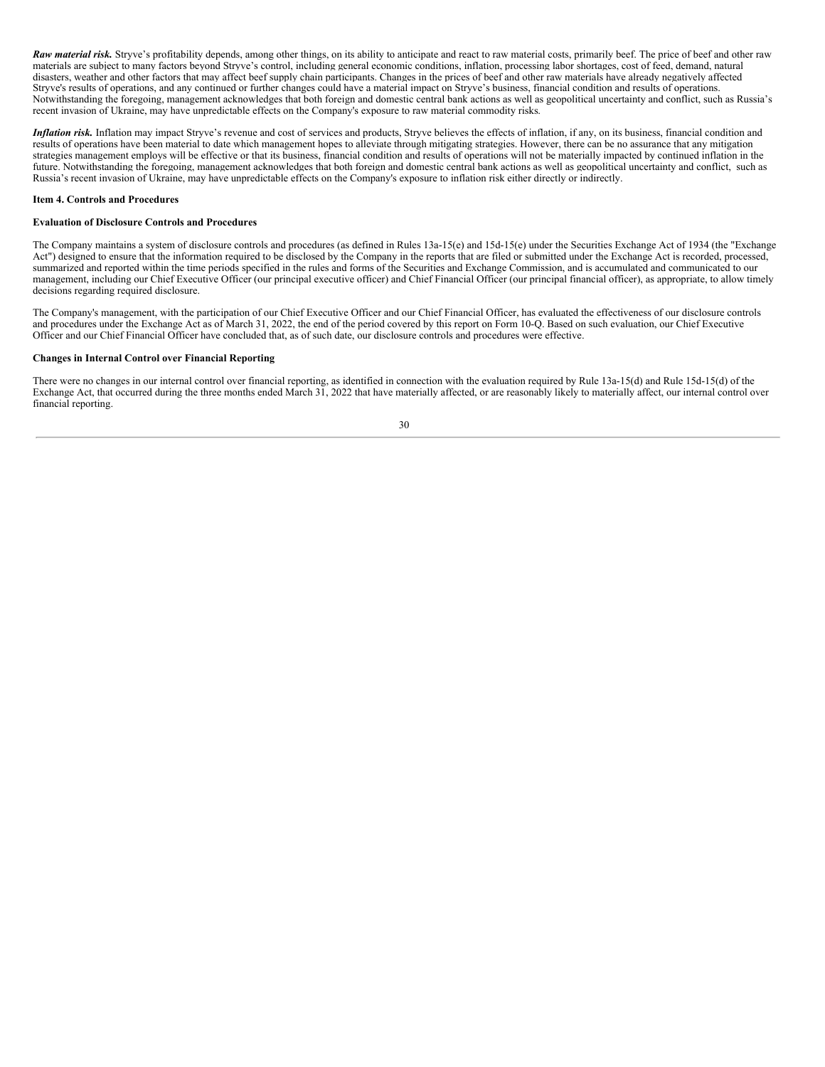**Raw material risk.** Stryve's profitability depends, among other things, on its ability to anticipate and react to raw material costs, primarily beef. The price of beef and other raw materials are subject to many factors beyond Stryve's control, including general economic conditions, inflation, processing labor shortages, cost of feed, demand, natural disasters, weather and other factors that may affect beef supply chain participants. Changes in the prices of beef and other raw materials have already negatively affected Stryve's results of operations, and any continued or further changes could have a material impact on Stryve's business, financial condition and results of operations. Notwithstanding the foregoing, management acknowledges that both foreign and domestic central bank actions as well as geopolitical uncertainty and conflict, such as Russia's recent invasion of Ukraine, may have unpredictable effects on the Company's exposure to raw material commodity risks.

*Inflation risk.* Inflation may impact Stryve's revenue and cost of services and products, Stryve believes the effects of inflation, if any, on its business, financial condition and results of operations have been material to date which management hopes to alleviate through mitigating strategies. However, there can be no assurance that any mitigation strategies management employs will be effective or that its business, financial condition and results of operations will not be materially impacted by continued inflation in the future. Notwithstanding the foregoing, management acknowledges that both foreign and domestic central bank actions as well as geopolitical uncertainty and conflict, such as Russia's recent invasion of Ukraine, may have unpredictable effects on the Company's exposure to inflation risk either directly or indirectly.

## **Item 4. Controls and Procedures**

## **Evaluation of Disclosure Controls and Procedures**

The Company maintains a system of disclosure controls and procedures (as defined in Rules 13a-15(e) and 15d-15(e) under the Securities Exchange Act of 1934 (the "Exchange Act") designed to ensure that the information required to be disclosed by the Company in the reports that are filed or submitted under the Exchange Act is recorded, processed, summarized and reported within the time periods specified in the rules and forms of the Securities and Exchange Commission, and is accumulated and communicated to our management, including our Chief Executive Officer (our principal executive officer) and Chief Financial Officer (our principal financial officer), as appropriate, to allow timely decisions regarding required disclosure.

The Company's management, with the participation of our Chief Executive Officer and our Chief Financial Officer, has evaluated the effectiveness of our disclosure controls and procedures under the Exchange Act as of March 31, 2022, the end of the period covered by this report on Form 10-Q. Based on such evaluation, our Chief Executive Officer and our Chief Financial Officer have concluded that, as of such date, our disclosure controls and procedures were effective.

#### **Changes in Internal Control over Financial Reporting**

There were no changes in our internal control over financial reporting, as identified in connection with the evaluation required by Rule 13a-15(d) and Rule 15d-15(d) of the Exchange Act, that occurred during the three months ended March 31, 2022 that have materially affected, or are reasonably likely to materially affect, our internal control over financial reporting.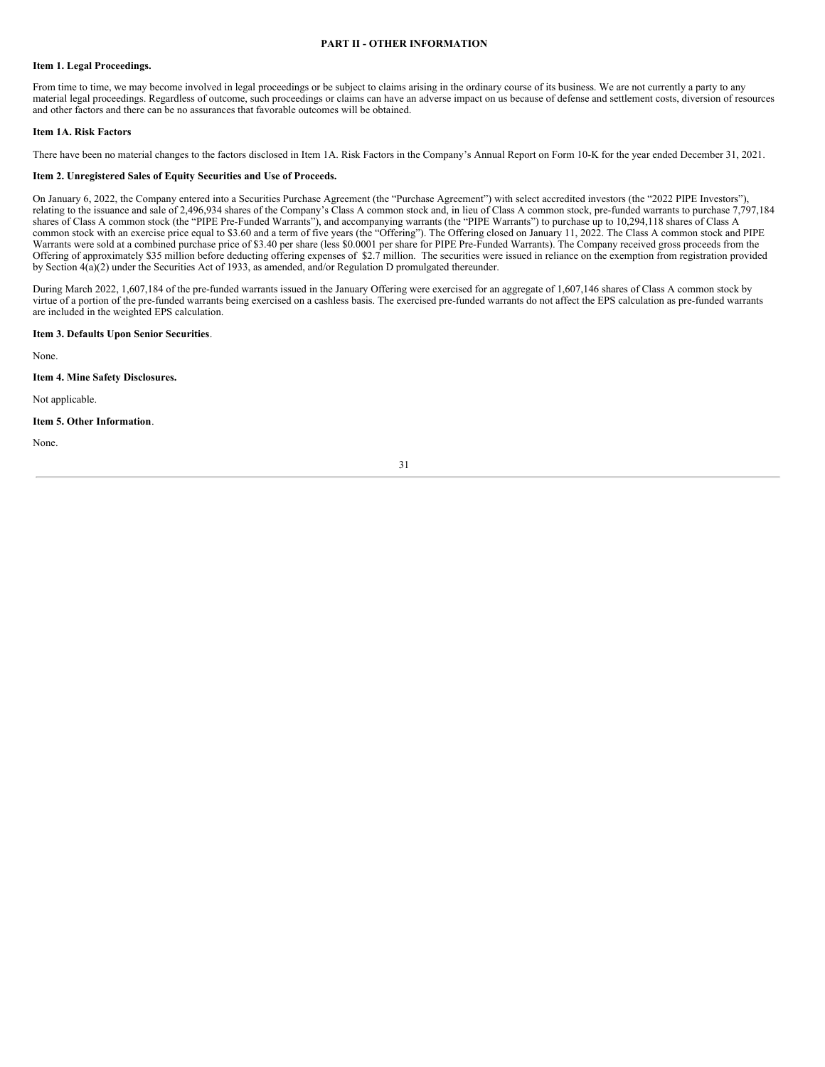## **PART II - OTHER INFORMATION**

#### <span id="page-32-1"></span><span id="page-32-0"></span>**Item 1. Legal Proceedings.**

From time to time, we may become involved in legal proceedings or be subject to claims arising in the ordinary course of its business. We are not currently a party to any material legal proceedings. Regardless of outcome, such proceedings or claims can have an adverse impact on us because of defense and settlement costs, diversion of resources and other factors and there can be no assurances that favorable outcomes will be obtained.

## <span id="page-32-2"></span>**Item 1A. Risk Factors**

There have been no material changes to the factors disclosed in Item 1A. Risk Factors in the Company's Annual Report on Form 10-K for the year ended December 31, 2021.

### <span id="page-32-3"></span>**Item 2. Unregistered Sales of Equity Securities and Use of Proceeds.**

On January 6, 2022, the Company entered into a Securities Purchase Agreement (the "Purchase Agreement") with select accredited investors (the "2022 PIPE Investors"), relating to the issuance and sale of 2,496,934 shares of the Company's Class A common stock and, in lieu of Class A common stock, pre-funded warrants to purchase 7,797,184 shares of Class A common stock (the "PIPE Pre-Funded Warrants"), and accompanying warrants (the "PIPE Warrants") to purchase up to 10,294,118 shares of Class A common stock with an exercise price equal to \$3.60 and a term of five years (the "Offering"). The Offering closed on January 11, 2022. The Class A common stock and PIPE Warrants were sold at a combined purchase price of \$3.40 per share (less \$0.0001 per share for PIPE Pre-Funded Warrants). The Company received gross proceeds from the Offering of approximately \$35 million before deducting offering expenses of \$2.7 million. The securities were issued in reliance on the exemption from registration provided by Section  $4(a)(2)$  under the Securities Act of 1933, as amended, and/or Regulation D promulgated thereunder.

During March 2022, 1,607,184 of the pre-funded warrants issued in the January Offering were exercised for an aggregate of 1,607,146 shares of Class A common stock by virtue of a portion of the pre-funded warrants being exercised on a cashless basis. The exercised pre-funded warrants do not affect the EPS calculation as pre-funded warrants are included in the weighted EPS calculation.

## <span id="page-32-4"></span>**Item 3. Defaults Upon Senior Securities**.

None.

## <span id="page-32-5"></span>**Item 4. Mine Safety Disclosures.**

Not applicable.

## <span id="page-32-6"></span>**Item 5. Other Information**.

None.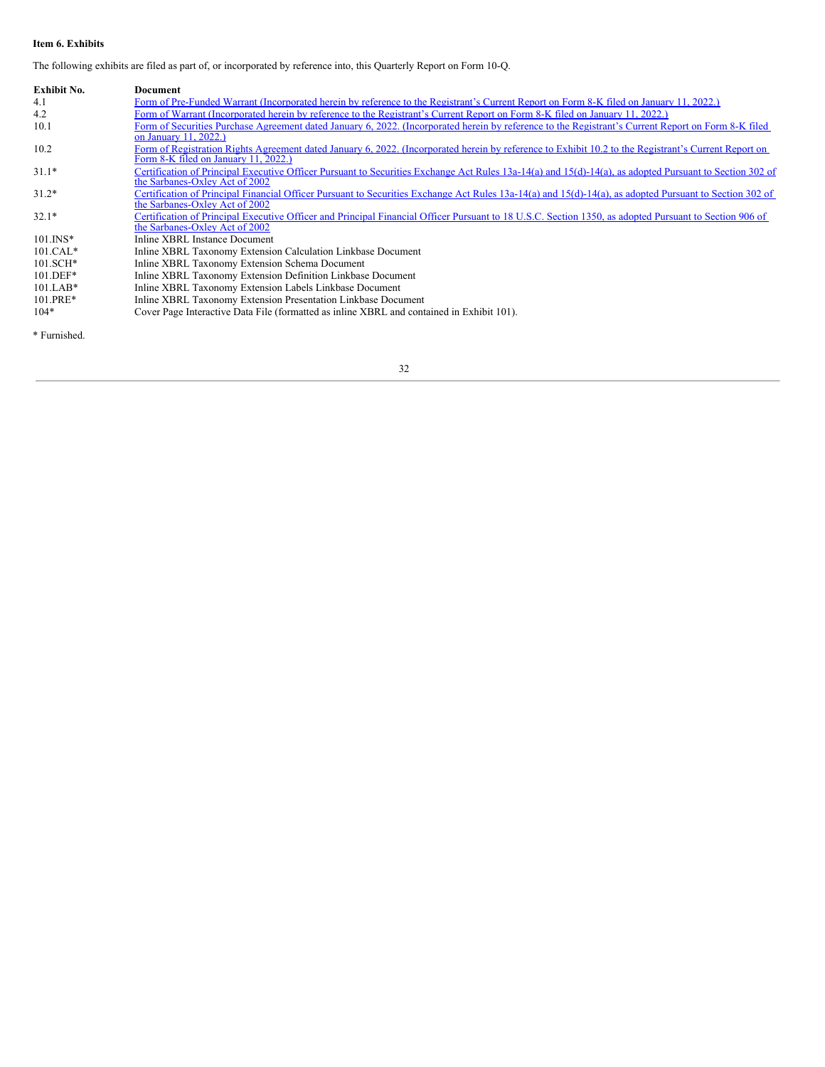# <span id="page-33-0"></span>**Item 6. Exhibits**

The following exhibits are filed as part of, or incorporated by reference into, this Quarterly Report on Form 10-Q.

| Exhibit No.  | <b>Document</b>                                                                                                                                                                              |
|--------------|----------------------------------------------------------------------------------------------------------------------------------------------------------------------------------------------|
| 4.1          | Form of Pre-Funded Warrant (Incorporated herein by reference to the Registrant's Current Report on Form 8-K filed on January 11, 2022.)                                                      |
| 4.2          | Form of Warrant (Incorporated herein by reference to the Registrant's Current Report on Form 8-K filed on January 11, 2022.)                                                                 |
| 10.1         | Form of Securities Purchase Agreement dated January 6, 2022. (Incorporated herein by reference to the Registrant's Current Report on Form 8-K filed<br>on January 11, 2022.)                 |
| 10.2         | Form of Registration Rights Agreement dated January 6, 2022. (Incorporated herein by reference to Exhibit 10.2 to the Registrant's Current Report on<br>Form 8-K filed on January 11, 2022.) |
| $31.1*$      | Certification of Principal Executive Officer Pursuant to Securities Exchange Act Rules 13a-14(a) and 15(d)-14(a), as adopted Pursuant to Section 302 of<br>the Sarbanes-Oxley Act of 2002    |
| $31.2*$      | Certification of Principal Financial Officer Pursuant to Securities Exchange Act Rules 13a-14(a) and 15(d)-14(a), as adopted Pursuant to Section 302 of<br>the Sarbanes-Oxley Act of 2002    |
| $32.1*$      | Certification of Principal Executive Officer and Principal Financial Officer Pursuant to 18 U.S.C. Section 1350, as adopted Pursuant to Section 906 of<br>the Sarbanes-Oxley Act of 2002     |
| $101$ . INS* | Inline XBRL Instance Document                                                                                                                                                                |
| $101.CAL*$   | Inline XBRL Taxonomy Extension Calculation Linkbase Document                                                                                                                                 |
| $101.SCH*$   | Inline XBRL Taxonomy Extension Schema Document                                                                                                                                               |
| $101.DEF*$   | Inline XBRL Taxonomy Extension Definition Linkbase Document                                                                                                                                  |
| $101.LAB*$   | Inline XBRL Taxonomy Extension Labels Linkbase Document                                                                                                                                      |
| 101.PRE*     | Inline XBRL Taxonomy Extension Presentation Linkbase Document                                                                                                                                |
| $104*$       | Cover Page Interactive Data File (formatted as inline XBRL and contained in Exhibit 101).                                                                                                    |

\* Furnished.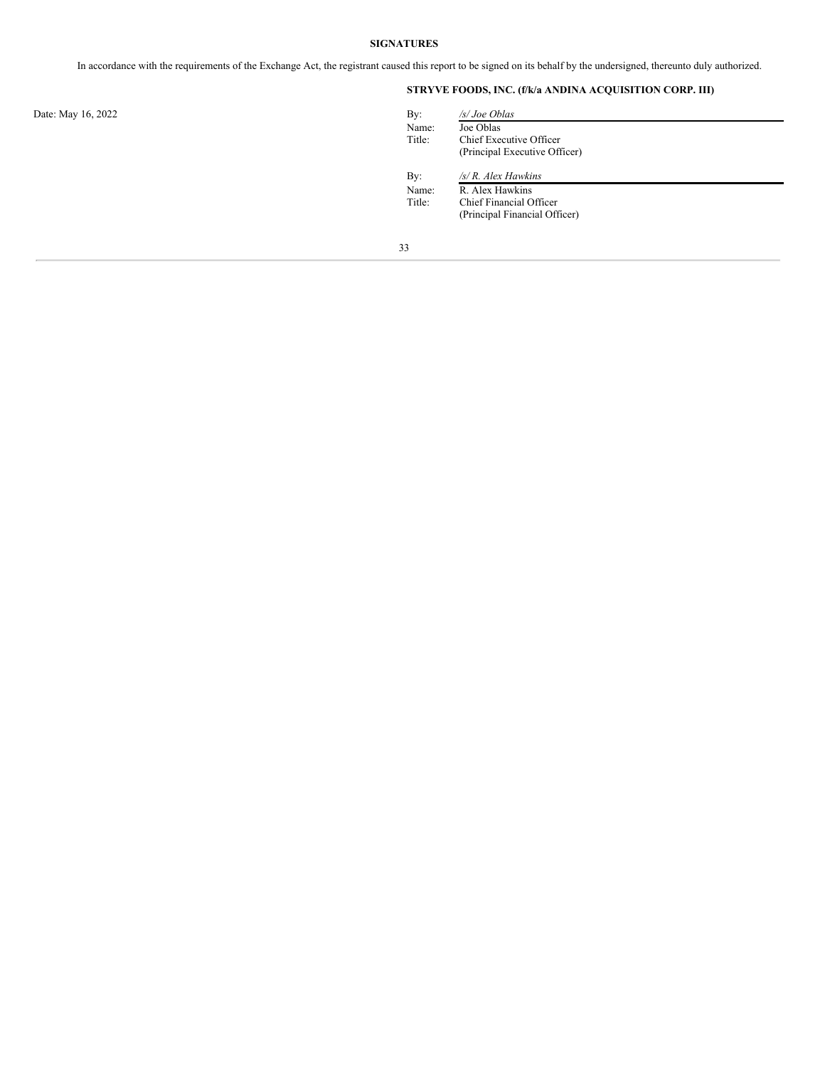# **SIGNATURES**

<span id="page-34-0"></span>In accordance with the requirements of the Exchange Act, the registrant caused this report to be signed on its behalf by the undersigned, thereunto duly authorized.

# **STRYVE FOODS, INC. (f/k/a ANDINA ACQUISITION CORP. III)**

| By:    | /s/ Joe Oblas                 |
|--------|-------------------------------|
| Name:  | Joe Oblas                     |
| Title: | Chief Executive Officer       |
|        | (Principal Executive Officer) |
| By:    | /s/ R. Alex Hawkins           |
| Name:  | R. Alex Hawkins               |
| Title: | Chief Financial Officer       |
|        | (Principal Financial Officer) |

Date: May 16, 2022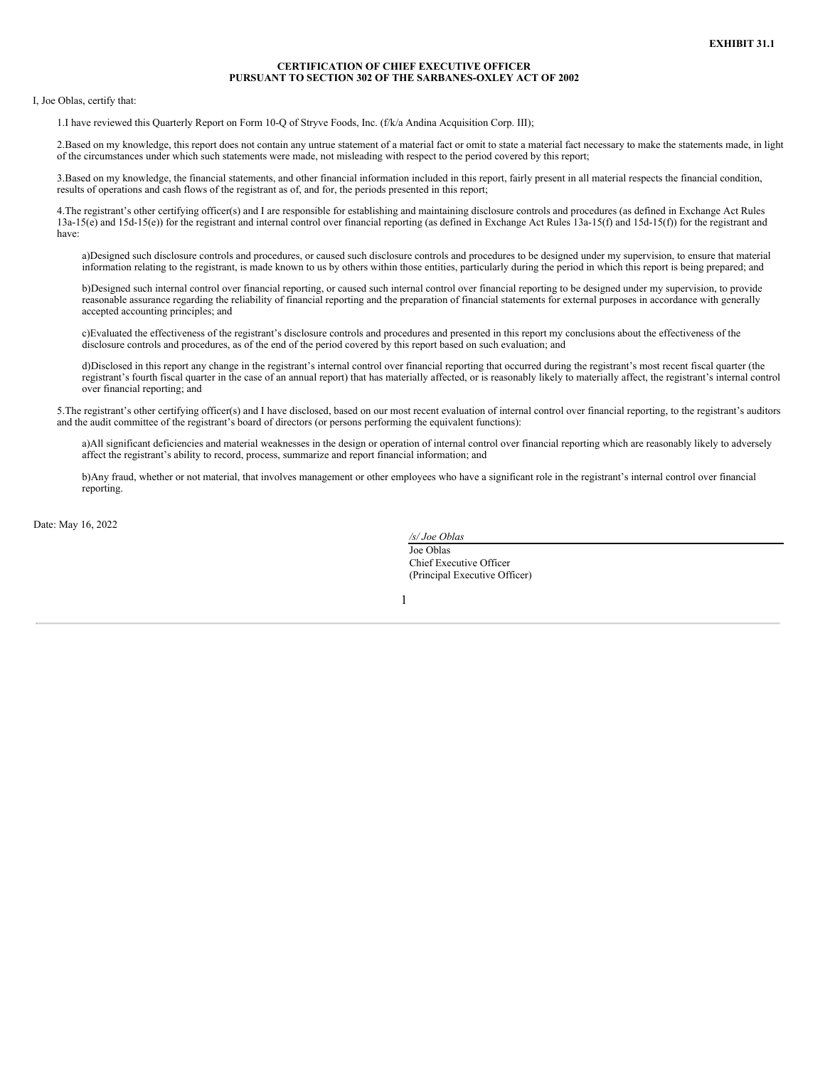## **CERTIFICATION OF CHIEF EXECUTIVE OFFICER PURSUANT TO SECTION 302 OF THE SARBANES-OXLEY ACT OF 2002**

<span id="page-36-0"></span>I, Joe Oblas, certify that:

1.I have reviewed this Quarterly Report on Form 10-Q of Stryve Foods, Inc. (f/k/a Andina Acquisition Corp. III);

2.Based on my knowledge, this report does not contain any untrue statement of a material fact or omit to state a material fact necessary to make the statements made, in light of the circumstances under which such statements were made, not misleading with respect to the period covered by this report;

3.Based on my knowledge, the financial statements, and other financial information included in this report, fairly present in all material respects the financial condition, results of operations and cash flows of the registrant as of, and for, the periods presented in this report;

4.The registrant's other certifying officer(s) and I are responsible for establishing and maintaining disclosure controls and procedures (as defined in Exchange Act Rules 13a-15(e) and 15d-15(e)) for the registrant and internal control over financial reporting (as defined in Exchange Act Rules 13a-15(f) and 15d-15(f)) for the registrant and have:

a)Designed such disclosure controls and procedures, or caused such disclosure controls and procedures to be designed under my supervision, to ensure that material information relating to the registrant, is made known to us by others within those entities, particularly during the period in which this report is being prepared; and

b)Designed such internal control over financial reporting, or caused such internal control over financial reporting to be designed under my supervision, to provide reasonable assurance regarding the reliability of financial reporting and the preparation of financial statements for external purposes in accordance with generally accepted accounting principles; and

c)Evaluated the effectiveness of the registrant's disclosure controls and procedures and presented in this report my conclusions about the effectiveness of the disclosure controls and procedures, as of the end of the period covered by this report based on such evaluation; and

d)Disclosed in this report any change in the registrant's internal control over financial reporting that occurred during the registrant's most recent fiscal quarter (the registrant's fourth fiscal quarter in the case of an annual report) that has materially affected, or is reasonably likely to materially affect, the registrant's internal control over financial reporting; and

5.The registrant's other certifying officer(s) and I have disclosed, based on our most recent evaluation of internal control over financial reporting, to the registrant's auditors and the audit committee of the registrant's board of directors (or persons performing the equivalent functions):

a)All significant deficiencies and material weaknesses in the design or operation of internal control over financial reporting which are reasonably likely to adversely affect the registrant's ability to record, process, summarize and report financial information; and

b)Any fraud, whether or not material, that involves management or other employees who have a significant role in the registrant's internal control over financial reporting.

Date: May 16, 2022

*/s/ Joe Oblas* Joe Oblas Chief Executive Officer (Principal Executive Officer)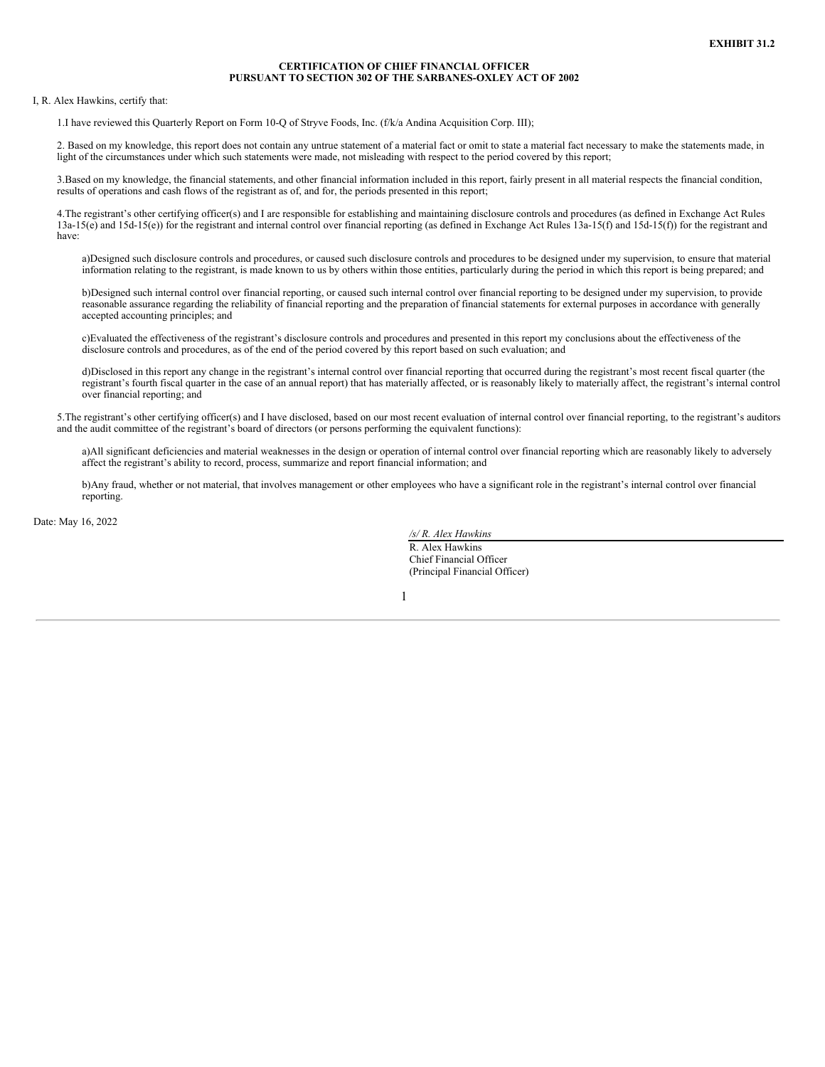## **CERTIFICATION OF CHIEF FINANCIAL OFFICER PURSUANT TO SECTION 302 OF THE SARBANES-OXLEY ACT OF 2002**

<span id="page-38-0"></span>I, R. Alex Hawkins, certify that:

1.I have reviewed this Quarterly Report on Form 10-Q of Stryve Foods, Inc. (f/k/a Andina Acquisition Corp. III);

2. Based on my knowledge, this report does not contain any untrue statement of a material fact or omit to state a material fact necessary to make the statements made, in light of the circumstances under which such statements were made, not misleading with respect to the period covered by this report;

3.Based on my knowledge, the financial statements, and other financial information included in this report, fairly present in all material respects the financial condition, results of operations and cash flows of the registrant as of, and for, the periods presented in this report;

4.The registrant's other certifying officer(s) and I are responsible for establishing and maintaining disclosure controls and procedures (as defined in Exchange Act Rules  $13a-15(e)$  and  $15d-15(e)$  for the registrant and internal control over financial reporting (as defined in Exchange Act Rules  $13a-15(f)$ ) and  $15d-15(f)$  for the registrant and have:

a)Designed such disclosure controls and procedures, or caused such disclosure controls and procedures to be designed under my supervision, to ensure that material information relating to the registrant, is made known to us by others within those entities, particularly during the period in which this report is being prepared; and

b)Designed such internal control over financial reporting, or caused such internal control over financial reporting to be designed under my supervision, to provide reasonable assurance regarding the reliability of financial reporting and the preparation of financial statements for external purposes in accordance with generally accepted accounting principles; and

c)Evaluated the effectiveness of the registrant's disclosure controls and procedures and presented in this report my conclusions about the effectiveness of the disclosure controls and procedures, as of the end of the period covered by this report based on such evaluation; and

d)Disclosed in this report any change in the registrant's internal control over financial reporting that occurred during the registrant's most recent fiscal quarter (the registrant's fourth fiscal quarter in the case of an annual report) that has materially affected, or is reasonably likely to materially affect, the registrant's internal control over financial reporting; and

5.The registrant's other certifying officer(s) and I have disclosed, based on our most recent evaluation of internal control over financial reporting, to the registrant's auditors and the audit committee of the registrant's board of directors (or persons performing the equivalent functions):

a)All significant deficiencies and material weaknesses in the design or operation of internal control over financial reporting which are reasonably likely to adversely affect the registrant's ability to record, process, summarize and report financial information; and

b)Any fraud, whether or not material, that involves management or other employees who have a significant role in the registrant's internal control over financial reporting.

Date: May 16, 2022

*/s/ R. Alex Hawkins* R. Alex Hawkins Chief Financial Officer (Principal Financial Officer)